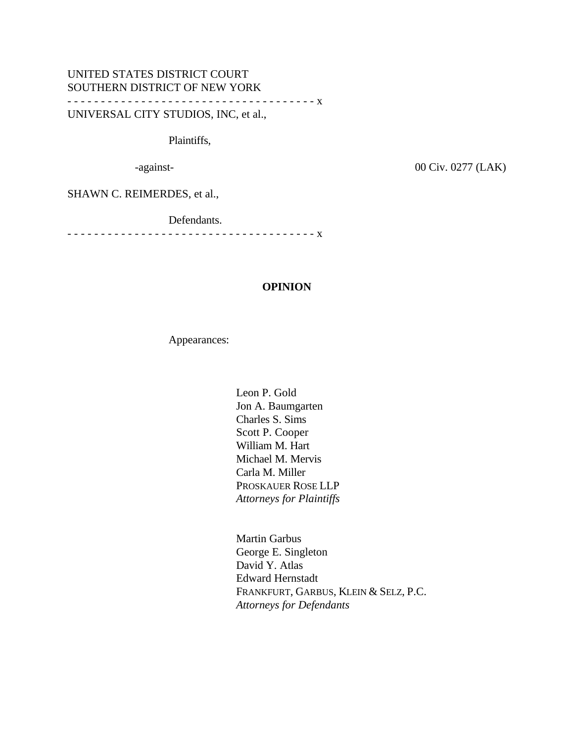# UNITED STATES DISTRICT COURT SOUTHERN DISTRICT OF NEW YORK - - - - - - - - - - - - - - - - - - - - - - - - - - - - - - - - - - - - - x

UNIVERSAL CITY STUDIOS, INC, et al.,

Plaintiffs,

-against-<br> 00 Civ. 0277 (LAK)

SHAWN C. REIMERDES, et al.,

Defendants.

- - - - - - - - - - - - - - - - - - - - - - - - - - - - - - - - - - - - - x

#### **OPINION**

Appearances:

Leon P. Gold Jon A. Baumgarten Charles S. Sims Scott P. Cooper William M. Hart Michael M. Mervis Carla M. Miller PROSKAUER ROSE LLP *Attorneys for Plaintiffs*

Martin Garbus George E. Singleton David Y. Atlas Edward Hernstadt FRANKFURT, GARBUS, KLEIN & SELZ, P.C. *Attorneys for Defendants*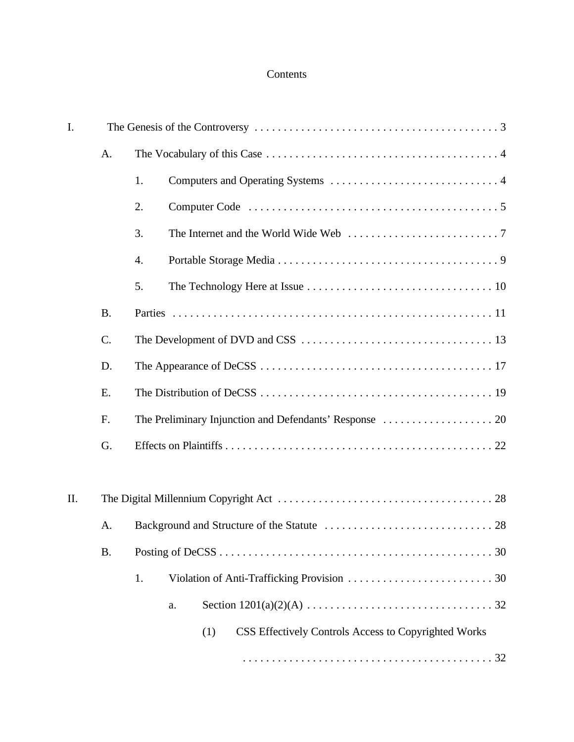## Contents

| I.  |           |                                                             |  |  |  |  |  |
|-----|-----------|-------------------------------------------------------------|--|--|--|--|--|
|     | A.        |                                                             |  |  |  |  |  |
|     |           | 1.                                                          |  |  |  |  |  |
|     |           | 2.                                                          |  |  |  |  |  |
|     |           | 3.                                                          |  |  |  |  |  |
|     |           | 4.                                                          |  |  |  |  |  |
|     |           | 5.                                                          |  |  |  |  |  |
|     | <b>B.</b> |                                                             |  |  |  |  |  |
|     | $C$ .     |                                                             |  |  |  |  |  |
|     | D.        |                                                             |  |  |  |  |  |
|     | E.        |                                                             |  |  |  |  |  |
|     | F.        |                                                             |  |  |  |  |  |
|     | G.        |                                                             |  |  |  |  |  |
|     |           |                                                             |  |  |  |  |  |
| II. |           |                                                             |  |  |  |  |  |
|     | A.        |                                                             |  |  |  |  |  |
|     | <b>B.</b> |                                                             |  |  |  |  |  |
|     |           | 1.                                                          |  |  |  |  |  |
|     |           | a.                                                          |  |  |  |  |  |
|     |           | (1)<br>CSS Effectively Controls Access to Copyrighted Works |  |  |  |  |  |
|     |           |                                                             |  |  |  |  |  |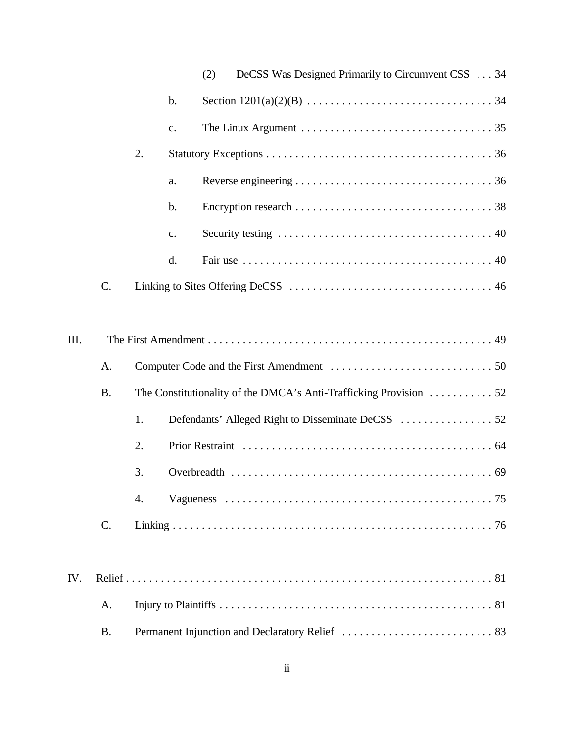|      |           |    |                | (2) | DeCSS Was Designed Primarily to Circumvent CSS 34                  |  |
|------|-----------|----|----------------|-----|--------------------------------------------------------------------|--|
|      |           |    | $\mathbf b$ .  |     |                                                                    |  |
|      |           |    | c.             |     |                                                                    |  |
|      |           | 2. |                |     |                                                                    |  |
|      |           |    | a.             |     |                                                                    |  |
|      |           |    | $\mathbf b$ .  |     |                                                                    |  |
|      |           |    | $\mathbf{c}$ . |     |                                                                    |  |
|      |           |    | d.             |     |                                                                    |  |
|      | C.        |    |                |     |                                                                    |  |
|      |           |    |                |     |                                                                    |  |
| III. |           |    |                |     |                                                                    |  |
|      | A.        |    |                |     |                                                                    |  |
|      | <b>B.</b> |    |                |     | The Constitutionality of the DMCA's Anti-Trafficking Provision  52 |  |
|      |           | 1. |                |     |                                                                    |  |
|      |           | 2. |                |     |                                                                    |  |
|      |           | 3. |                |     |                                                                    |  |
|      |           | 4. |                |     |                                                                    |  |
|      | C.        |    |                |     |                                                                    |  |
|      |           |    |                |     |                                                                    |  |
| IV.  |           |    |                |     |                                                                    |  |
|      | A.        |    |                |     |                                                                    |  |
|      | <b>B.</b> |    |                |     |                                                                    |  |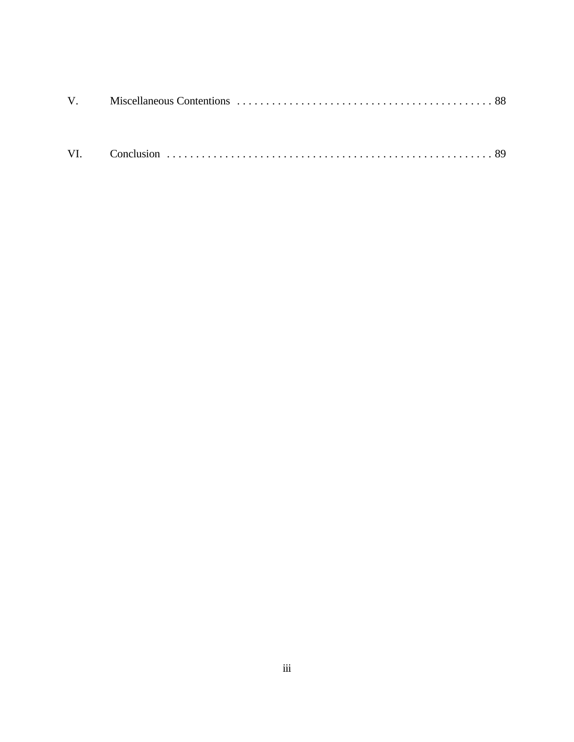| VI |  |
|----|--|
|----|--|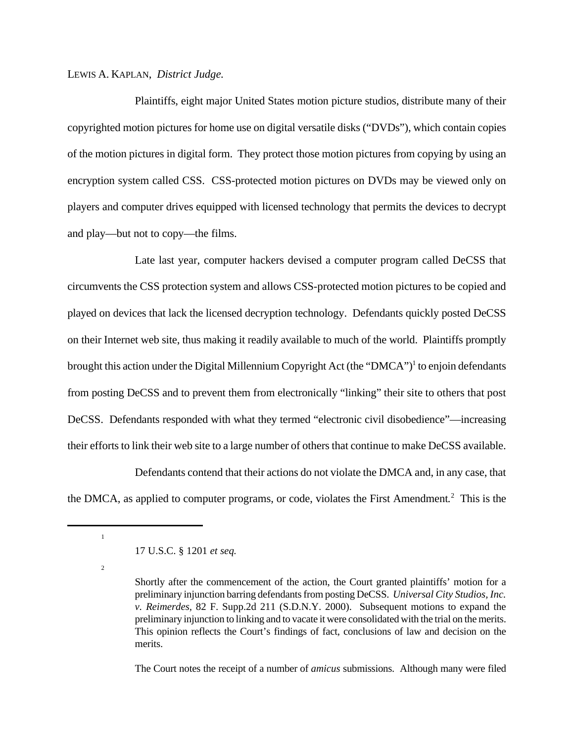## LEWIS A. KAPLAN, *District Judge.*

Plaintiffs, eight major United States motion picture studios, distribute many of their copyrighted motion pictures for home use on digital versatile disks ("DVDs"), which contain copies of the motion pictures in digital form. They protect those motion pictures from copying by using an encryption system called CSS. CSS-protected motion pictures on DVDs may be viewed only on players and computer drives equipped with licensed technology that permits the devices to decrypt and play—but not to copy—the films.

Late last year, computer hackers devised a computer program called DeCSS that circumvents the CSS protection system and allows CSS-protected motion pictures to be copied and played on devices that lack the licensed decryption technology. Defendants quickly posted DeCSS on their Internet web site, thus making it readily available to much of the world. Plaintiffs promptly brought this action under the Digital Millennium Copyright Act (the "DMCA")<sup>1</sup> to enjoin defendants from posting DeCSS and to prevent them from electronically "linking" their site to others that post DeCSS. Defendants responded with what they termed "electronic civil disobedience"—increasing their efforts to link their web site to a large number of others that continue to make DeCSS available.

Defendants contend that their actions do not violate the DMCA and, in any case, that the DMCA, as applied to computer programs, or code, violates the First Amendment*.* 2 This is the

1

The Court notes the receipt of a number of *amicus* submissions. Although many were filed

<sup>17</sup> U.S.C. § 1201 *et seq.*

<sup>2</sup>

Shortly after the commencement of the action, the Court granted plaintiffs' motion for a preliminary injunction barring defendants from posting DeCSS. *Universal City Studios, Inc. v. Reimerdes,* 82 F. Supp.2d 211 (S.D.N.Y. 2000). Subsequent motions to expand the preliminary injunction to linking and to vacate it were consolidated with the trial on the merits. This opinion reflects the Court's findings of fact, conclusions of law and decision on the merits.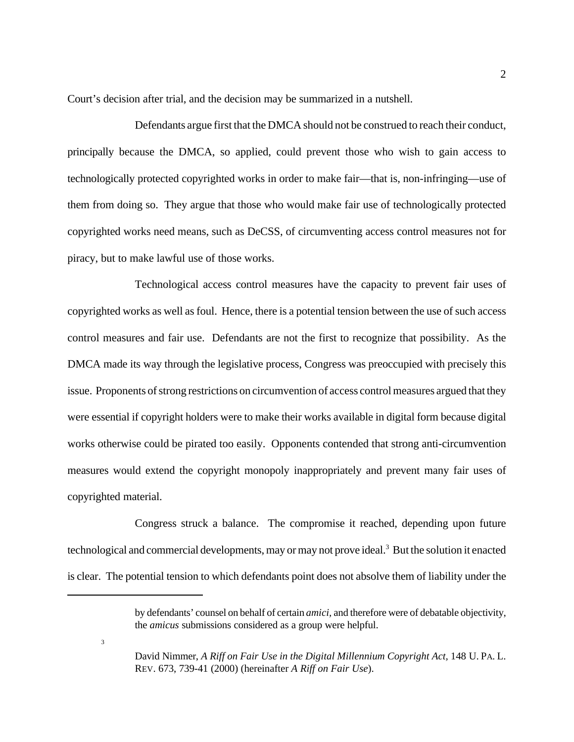Court's decision after trial, and the decision may be summarized in a nutshell.

Defendants argue first that the DMCA should not be construed to reach their conduct, principally because the DMCA, so applied, could prevent those who wish to gain access to technologically protected copyrighted works in order to make fair—that is, non-infringing—use of them from doing so. They argue that those who would make fair use of technologically protected copyrighted works need means, such as DeCSS, of circumventing access control measures not for piracy, but to make lawful use of those works.

Technological access control measures have the capacity to prevent fair uses of copyrighted works as well as foul. Hence, there is a potential tension between the use of such access control measures and fair use. Defendants are not the first to recognize that possibility. As the DMCA made its way through the legislative process, Congress was preoccupied with precisely this issue. Proponents of strong restrictions on circumvention of access control measures argued that they were essential if copyright holders were to make their works available in digital form because digital works otherwise could be pirated too easily. Opponents contended that strong anti-circumvention measures would extend the copyright monopoly inappropriately and prevent many fair uses of copyrighted material.

Congress struck a balance. The compromise it reached, depending upon future technological and commercial developments, may or may not prove ideal.<sup>3</sup> But the solution it enacted is clear. The potential tension to which defendants point does not absolve them of liability under the

by defendants' counsel on behalf of certain *amici,* and therefore were of debatable objectivity, the *amicus* submissions considered as a group were helpful.

David Nimmer, *A Riff on Fair Use in the Digital Millennium Copyright Act*, 148 U. PA. L. REV. 673, 739-41 (2000) (hereinafter *A Riff on Fair Use*).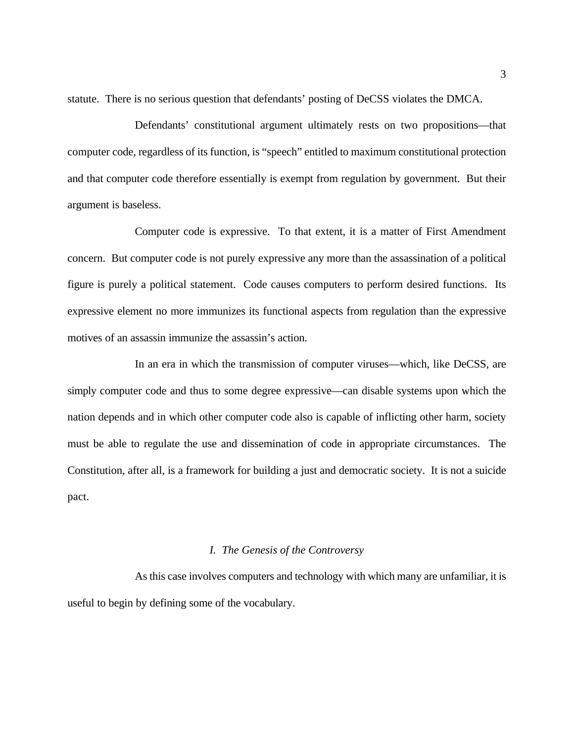statute. There is no serious question that defendants' posting of DeCSS violates the DMCA.

Defendants' constitutional argument ultimately rests on two propositions—that computer code, regardless of its function, is "speech" entitled to maximum constitutional protection and that computer code therefore essentially is exempt from regulation by government. But their argument is baseless.

Computer code is expressive. To that extent, it is a matter of First Amendment concern. But computer code is not purely expressive any more than the assassination of a political figure is purely a political statement. Code causes computers to perform desired functions. Its expressive element no more immunizes its functional aspects from regulation than the expressive motives of an assassin immunize the assassin's action.

In an era in which the transmission of computer viruses—which, like DeCSS, are simply computer code and thus to some degree expressive—can disable systems upon which the nation depends and in which other computer code also is capable of inflicting other harm, society must be able to regulate the use and dissemination of code in appropriate circumstances. The Constitution, after all, is a framework for building a just and democratic society. It is not a suicide pact.

#### *I. The Genesis of the Controversy*

As this case involves computers and technology with which many are unfamiliar, it is useful to begin by defining some of the vocabulary.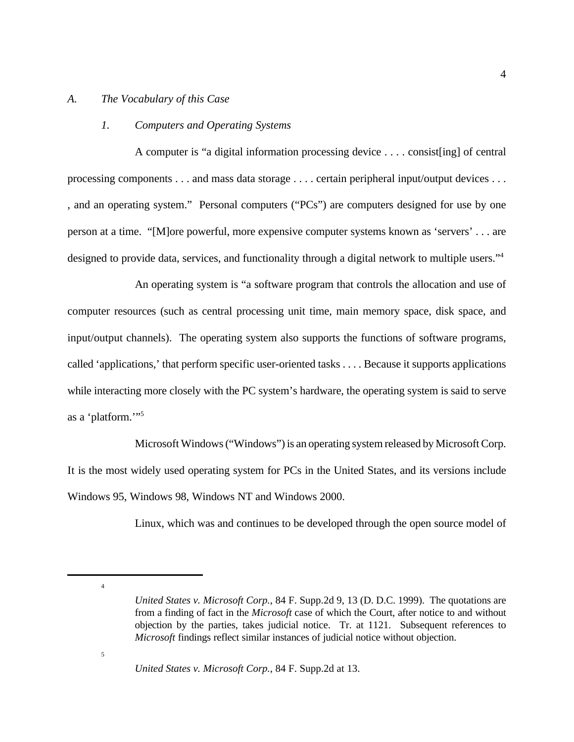#### *A. The Vocabulary of this Case*

#### *1. Computers and Operating Systems*

A computer is "a digital information processing device . . . . consist[ing] of central processing components . . . and mass data storage . . . . certain peripheral input/output devices . . . , and an operating system." Personal computers ("PCs") are computers designed for use by one person at a time. "[M]ore powerful, more expensive computer systems known as 'servers' . . . are designed to provide data, services, and functionality through a digital network to multiple users."<sup>4</sup>

An operating system is "a software program that controls the allocation and use of computer resources (such as central processing unit time, main memory space, disk space, and input/output channels). The operating system also supports the functions of software programs, called 'applications,' that perform specific user-oriented tasks . . . . Because it supports applications while interacting more closely with the PC system's hardware, the operating system is said to serve as a 'platform.'"<sup>5</sup>

Microsoft Windows ("Windows") is an operating system released by Microsoft Corp. It is the most widely used operating system for PCs in the United States, and its versions include Windows 95, Windows 98, Windows NT and Windows 2000.

Linux, which was and continues to be developed through the open source model of

<sup>4</sup>

*United States v. Microsoft Corp.*, 84 F. Supp.2d 9, 13 (D. D.C. 1999). The quotations are from a finding of fact in the *Microsoft* case of which the Court, after notice to and without objection by the parties, takes judicial notice. Tr. at 1121. Subsequent references to *Microsoft* findings reflect similar instances of judicial notice without objection.

*United States v. Microsoft Corp.*, 84 F. Supp.2d at 13.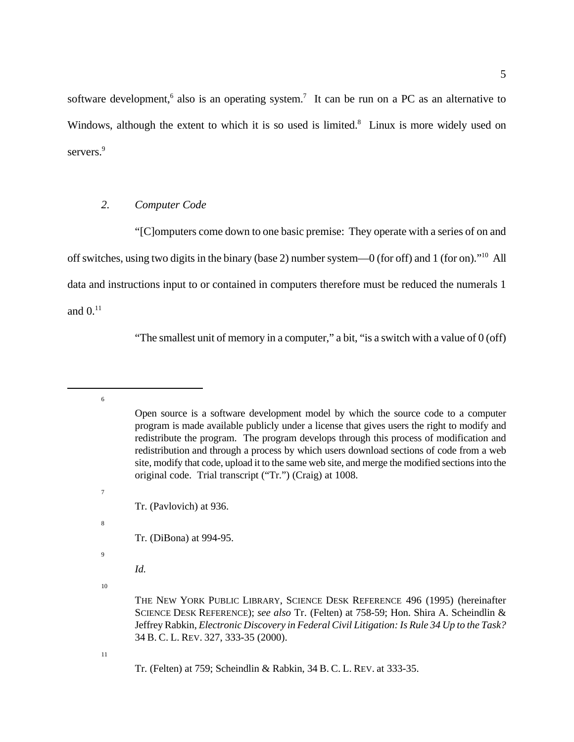software development,<sup>6</sup> also is an operating system.<sup>7</sup> It can be run on a PC as an alternative to Windows, although the extent to which it is so used is limited.<sup>8</sup> Linux is more widely used on servers.<sup>9</sup>

## *2. Computer Code*

"[C]omputers come down to one basic premise: They operate with a series of on and off switches, using two digits in the binary (base 2) number system—0 (for off) and 1 (for on)."<sup>10</sup> All data and instructions input to or contained in computers therefore must be reduced the numerals 1 and  $0<sup>11</sup>$ 

"The smallest unit of memory in a computer," a bit, "is a switch with a value of 0 (off)

Tr. (DiBona) at 994-95.

9

6

7

8

*Id.*

10

THE NEW YORK PUBLIC LIBRARY, SCIENCE DESK REFERENCE 496 (1995) (hereinafter SCIENCE DESK REFERENCE); *see also* Tr. (Felten) at 758-59; Hon. Shira A. Scheindlin & Jeffrey Rabkin, *Electronic Discovery in Federal Civil Litigation: Is Rule 34 Up to the Task?* 34 B. C. L. REV. 327, 333-35 (2000).

11

Tr. (Felten) at 759; Scheindlin & Rabkin, 34 B. C. L. REV. at 333-35.

Open source is a software development model by which the source code to a computer program is made available publicly under a license that gives users the right to modify and redistribute the program. The program develops through this process of modification and redistribution and through a process by which users download sections of code from a web site, modify that code, upload it to the same web site, and merge the modified sections into the original code. Trial transcript ("Tr.") (Craig) at 1008.

Tr. (Pavlovich) at 936.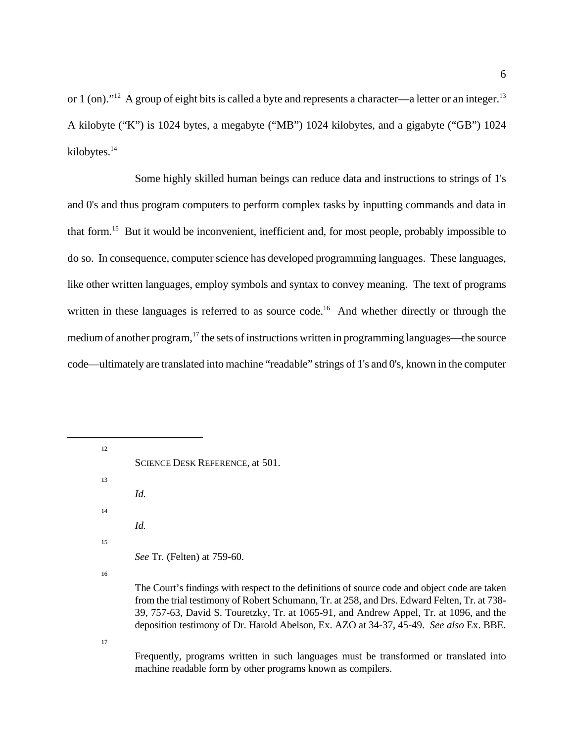or 1 (on)."<sup>12</sup> A group of eight bits is called a byte and represents a character—a letter or an integer.<sup>13</sup> A kilobyte ("K") is 1024 bytes, a megabyte ("MB") 1024 kilobytes, and a gigabyte ("GB") 1024 kilobytes.<sup>14</sup>

Some highly skilled human beings can reduce data and instructions to strings of 1's and 0's and thus program computers to perform complex tasks by inputting commands and data in that form.<sup>15</sup> But it would be inconvenient, inefficient and, for most people, probably impossible to do so. In consequence, computer science has developed programming languages. These languages, like other written languages, employ symbols and syntax to convey meaning. The text of programs written in these languages is referred to as source code.<sup>16</sup> And whether directly or through the medium of another program, $^{17}$  the sets of instructions written in programming languages—the source code—ultimately are translated into machine "readable" strings of 1's and 0's, known in the computer

| 12 |                                                                                                                                                                                                                                                                                                                                                                                   |
|----|-----------------------------------------------------------------------------------------------------------------------------------------------------------------------------------------------------------------------------------------------------------------------------------------------------------------------------------------------------------------------------------|
|    | <b>SCIENCE DESK REFERENCE, at 501.</b>                                                                                                                                                                                                                                                                                                                                            |
| 13 |                                                                                                                                                                                                                                                                                                                                                                                   |
|    | Id.                                                                                                                                                                                                                                                                                                                                                                               |
| 14 |                                                                                                                                                                                                                                                                                                                                                                                   |
|    | Id.                                                                                                                                                                                                                                                                                                                                                                               |
| 15 |                                                                                                                                                                                                                                                                                                                                                                                   |
|    | See Tr. (Felten) at 759-60.                                                                                                                                                                                                                                                                                                                                                       |
| 16 |                                                                                                                                                                                                                                                                                                                                                                                   |
|    | The Court's findings with respect to the definitions of source code and object code are taken<br>from the trial testimony of Robert Schumann, Tr. at 258, and Drs. Edward Felten, Tr. at 738-<br>39, 757-63, David S. Touretzky, Tr. at 1065-91, and Andrew Appel, Tr. at 1096, and the<br>deposition testimony of Dr. Harold Abelson, Ex. AZO at 34-37, 45-49. See also Ex. BBE. |
| 17 |                                                                                                                                                                                                                                                                                                                                                                                   |
|    | Frequently programs written in such languages must be transformed or translated into                                                                                                                                                                                                                                                                                              |

Frequently, programs written in such languages must be transformed or translated into machine readable form by other programs known as compilers.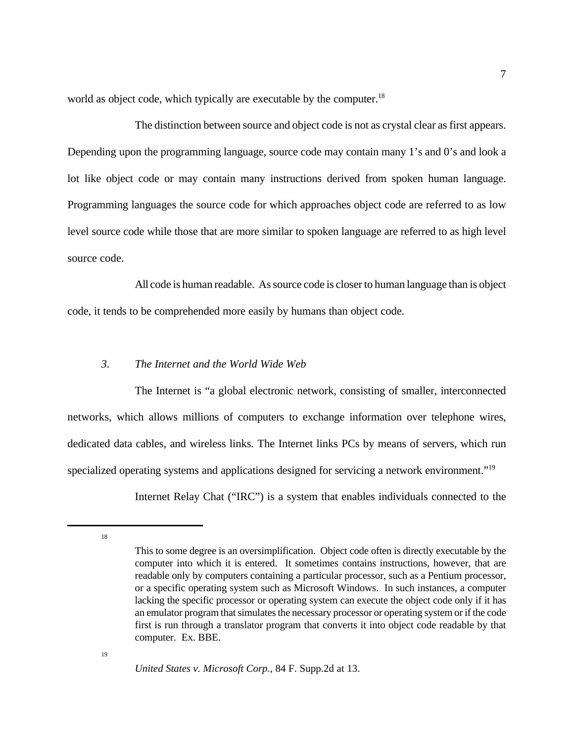world as object code, which typically are executable by the computer.<sup>18</sup>

The distinction between source and object code is not as crystal clear as first appears. Depending upon the programming language, source code may contain many 1's and 0's and look a lot like object code or may contain many instructions derived from spoken human language. Programming languages the source code for which approaches object code are referred to as low level source code while those that are more similar to spoken language are referred to as high level source code.

All code is human readable. As source code is closer to human language than is object code, it tends to be comprehended more easily by humans than object code.

#### *3. The Internet and the World Wide Web*

The Internet is "a global electronic network, consisting of smaller, interconnected networks, which allows millions of computers to exchange information over telephone wires, dedicated data cables, and wireless links. The Internet links PCs by means of servers, which run specialized operating systems and applications designed for servicing a network environment."<sup>19</sup>

Internet Relay Chat ("IRC") is a system that enables individuals connected to the

18

This to some degree is an oversimplification. Object code often is directly executable by the computer into which it is entered. It sometimes contains instructions, however, that are readable only by computers containing a particular processor, such as a Pentium processor, or a specific operating system such as Microsoft Windows. In such instances, a computer lacking the specific processor or operating system can execute the object code only if it has an emulator program that simulates the necessary processor or operating system or if the code first is run through a translator program that converts it into object code readable by that computer. Ex. BBE.

*United States v. Microsoft Corp.*, 84 F. Supp.2d at 13.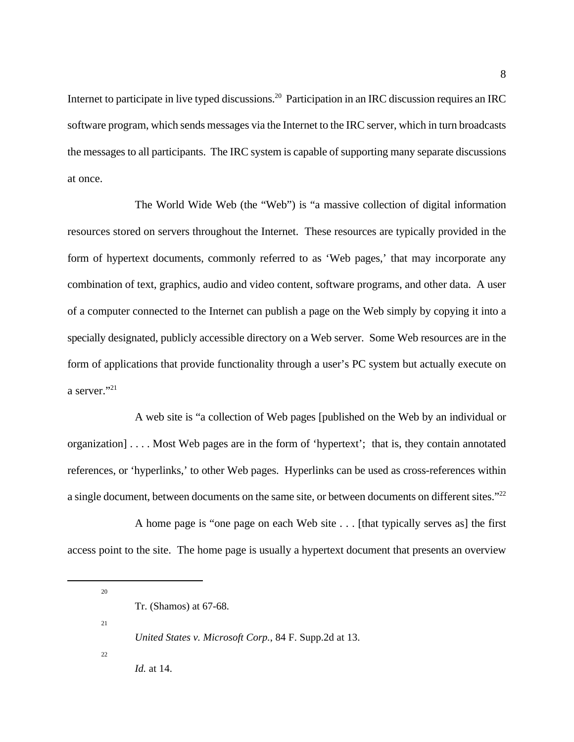Internet to participate in live typed discussions.<sup>20</sup> Participation in an IRC discussion requires an IRC software program, which sends messages via the Internet to the IRC server, which in turn broadcasts the messages to all participants. The IRC system is capable of supporting many separate discussions at once.

The World Wide Web (the "Web") is "a massive collection of digital information resources stored on servers throughout the Internet. These resources are typically provided in the form of hypertext documents, commonly referred to as 'Web pages,' that may incorporate any combination of text, graphics, audio and video content, software programs, and other data. A user of a computer connected to the Internet can publish a page on the Web simply by copying it into a specially designated, publicly accessible directory on a Web server. Some Web resources are in the form of applications that provide functionality through a user's PC system but actually execute on a server."<sup>21</sup>

A web site is "a collection of Web pages [published on the Web by an individual or organization] . . . . Most Web pages are in the form of 'hypertext'; that is, they contain annotated references, or 'hyperlinks,' to other Web pages. Hyperlinks can be used as cross-references within a single document, between documents on the same site, or between documents on different sites."<sup>22</sup>

A home page is "one page on each Web site . . . [that typically serves as] the first access point to the site. The home page is usually a hypertext document that presents an overview

 $20<sub>2</sub>$ 

21

22

*Id.* at 14.

Tr. (Shamos) at 67-68.

*United States v. Microsoft Corp.*, 84 F. Supp.2d at 13.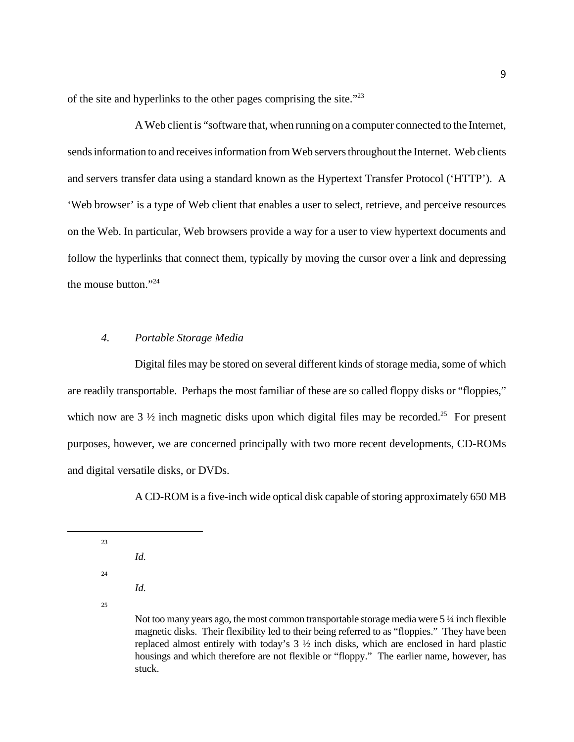of the site and hyperlinks to the other pages comprising the site."<sup>23</sup>

A Web client is "software that, when running on a computer connected to the Internet, sends information to and receives information from Web servers throughout the Internet. Web clients and servers transfer data using a standard known as the Hypertext Transfer Protocol ('HTTP'). A 'Web browser' is a type of Web client that enables a user to select, retrieve, and perceive resources on the Web. In particular, Web browsers provide a way for a user to view hypertext documents and follow the hyperlinks that connect them, typically by moving the cursor over a link and depressing the mouse button."<sup>24</sup>

#### *4. Portable Storage Media*

Digital files may be stored on several different kinds of storage media, some of which are readily transportable. Perhaps the most familiar of these are so called floppy disks or "floppies," which now are  $3\frac{1}{2}$  inch magnetic disks upon which digital files may be recorded.<sup>25</sup> For present purposes, however, we are concerned principally with two more recent developments, CD-ROMs and digital versatile disks, or DVDs.

A CD-ROM is a five-inch wide optical disk capable of storing approximately 650 MB

- *Id.*
- 25

<sup>23</sup>

Not too many years ago, the most common transportable storage media were 5 ¼ inch flexible magnetic disks. Their flexibility led to their being referred to as "floppies." They have been replaced almost entirely with today's 3 ½ inch disks, which are enclosed in hard plastic housings and which therefore are not flexible or "floppy." The earlier name, however, has stuck.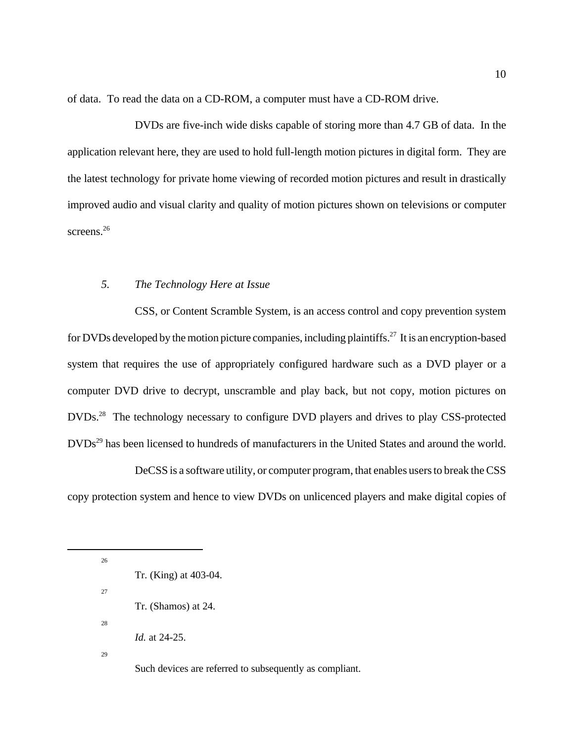of data. To read the data on a CD-ROM, a computer must have a CD-ROM drive.

DVDs are five-inch wide disks capable of storing more than 4.7 GB of data. In the application relevant here, they are used to hold full-length motion pictures in digital form. They are the latest technology for private home viewing of recorded motion pictures and result in drastically improved audio and visual clarity and quality of motion pictures shown on televisions or computer screens.<sup>26</sup>

## *5. The Technology Here at Issue*

CSS, or Content Scramble System, is an access control and copy prevention system for DVDs developed by the motion picture companies, including plaintiffs.<sup>27</sup> It is an encryption-based system that requires the use of appropriately configured hardware such as a DVD player or a computer DVD drive to decrypt, unscramble and play back, but not copy, motion pictures on DVDs.<sup>28</sup> The technology necessary to configure DVD players and drives to play CSS-protected DVDs<sup>29</sup> has been licensed to hundreds of manufacturers in the United States and around the world.

DeCSS is a software utility, or computer program, that enables users to break the CSS copy protection system and hence to view DVDs on unlicenced players and make digital copies of

26 Tr. (King) at 403-04. 27 Tr. (Shamos) at 24. 28 *Id.* at 24-25.  $29$ Such devices are referred to subsequently as compliant.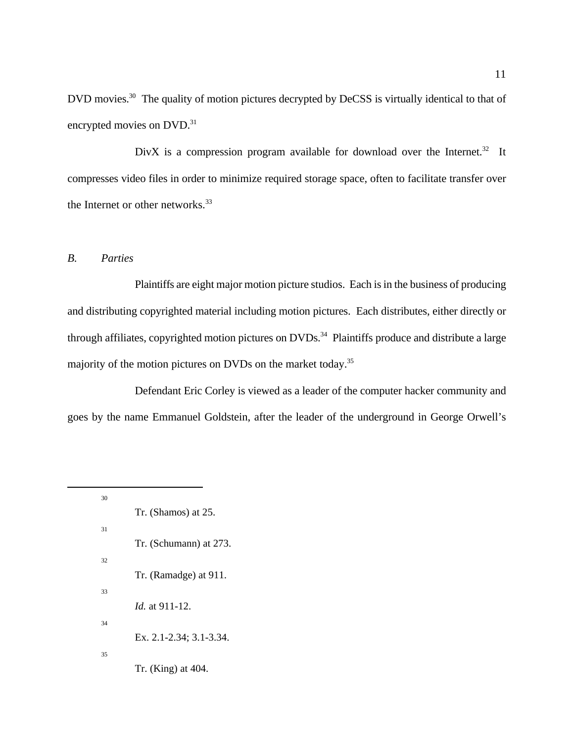DVD movies.<sup>30</sup> The quality of motion pictures decrypted by DeCSS is virtually identical to that of encrypted movies on DVD.<sup>31</sup>

DivX is a compression program available for download over the Internet.<sup>32</sup> It compresses video files in order to minimize required storage space, often to facilitate transfer over the Internet or other networks.<sup>33</sup>

### *B. Parties*

Plaintiffs are eight major motion picture studios. Each is in the business of producing and distributing copyrighted material including motion pictures. Each distributes, either directly or through affiliates, copyrighted motion pictures on DVDs.<sup>34</sup> Plaintiffs produce and distribute a large majority of the motion pictures on DVDs on the market today.<sup>35</sup>

Defendant Eric Corley is viewed as a leader of the computer hacker community and goes by the name Emmanuel Goldstein, after the leader of the underground in George Orwell's

30 Tr. (Shamos) at 25. 31 Tr. (Schumann) at 273. 32 Tr. (Ramadge) at 911. 33 *Id.* at 911-12. 34 Ex. 2.1-2.34; 3.1-3.34. 35 Tr. (King) at 404.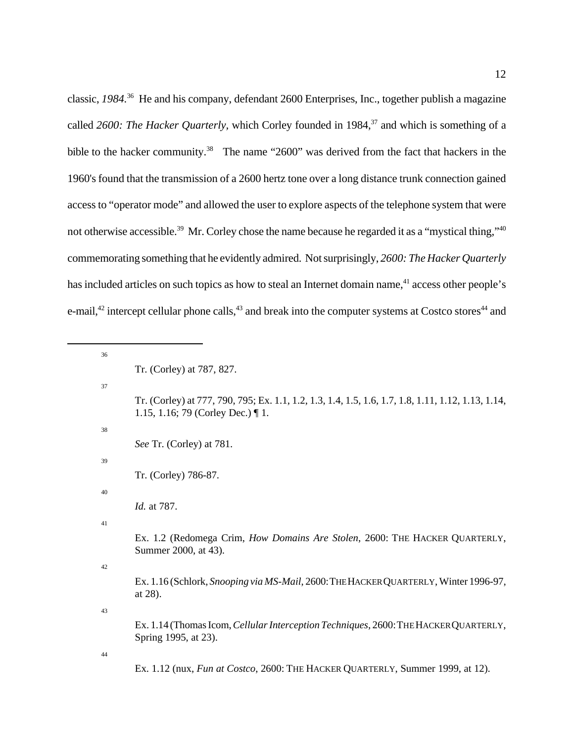classic, *1984.*<sup>36</sup> He and his company, defendant 2600 Enterprises, Inc., together publish a magazine called *2600: The Hacker Quarterly,* which Corley founded in 1984,<sup>37</sup> and which is something of a bible to the hacker community.<sup>38</sup> The name "2600" was derived from the fact that hackers in the 1960's found that the transmission of a 2600 hertz tone over a long distance trunk connection gained access to "operator mode" and allowed the user to explore aspects of the telephone system that were not otherwise accessible.<sup>39</sup> Mr. Corley chose the name because he regarded it as a "mystical thing,"<sup>40</sup> commemorating something that he evidently admired. Not surprisingly, *2600: The Hacker Quarterly* has included articles on such topics as how to steal an Internet domain name,<sup>41</sup> access other people's e-mail, $^{42}$  intercept cellular phone calls, $^{43}$  and break into the computer systems at Costco stores<sup>44</sup> and

<sup>36</sup> Tr. (Corley) at 787, 827. 37 Tr. (Corley) at 777, 790, 795; Ex. 1.1, 1.2, 1.3, 1.4, 1.5, 1.6, 1.7, 1.8, 1.11, 1.12, 1.13, 1.14, 1.15, 1.16; 79 (Corley Dec.) ¶ 1. 38 *See* Tr. (Corley) at 781. 39 Tr. (Corley) 786-87. 40 *Id.* at 787. 41 Ex. 1.2 (Redomega Crim, *How Domains Are Stolen*, 2600: THE HACKER QUARTERLY, Summer 2000, at 43). 42 Ex. 1.16 (Schlork, *Snooping via MS-Mail*, 2600:THE HACKER QUARTERLY, Winter 1996-97, at 28). 43 Ex. 1.14 (Thomas Icom, *Cellular Interception Techniques*, 2600:THEHACKERQUARTERLY, Spring 1995, at 23). 44 Ex. 1.12 (nux, *Fun at Costco*, 2600: THE HACKER QUARTERLY, Summer 1999, at 12).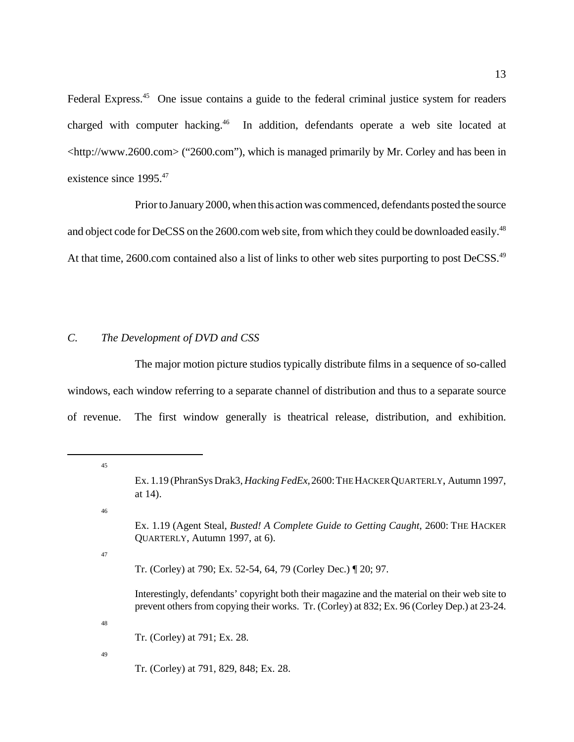Federal Express.<sup>45</sup> One issue contains a guide to the federal criminal justice system for readers charged with computer hacking.<sup>46</sup> In addition, defendants operate a web site located at <http://www.2600.com> ("2600.com"), which is managed primarily by Mr. Corley and has been in existence since 1995.<sup>47</sup>

Prior to January 2000, when this action was commenced, defendants posted the source and object code for DeCSS on the 2600.com web site, from which they could be downloaded easily.<sup>48</sup> At that time, 2600.com contained also a list of links to other web sites purporting to post DeCSS.<sup>49</sup>

#### *C. The Development of DVD and CSS*

The major motion picture studios typically distribute films in a sequence of so-called windows, each window referring to a separate channel of distribution and thus to a separate source of revenue. The first window generally is theatrical release, distribution, and exhibition.

45 Ex. 1.19 (PhranSys Drak3, *Hacking FedEx,*2600:THEHACKERQUARTERLY, Autumn 1997, at 14). 46 Ex. 1.19 (Agent Steal, *Busted! A Complete Guide to Getting Caught*, 2600: THE HACKER QUARTERLY, Autumn 1997, at 6). 47 Tr. (Corley) at 790; Ex. 52-54, 64, 79 (Corley Dec.) ¶ 20; 97. Interestingly, defendants' copyright both their magazine and the material on their web site to prevent others from copying their works. Tr. (Corley) at 832; Ex. 96 (Corley Dep.) at 23-24. 48 Tr. (Corley) at 791; Ex. 28. 49

Tr. (Corley) at 791, 829, 848; Ex. 28.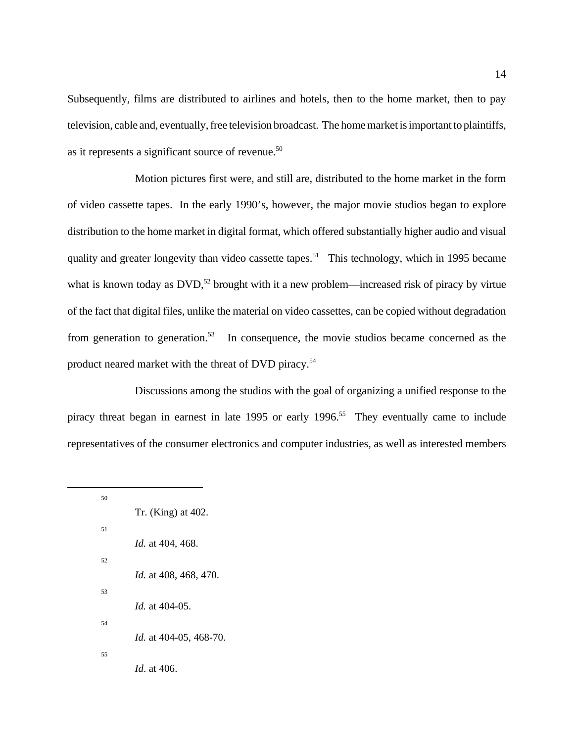Subsequently, films are distributed to airlines and hotels, then to the home market, then to pay television, cable and, eventually, free television broadcast. The home market is important to plaintiffs, as it represents a significant source of revenue.<sup>50</sup>

Motion pictures first were, and still are, distributed to the home market in the form of video cassette tapes. In the early 1990's, however, the major movie studios began to explore distribution to the home market in digital format, which offered substantially higher audio and visual quality and greater longevity than video cassette tapes.<sup>51</sup> This technology, which in 1995 became what is known today as  $DVD<sub>1</sub><sup>52</sup>$  brought with it a new problem—increased risk of piracy by virtue of the fact that digital files, unlike the material on video cassettes, can be copied without degradation from generation to generation.<sup>53</sup> In consequence, the movie studios became concerned as the product neared market with the threat of DVD piracy.<sup>54</sup>

Discussions among the studios with the goal of organizing a unified response to the piracy threat began in earnest in late 1995 or early  $1996$ <sup>55</sup>. They eventually came to include representatives of the consumer electronics and computer industries, as well as interested members

| 50 |                               |
|----|-------------------------------|
|    | Tr. (King) at 402.            |
| 51 |                               |
|    | <i>Id.</i> at 404, 468.       |
| 52 |                               |
|    | Id. at 408, 468, 470.         |
| 53 | <i>Id.</i> at $404-05$ .      |
| 54 |                               |
|    | <i>Id.</i> at 404-05, 468-70. |
| 55 |                               |
|    | <i>Id.</i> at 406.            |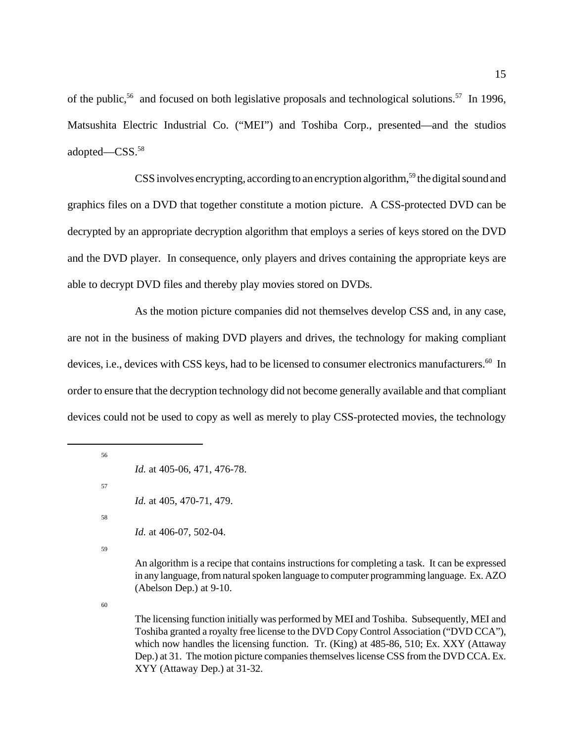of the public,<sup>56</sup> and focused on both legislative proposals and technological solutions.<sup>57</sup> In 1996, Matsushita Electric Industrial Co. ("MEI") and Toshiba Corp., presented—and the studios adopted—CSS.<sup>58</sup>

CSS involves encrypting, according to an encryption algorithm,<sup>59</sup> the digital sound and graphics files on a DVD that together constitute a motion picture. A CSS-protected DVD can be decrypted by an appropriate decryption algorithm that employs a series of keys stored on the DVD and the DVD player. In consequence, only players and drives containing the appropriate keys are able to decrypt DVD files and thereby play movies stored on DVDs.

As the motion picture companies did not themselves develop CSS and, in any case, are not in the business of making DVD players and drives, the technology for making compliant devices, i.e., devices with CSS keys, had to be licensed to consumer electronics manufacturers.<sup>60</sup> In order to ensure that the decryption technology did not become generally available and that compliant devices could not be used to copy as well as merely to play CSS-protected movies, the technology

56 *Id.* at 405-06, 471, 476-78. 57 *Id.* at 405, 470-71, 479. 58

*Id.* at 406-07, 502-04.

59

An algorithm is a recipe that contains instructions for completing a task. It can be expressed in any language, from natural spoken language to computer programming language. Ex. AZO (Abelson Dep.) at 9-10.

60

The licensing function initially was performed by MEI and Toshiba. Subsequently, MEI and Toshiba granted a royalty free license to the DVD Copy Control Association ("DVD CCA"), which now handles the licensing function. Tr. (King) at 485-86, 510; Ex. XXY (Attaway Dep.) at 31. The motion picture companies themselves license CSS from the DVD CCA. Ex. XYY (Attaway Dep.) at 31-32.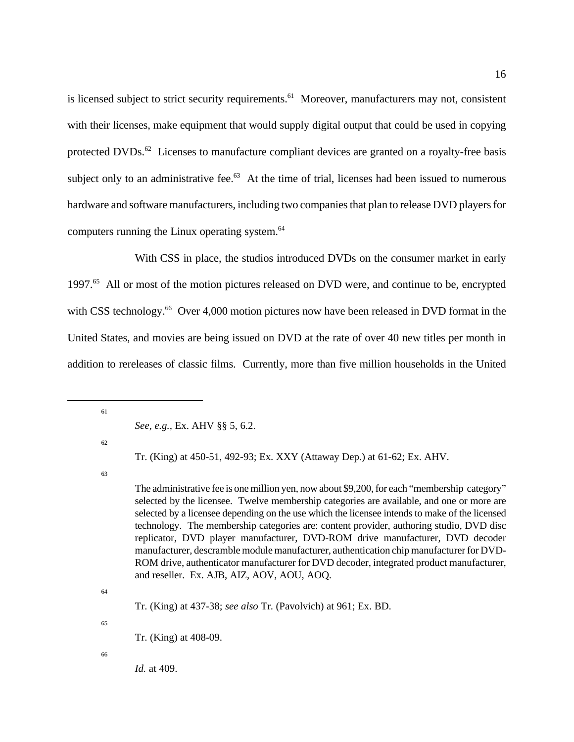is licensed subject to strict security requirements.<sup>61</sup> Moreover, manufacturers may not, consistent with their licenses, make equipment that would supply digital output that could be used in copying protected DVDs.<sup>62</sup> Licenses to manufacture compliant devices are granted on a royalty-free basis subject only to an administrative fee.<sup>63</sup> At the time of trial, licenses had been issued to numerous hardware and software manufacturers, including two companies that plan to release DVD players for computers running the Linux operating system.<sup>64</sup>

With CSS in place, the studios introduced DVDs on the consumer market in early 1997.<sup>65</sup> All or most of the motion pictures released on DVD were, and continue to be, encrypted with CSS technology.<sup>66</sup> Over 4,000 motion pictures now have been released in DVD format in the United States, and movies are being issued on DVD at the rate of over 40 new titles per month in addition to rereleases of classic films. Currently, more than five million households in the United

61

62

Tr. (King) at 450-51, 492-93; Ex. XXY (Attaway Dep.) at 61-62; Ex. AHV.

63

64

Tr. (King) at 437-38; *see also* Tr. (Pavolvich) at 961; Ex. BD.

65

Tr. (King) at 408-09.

66

*Id.* at 409.

*See, e.g.,* Ex. AHV §§ 5, 6.2.

The administrative fee is one million yen, now about \$9,200, for each "membership category" selected by the licensee. Twelve membership categories are available, and one or more are selected by a licensee depending on the use which the licensee intends to make of the licensed technology. The membership categories are: content provider, authoring studio, DVD disc replicator, DVD player manufacturer, DVD-ROM drive manufacturer, DVD decoder manufacturer, descramble module manufacturer, authentication chip manufacturer for DVD-ROM drive, authenticator manufacturer for DVD decoder, integrated product manufacturer, and reseller. Ex. AJB, AIZ, AOV, AOU, AOQ.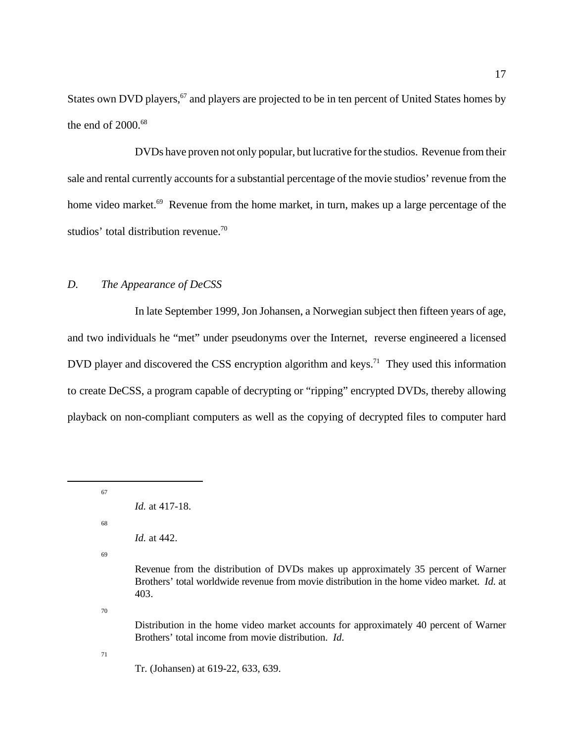States own DVD players,  $67$  and players are projected to be in ten percent of United States homes by the end of  $2000$ .<sup>68</sup>

DVDs have proven not only popular, but lucrative for the studios. Revenue from their sale and rental currently accounts for a substantial percentage of the movie studios' revenue from the home video market.<sup>69</sup> Revenue from the home market, in turn, makes up a large percentage of the studios' total distribution revenue.<sup>70</sup>

## *D. The Appearance of DeCSS*

In late September 1999, Jon Johansen, a Norwegian subject then fifteen years of age, and two individuals he "met" under pseudonyms over the Internet, reverse engineered a licensed DVD player and discovered the CSS encryption algorithm and keys.<sup>71</sup> They used this information to create DeCSS, a program capable of decrypting or "ripping" encrypted DVDs, thereby allowing playback on non-compliant computers as well as the copying of decrypted files to computer hard

67

Tr. (Johansen) at 619-22, 633, 639.

68

69

70

71

Distribution in the home video market accounts for approximately 40 percent of Warner Brothers' total income from movie distribution. *Id*.

*Id.* at 417-18.

*Id.* at 442.

Revenue from the distribution of DVDs makes up approximately 35 percent of Warner Brothers' total worldwide revenue from movie distribution in the home video market. *Id.* at 403.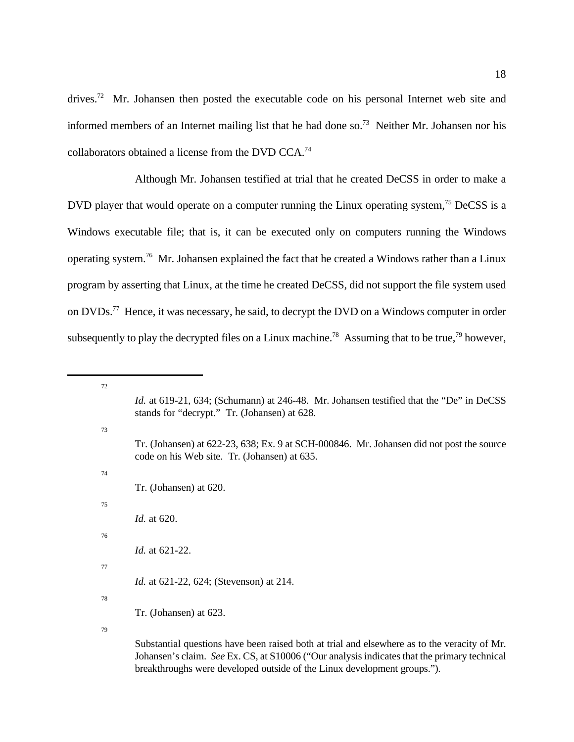drives.<sup>72</sup> Mr. Johansen then posted the executable code on his personal Internet web site and informed members of an Internet mailing list that he had done so.<sup>73</sup> Neither Mr. Johansen nor his collaborators obtained a license from the DVD CCA.<sup>74</sup>

Although Mr. Johansen testified at trial that he created DeCSS in order to make a DVD player that would operate on a computer running the Linux operating system,<sup>75</sup> DeCSS is a Windows executable file; that is, it can be executed only on computers running the Windows operating system.<sup>76</sup> Mr. Johansen explained the fact that he created a Windows rather than a Linux program by asserting that Linux, at the time he created DeCSS, did not support the file system used on DVDs.<sup>77</sup> Hence, it was necessary, he said, to decrypt the DVD on a Windows computer in order subsequently to play the decrypted files on a Linux machine.<sup>78</sup> Assuming that to be true,<sup>79</sup> however,

Johansen's claim. *See* Ex. CS, at S10006 ("Our analysis indicates that the primary technical breakthroughs were developed outside of the Linux development groups.").

<sup>72</sup> *Id.* at 619-21, 634; (Schumann) at 246-48. Mr. Johansen testified that the "De" in DeCSS stands for "decrypt." Tr. (Johansen) at 628. 73 Tr. (Johansen) at 622-23, 638; Ex. 9 at SCH-000846. Mr. Johansen did not post the source code on his Web site. Tr. (Johansen) at 635. 74 Tr. (Johansen) at 620. 75 *Id.* at 620. 76 *Id.* at 621-22. 77 *Id.* at 621-22, 624; (Stevenson) at 214. 78 Tr. (Johansen) at 623. 79 Substantial questions have been raised both at trial and elsewhere as to the veracity of Mr.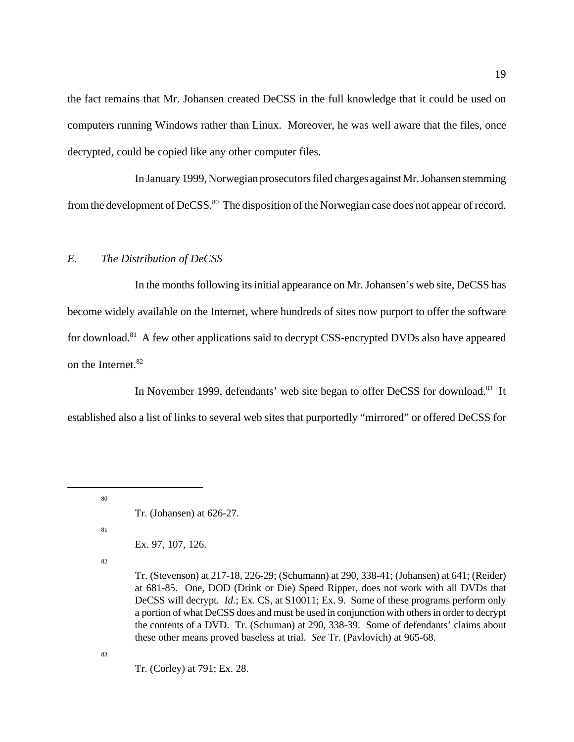the fact remains that Mr. Johansen created DeCSS in the full knowledge that it could be used on computers running Windows rather than Linux. Moreover, he was well aware that the files, once decrypted, could be copied like any other computer files.

In January 1999, Norwegian prosecutors filed charges against Mr. Johansen stemming from the development of DeCSS.<sup>80</sup> The disposition of the Norwegian case does not appear of record.

## *E. The Distribution of DeCSS*

In the months following its initial appearance on Mr. Johansen's web site, DeCSS has become widely available on the Internet, where hundreds of sites now purport to offer the software for download.<sup>81</sup> A few other applications said to decrypt CSS-encrypted DVDs also have appeared on the Internet.<sup>82</sup>

In November 1999, defendants' web site began to offer DeCSS for download.<sup>83</sup> It established also a list of links to several web sites that purportedly "mirrored" or offered DeCSS for

80

81

Ex. 97, 107, 126.

82

83

Tr. (Corley) at 791; Ex. 28.

Tr. (Johansen) at 626-27.

Tr. (Stevenson) at 217-18, 226-29; (Schumann) at 290, 338-41; (Johansen) at 641; (Reider) at 681-85. One, DOD (Drink or Die) Speed Ripper, does not work with all DVDs that DeCSS will decrypt. *Id*.; Ex. CS, at S10011; Ex. 9. Some of these programs perform only a portion of what DeCSS does and must be used in conjunction with others in order to decrypt the contents of a DVD. Tr. (Schuman) at 290, 338-39. Some of defendants' claims about these other means proved baseless at trial. *See* Tr. (Pavlovich) at 965-68.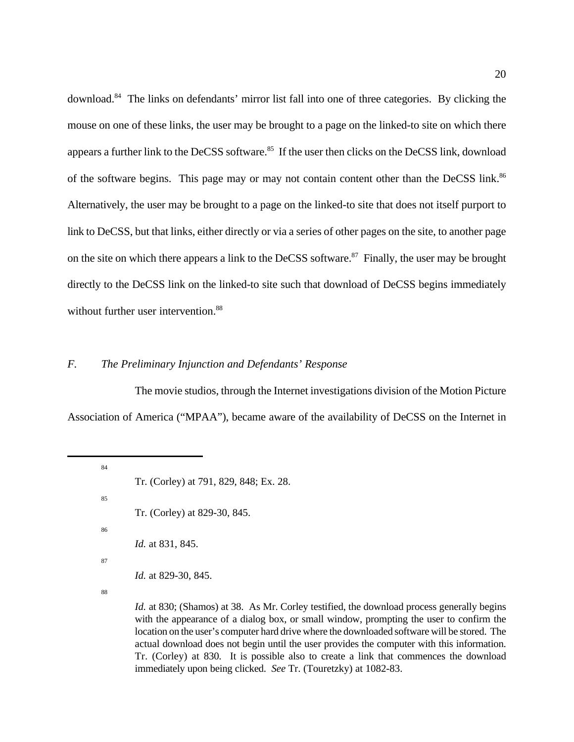download.<sup>84</sup> The links on defendants' mirror list fall into one of three categories. By clicking the mouse on one of these links, the user may be brought to a page on the linked-to site on which there appears a further link to the DeCSS software.<sup>85</sup> If the user then clicks on the DeCSS link, download of the software begins. This page may or may not contain content other than the DeCSS link.<sup>86</sup> Alternatively, the user may be brought to a page on the linked-to site that does not itself purport to link to DeCSS, but that links, either directly or via a series of other pages on the site, to another page on the site on which there appears a link to the DeCSS software.<sup>87</sup> Finally, the user may be brought directly to the DeCSS link on the linked-to site such that download of DeCSS begins immediately without further user intervention.<sup>88</sup>

#### *F. The Preliminary Injunction and Defendants' Response*

The movie studios, through the Internet investigations division of the Motion Picture Association of America ("MPAA"), became aware of the availability of DeCSS on the Internet in

84 Tr. (Corley) at 791, 829, 848; Ex. 28. 85 Tr. (Corley) at 829-30, 845. 86 *Id.* at 831, 845. 87 *Id.* at 829-30, 845. 88

*Id.* at 830; (Shamos) at 38. As Mr. Corley testified, the download process generally begins with the appearance of a dialog box, or small window, prompting the user to confirm the location on the user's computer hard drive where the downloaded software will be stored. The actual download does not begin until the user provides the computer with this information. Tr. (Corley) at 830. It is possible also to create a link that commences the download immediately upon being clicked. *See* Tr. (Touretzky) at 1082-83.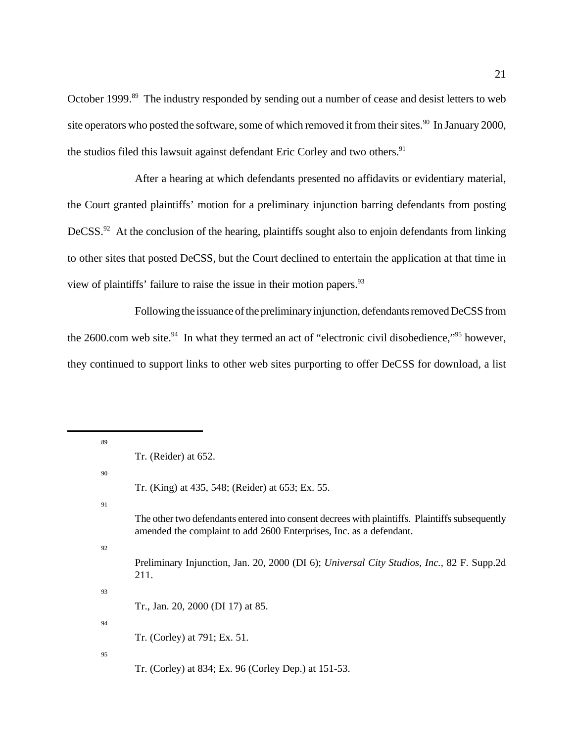October 1999.<sup>89</sup> The industry responded by sending out a number of cease and desist letters to web site operators who posted the software, some of which removed it from their sites.<sup>90</sup> In January 2000, the studios filed this lawsuit against defendant Eric Corley and two others.<sup>91</sup>

After a hearing at which defendants presented no affidavits or evidentiary material, the Court granted plaintiffs' motion for a preliminary injunction barring defendants from posting DeCSS.<sup>92</sup> At the conclusion of the hearing, plaintiffs sought also to enjoin defendants from linking to other sites that posted DeCSS, but the Court declined to entertain the application at that time in view of plaintiffs' failure to raise the issue in their motion papers.<sup>93</sup>

Following the issuance of the preliminary injunction, defendants removed DeCSS from the 2600.com web site.<sup>94</sup> In what they termed an act of "electronic civil disobedience,"<sup>95</sup> however, they continued to support links to other web sites purporting to offer DeCSS for download, a list

<sup>89</sup> Tr. (Reider) at 652. 90 Tr. (King) at 435, 548; (Reider) at 653; Ex. 55. 91 The other two defendants entered into consent decrees with plaintiffs. Plaintiffs subsequently amended the complaint to add 2600 Enterprises, Inc. as a defendant. 92 Preliminary Injunction, Jan. 20, 2000 (DI 6); *Universal City Studios, Inc.*, 82 F. Supp.2d 211. 93 Tr., Jan. 20, 2000 (DI 17) at 85. 94 Tr. (Corley) at 791; Ex. 51. 95 Tr. (Corley) at 834; Ex. 96 (Corley Dep.) at 151-53.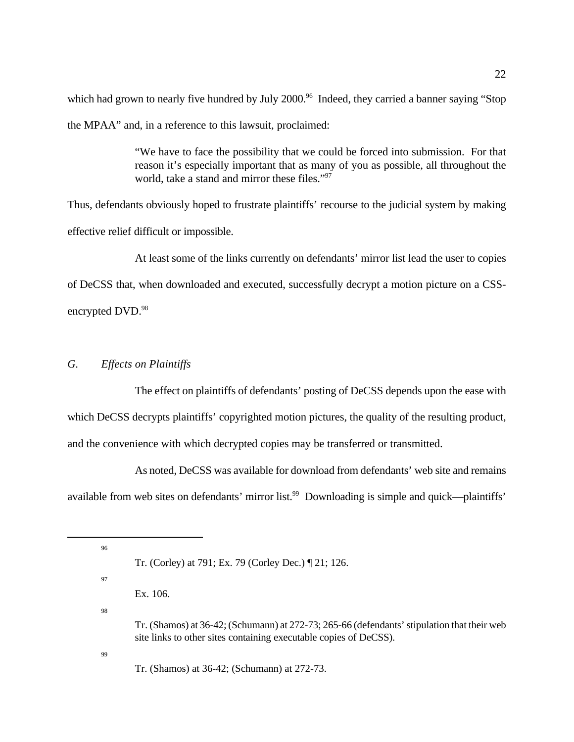which had grown to nearly five hundred by July 2000.<sup>96</sup> Indeed, they carried a banner saying "Stop the MPAA" and, in a reference to this lawsuit, proclaimed:

> "We have to face the possibility that we could be forced into submission. For that reason it's especially important that as many of you as possible, all throughout the world, take a stand and mirror these files."<sup>97</sup>

Thus, defendants obviously hoped to frustrate plaintiffs' recourse to the judicial system by making effective relief difficult or impossible.

At least some of the links currently on defendants' mirror list lead the user to copies of DeCSS that, when downloaded and executed, successfully decrypt a motion picture on a CSSencrypted DVD.<sup>98</sup>

### *G. Effects on Plaintiffs*

The effect on plaintiffs of defendants' posting of DeCSS depends upon the ease with which DeCSS decrypts plaintiffs' copyrighted motion pictures, the quality of the resulting product, and the convenience with which decrypted copies may be transferred or transmitted.

As noted, DeCSS was available for download from defendants' web site and remains available from web sites on defendants' mirror list.<sup>99</sup> Downloading is simple and quick—plaintiffs'

96

Tr. (Corley) at 791; Ex. 79 (Corley Dec.) ¶ 21; 126.

97

98

Tr. (Shamos) at 36-42; (Schumann) at 272-73; 265-66 (defendants' stipulation that their web site links to other sites containing executable copies of DeCSS).

99

Tr. (Shamos) at 36-42; (Schumann) at 272-73.

Ex. 106.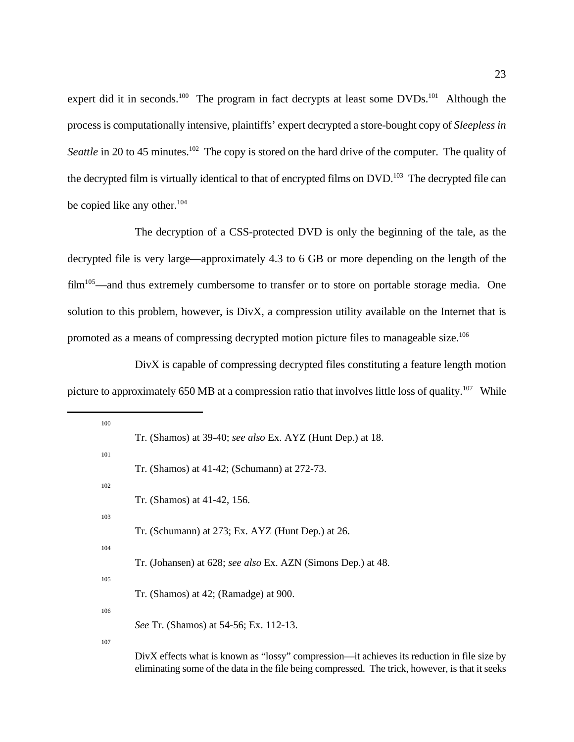expert did it in seconds.<sup>100</sup> The program in fact decrypts at least some DVDs.<sup>101</sup> Although the process is computationally intensive, plaintiffs' expert decrypted a store-bought copy of *Sleepless in Seattle* in 20 to 45 minutes.<sup>102</sup> The copy is stored on the hard drive of the computer. The quality of the decrypted film is virtually identical to that of encrypted films on DVD.<sup>103</sup> The decrypted file can be copied like any other.<sup>104</sup>

The decryption of a CSS-protected DVD is only the beginning of the tale, as the decrypted file is very large—approximately 4.3 to 6 GB or more depending on the length of the film<sup>105</sup>—and thus extremely cumbersome to transfer or to store on portable storage media. One solution to this problem, however, is DivX, a compression utility available on the Internet that is promoted as a means of compressing decrypted motion picture files to manageable size.<sup>106</sup>

DivX is capable of compressing decrypted files constituting a feature length motion picture to approximately 650 MB at a compression ratio that involves little loss of quality.<sup>107</sup> While

| 100 |                                                                                                                                                                                                |  |
|-----|------------------------------------------------------------------------------------------------------------------------------------------------------------------------------------------------|--|
|     | Tr. (Shamos) at 39-40; see also Ex. AYZ (Hunt Dep.) at 18.                                                                                                                                     |  |
| 101 |                                                                                                                                                                                                |  |
|     | Tr. (Shamos) at 41-42; (Schumann) at 272-73.                                                                                                                                                   |  |
| 102 |                                                                                                                                                                                                |  |
|     | Tr. (Shamos) at 41-42, 156.                                                                                                                                                                    |  |
| 103 |                                                                                                                                                                                                |  |
|     | Tr. (Schumann) at 273; Ex. AYZ (Hunt Dep.) at 26.                                                                                                                                              |  |
| 104 |                                                                                                                                                                                                |  |
|     | Tr. (Johansen) at 628; see also Ex. AZN (Simons Dep.) at 48.                                                                                                                                   |  |
| 105 |                                                                                                                                                                                                |  |
|     | Tr. (Shamos) at 42; (Ramadge) at 900.                                                                                                                                                          |  |
| 106 |                                                                                                                                                                                                |  |
|     | See Tr. (Shamos) at 54-56; Ex. 112-13.                                                                                                                                                         |  |
| 107 |                                                                                                                                                                                                |  |
|     | DivX effects what is known as "lossy" compression—it achieves its reduction in file size by<br>eliminating some of the data in the file being compressed. The trick, however, is that it seeks |  |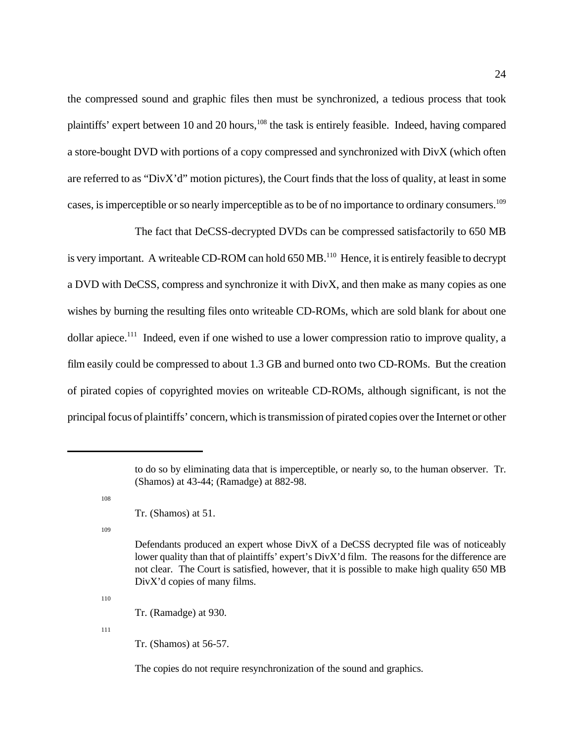the compressed sound and graphic files then must be synchronized, a tedious process that took plaintiffs' expert between 10 and 20 hours,<sup>108</sup> the task is entirely feasible. Indeed, having compared a store-bought DVD with portions of a copy compressed and synchronized with DivX (which often are referred to as "DivX'd" motion pictures), the Court finds that the loss of quality, at least in some cases, is imperceptible or so nearly imperceptible as to be of no importance to ordinary consumers.<sup>109</sup>

The fact that DeCSS-decrypted DVDs can be compressed satisfactorily to 650 MB is very important. A writeable CD-ROM can hold  $650 \text{ MB}$ .<sup>110</sup> Hence, it is entirely feasible to decrypt a DVD with DeCSS, compress and synchronize it with DivX, and then make as many copies as one wishes by burning the resulting files onto writeable CD-ROMs, which are sold blank for about one dollar apiece.<sup>111</sup> Indeed, even if one wished to use a lower compression ratio to improve quality, a film easily could be compressed to about 1.3 GB and burned onto two CD-ROMs. But the creation of pirated copies of copyrighted movies on writeable CD-ROMs, although significant, is not the principal focus of plaintiffs' concern, which is transmission of pirated copies over the Internet or other

108

109

110

Tr. (Ramadge) at 930.

111

Tr. (Shamos) at 56-57.

The copies do not require resynchronization of the sound and graphics.

to do so by eliminating data that is imperceptible, or nearly so, to the human observer. Tr. (Shamos) at 43-44; (Ramadge) at 882-98.

Tr. (Shamos) at 51.

Defendants produced an expert whose DivX of a DeCSS decrypted file was of noticeably lower quality than that of plaintiffs' expert's DivX'd film. The reasons for the difference are not clear. The Court is satisfied, however, that it is possible to make high quality 650 MB DivX'd copies of many films.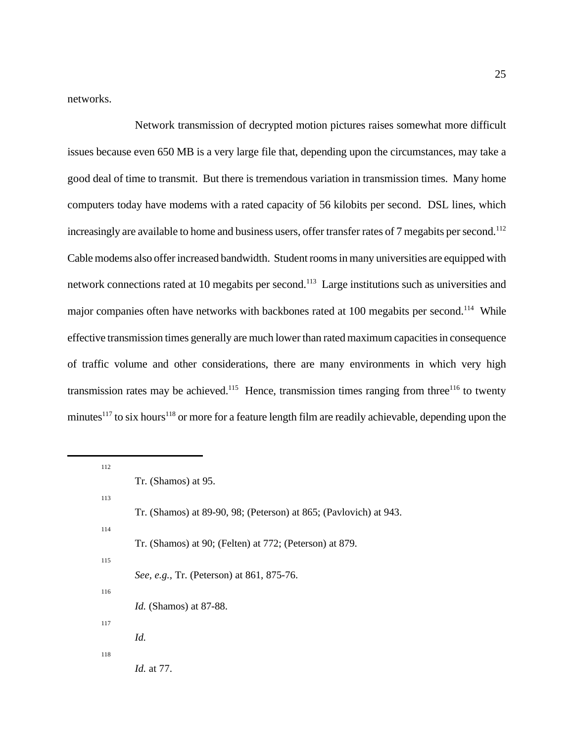networks.

Network transmission of decrypted motion pictures raises somewhat more difficult issues because even 650 MB is a very large file that, depending upon the circumstances, may take a good deal of time to transmit. But there is tremendous variation in transmission times. Many home computers today have modems with a rated capacity of 56 kilobits per second. DSL lines, which increasingly are available to home and business users, offer transfer rates of 7 megabits per second.<sup>112</sup> Cable modems also offer increased bandwidth. Student rooms in many universities are equipped with network connections rated at 10 megabits per second.<sup>113</sup> Large institutions such as universities and major companies often have networks with backbones rated at 100 megabits per second.<sup>114</sup> While effective transmission times generally are much lower than rated maximum capacities in consequence of traffic volume and other considerations, there are many environments in which very high transmission rates may be achieved.<sup>115</sup> Hence, transmission times ranging from three<sup>116</sup> to twenty minutes $117$  to six hours<sup>118</sup> or more for a feature length film are readily achievable, depending upon the

| 112 |                                                                   |
|-----|-------------------------------------------------------------------|
|     | Tr. (Shamos) at 95.                                               |
| 113 |                                                                   |
|     | Tr. (Shamos) at 89-90, 98; (Peterson) at 865; (Pavlovich) at 943. |
| 114 |                                                                   |
|     | Tr. (Shamos) at 90; (Felten) at 772; (Peterson) at 879.           |
| 115 |                                                                   |
|     | See, e.g., Tr. (Peterson) at 861, 875-76.                         |
| 116 |                                                                   |
|     | <i>Id.</i> (Shamos) at 87-88.                                     |
| 117 |                                                                   |
|     | Id.                                                               |
| 118 |                                                                   |
|     | <i>Id.</i> at 77.                                                 |
|     |                                                                   |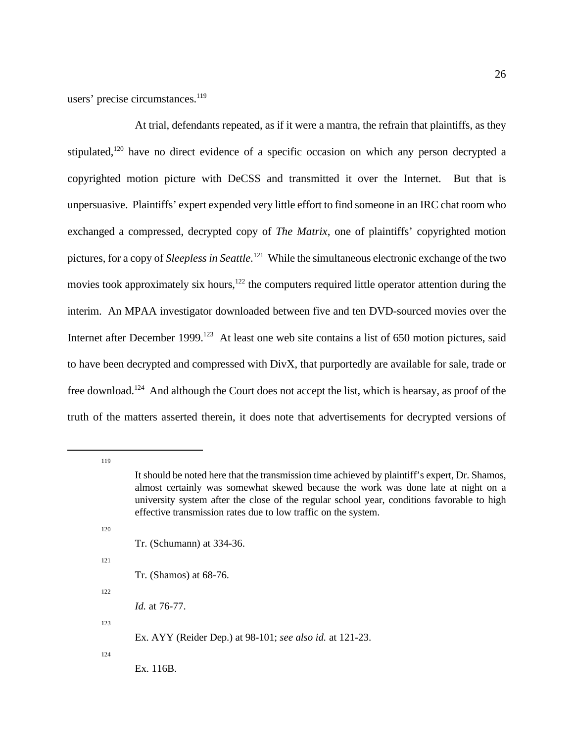users' precise circumstances. $119$ 

At trial, defendants repeated, as if it were a mantra, the refrain that plaintiffs, as they stipulated,<sup>120</sup> have no direct evidence of a specific occasion on which any person decrypted a copyrighted motion picture with DeCSS and transmitted it over the Internet. But that is unpersuasive. Plaintiffs' expert expended very little effort to find someone in an IRC chat room who exchanged a compressed, decrypted copy of *The Matrix*, one of plaintiffs' copyrighted motion pictures, for a copy of *Sleepless in Seattle*.<sup>121</sup> While the simultaneous electronic exchange of the two movies took approximately six hours, $122$  the computers required little operator attention during the interim. An MPAA investigator downloaded between five and ten DVD-sourced movies over the Internet after December 1999.<sup>123</sup> At least one web site contains a list of 650 motion pictures, said to have been decrypted and compressed with DivX, that purportedly are available for sale, trade or free download.<sup>124</sup> And although the Court does not accept the list, which is hearsay, as proof of the truth of the matters asserted therein, it does note that advertisements for decrypted versions of

119

120

Tr. (Schumann) at 334-36.

Tr. (Shamos) at 68-76.

121

*Id.* at 76-77.

123

122

Ex. AYY (Reider Dep.) at 98-101; *see also id.* at 121-23.

124

Ex. 116B.

It should be noted here that the transmission time achieved by plaintiff's expert, Dr. Shamos, almost certainly was somewhat skewed because the work was done late at night on a university system after the close of the regular school year, conditions favorable to high effective transmission rates due to low traffic on the system.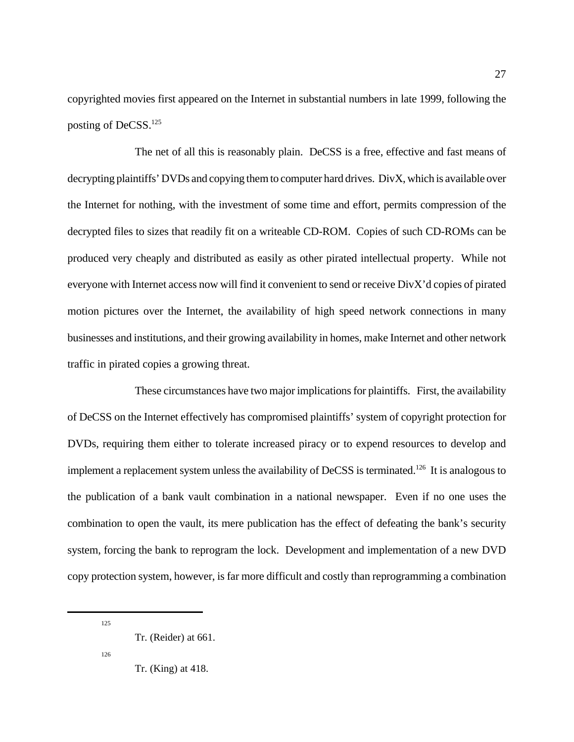copyrighted movies first appeared on the Internet in substantial numbers in late 1999, following the posting of DeCSS.<sup>125</sup>

The net of all this is reasonably plain. DeCSS is a free, effective and fast means of decrypting plaintiffs' DVDs and copying them to computer hard drives. DivX, which is available over the Internet for nothing, with the investment of some time and effort, permits compression of the decrypted files to sizes that readily fit on a writeable CD-ROM. Copies of such CD-ROMs can be produced very cheaply and distributed as easily as other pirated intellectual property. While not everyone with Internet access now will find it convenient to send or receive DivX'd copies of pirated motion pictures over the Internet, the availability of high speed network connections in many businesses and institutions, and their growing availability in homes, make Internet and other network traffic in pirated copies a growing threat.

These circumstances have two major implications for plaintiffs. First, the availability of DeCSS on the Internet effectively has compromised plaintiffs' system of copyright protection for DVDs, requiring them either to tolerate increased piracy or to expend resources to develop and implement a replacement system unless the availability of DeCSS is terminated.<sup>126</sup> It is analogous to the publication of a bank vault combination in a national newspaper. Even if no one uses the combination to open the vault, its mere publication has the effect of defeating the bank's security system, forcing the bank to reprogram the lock. Development and implementation of a new DVD copy protection system, however, is far more difficult and costly than reprogramming a combination

125

Tr. (Reider) at 661.

Tr. (King) at 418.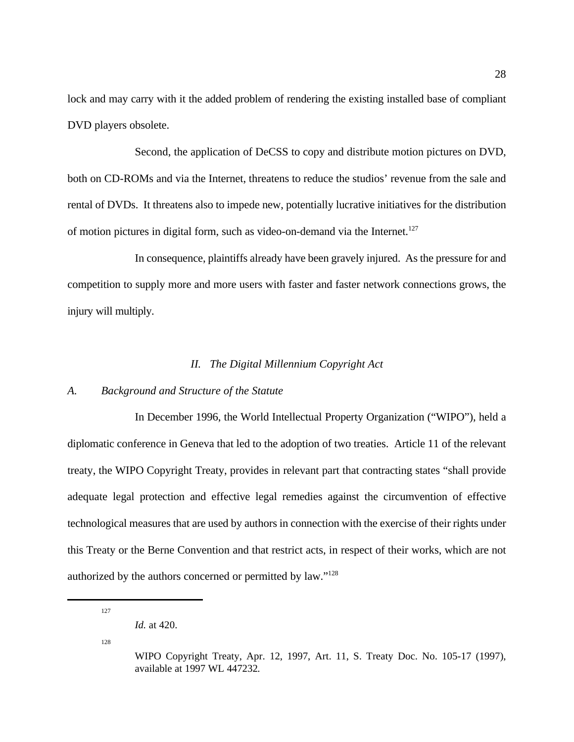lock and may carry with it the added problem of rendering the existing installed base of compliant DVD players obsolete.

Second, the application of DeCSS to copy and distribute motion pictures on DVD, both on CD-ROMs and via the Internet, threatens to reduce the studios' revenue from the sale and rental of DVDs. It threatens also to impede new, potentially lucrative initiatives for the distribution of motion pictures in digital form, such as video-on-demand via the Internet.<sup>127</sup>

In consequence, plaintiffs already have been gravely injured. As the pressure for and competition to supply more and more users with faster and faster network connections grows, the injury will multiply.

#### *II. The Digital Millennium Copyright Act*

#### *A. Background and Structure of the Statute*

In December 1996, the World Intellectual Property Organization ("WIPO"), held a diplomatic conference in Geneva that led to the adoption of two treaties. Article 11 of the relevant treaty, the WIPO Copyright Treaty, provides in relevant part that contracting states "shall provide adequate legal protection and effective legal remedies against the circumvention of effective technological measures that are used by authors in connection with the exercise of their rights under this Treaty or the Berne Convention and that restrict acts, in respect of their works, which are not authorized by the authors concerned or permitted by law."128

<sup>127</sup> 

*Id.* at 420.

WIPO Copyright Treaty, Apr. 12, 1997, Art. 11, S. Treaty Doc. No. 105-17 (1997), available at 1997 WL 447232*.*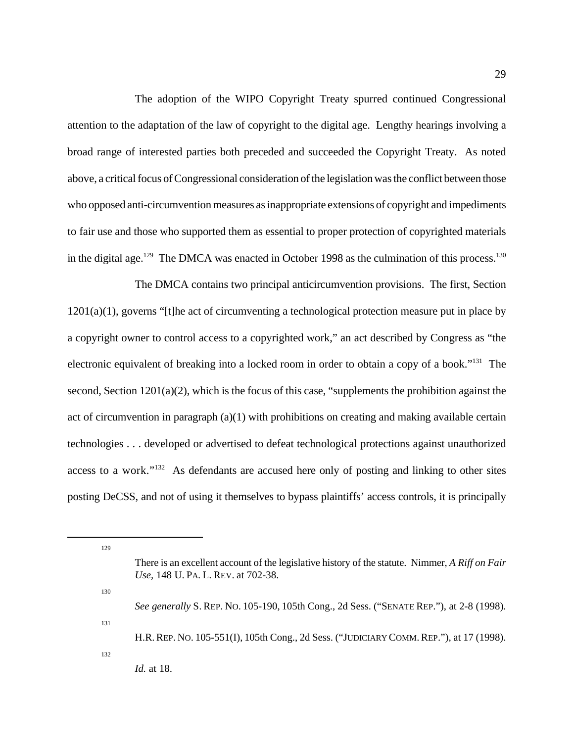The adoption of the WIPO Copyright Treaty spurred continued Congressional attention to the adaptation of the law of copyright to the digital age. Lengthy hearings involving a broad range of interested parties both preceded and succeeded the Copyright Treaty. As noted above, a critical focus of Congressional consideration of the legislation was the conflict between those who opposed anti-circumvention measures as inappropriate extensions of copyright and impediments to fair use and those who supported them as essential to proper protection of copyrighted materials in the digital age.<sup>129</sup> The DMCA was enacted in October 1998 as the culmination of this process.<sup>130</sup>

The DMCA contains two principal anticircumvention provisions. The first, Section  $1201(a)(1)$ , governs "[t]he act of circumventing a technological protection measure put in place by a copyright owner to control access to a copyrighted work," an act described by Congress as "the electronic equivalent of breaking into a locked room in order to obtain a copy of a book."<sup>131</sup> The second, Section 1201(a)(2), which is the focus of this case, "supplements the prohibition against the act of circumvention in paragraph (a)(1) with prohibitions on creating and making available certain technologies . . . developed or advertised to defeat technological protections against unauthorized access to a work."<sup>132</sup> As defendants are accused here only of posting and linking to other sites posting DeCSS, and not of using it themselves to bypass plaintiffs' access controls, it is principally

> There is an excellent account of the legislative history of the statute. Nimmer, *A Riff on Fair Use,* 148 U. PA. L. REV. at 702-38.

- *See generally* S. REP. NO. 105-190, 105th Cong., 2d Sess. ("SENATE REP."), at 2-8 (1998).
	- H.R.REP. NO. 105-551(I), 105th Cong., 2d Sess. ("JUDICIARY COMM.REP."), at 17 (1998).

*Id.* at 18.

129

130

131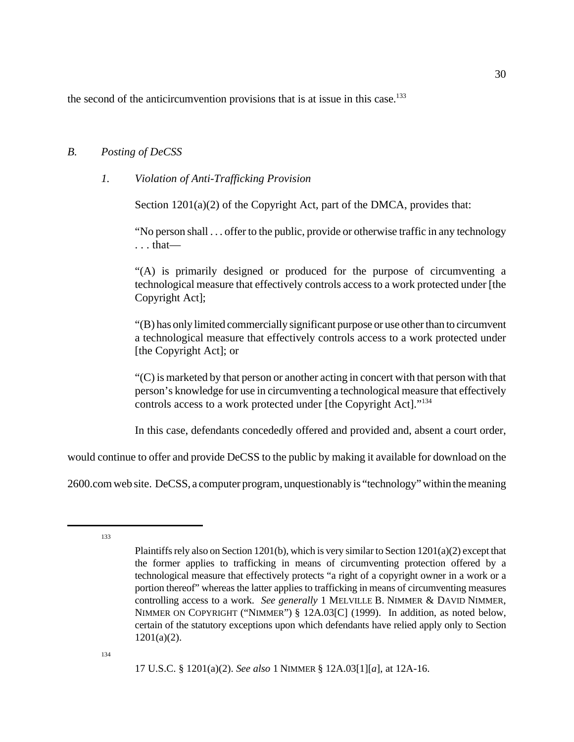the second of the anticircumvention provisions that is at issue in this case.<sup>133</sup>

#### *B. Posting of DeCSS*

#### *1. Violation of Anti-Trafficking Provision*

Section  $1201(a)(2)$  of the Copyright Act, part of the DMCA, provides that:

"No person shall . . . offer to the public, provide or otherwise traffic in any technology . . . that—

"(A) is primarily designed or produced for the purpose of circumventing a technological measure that effectively controls access to a work protected under [the Copyright Act];

"(B) has only limited commercially significant purpose or use other than to circumvent a technological measure that effectively controls access to a work protected under [the Copyright Act]; or

 $C$ ) is marketed by that person or another acting in concert with that person with that person's knowledge for use in circumventing a technological measure that effectively controls access to a work protected under [the Copyright Act]."<sup>134</sup>

In this case, defendants concededly offered and provided and, absent a court order,

would continue to offer and provide DeCSS to the public by making it available for download on the

2600.com web site. DeCSS, a computer program, unquestionably is "technology" within the meaning

<sup>133</sup>

Plaintiffs rely also on Section 1201(b), which is very similar to Section 1201(a)(2) except that the former applies to trafficking in means of circumventing protection offered by a technological measure that effectively protects "a right of a copyright owner in a work or a portion thereof" whereas the latter applies to trafficking in means of circumventing measures controlling access to a work. *See generally* 1 MELVILLE B. NIMMER & DAVID NIMMER, NIMMER ON COPYRIGHT ("NIMMER") § 12A.03[C] (1999). In addition, as noted below, certain of the statutory exceptions upon which defendants have relied apply only to Section  $1201(a)(2)$ .

<sup>17</sup> U.S.C. § 1201(a)(2). *See also* 1 NIMMER § 12A.03[1][*a*], at 12A-16.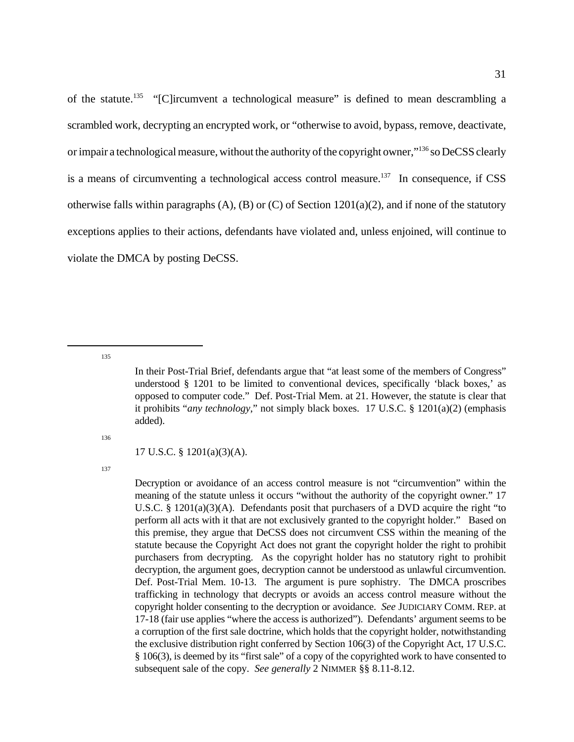of the statute.<sup>135</sup> "[C]ircumvent a technological measure" is defined to mean descrambling a scrambled work, decrypting an encrypted work, or "otherwise to avoid, bypass, remove, deactivate, or impair a technological measure, without the authority of the copyright owner,<sup>"136</sup> so DeCSS clearly is a means of circumventing a technological access control measure.<sup>137</sup> In consequence, if CSS otherwise falls within paragraphs  $(A)$ ,  $(B)$  or  $(C)$  of Section 1201(a)(2), and if none of the statutory exceptions applies to their actions, defendants have violated and, unless enjoined, will continue to violate the DMCA by posting DeCSS.

135

136

17 U.S.C. § 1201(a)(3)(A).

137

Decryption or avoidance of an access control measure is not "circumvention" within the meaning of the statute unless it occurs "without the authority of the copyright owner." 17 U.S.C. § 1201(a)(3)(A). Defendants posit that purchasers of a DVD acquire the right "to perform all acts with it that are not exclusively granted to the copyright holder." Based on this premise, they argue that DeCSS does not circumvent CSS within the meaning of the statute because the Copyright Act does not grant the copyright holder the right to prohibit purchasers from decrypting. As the copyright holder has no statutory right to prohibit decryption, the argument goes, decryption cannot be understood as unlawful circumvention. Def. Post-Trial Mem. 10-13. The argument is pure sophistry. The DMCA proscribes trafficking in technology that decrypts or avoids an access control measure without the copyright holder consenting to the decryption or avoidance. *See* JUDICIARY COMM. REP. at 17-18 (fair use applies "where the access is authorized"). Defendants' argument seems to be a corruption of the first sale doctrine, which holds that the copyright holder, notwithstanding the exclusive distribution right conferred by Section 106(3) of the Copyright Act, 17 U.S.C. § 106(3), is deemed by its "first sale" of a copy of the copyrighted work to have consented to subsequent sale of the copy. *See generally* 2 NIMMER §§ 8.11-8.12.

In their Post-Trial Brief, defendants argue that "at least some of the members of Congress" understood § 1201 to be limited to conventional devices, specifically 'black boxes,' as opposed to computer code." Def. Post-Trial Mem. at 21. However, the statute is clear that it prohibits "*any technology*," not simply black boxes. 17 U.S.C. § 1201(a)(2) (emphasis added).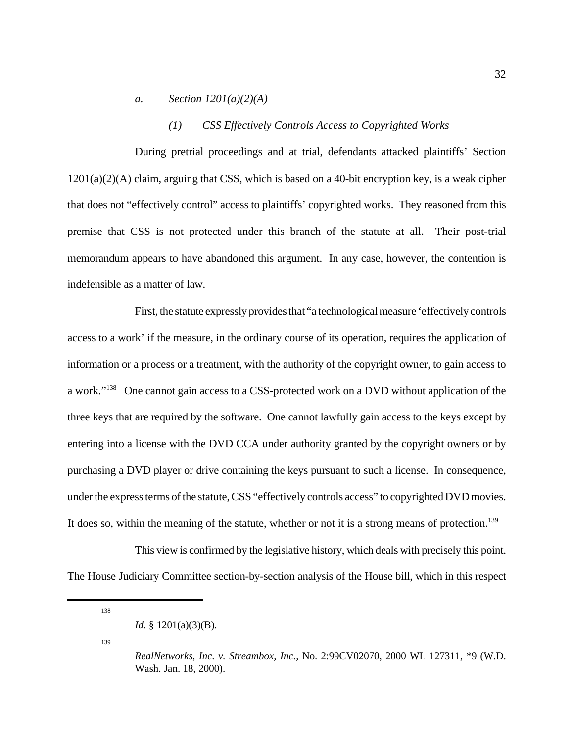## *a. Section 1201(a)(2)(A)*

## *(1) CSS Effectively Controls Access to Copyrighted Works*

During pretrial proceedings and at trial, defendants attacked plaintiffs' Section 1201(a)(2)(A) claim, arguing that CSS, which is based on a 40-bit encryption key, is a weak cipher that does not "effectively control" access to plaintiffs' copyrighted works. They reasoned from this premise that CSS is not protected under this branch of the statute at all. Their post-trial memorandum appears to have abandoned this argument. In any case, however, the contention is indefensible as a matter of law.

First, the statute expressly provides that "a technological measure 'effectively controls access to a work' if the measure, in the ordinary course of its operation, requires the application of information or a process or a treatment, with the authority of the copyright owner, to gain access to a work."<sup>138</sup> One cannot gain access to a CSS-protected work on a DVD without application of the three keys that are required by the software. One cannot lawfully gain access to the keys except by entering into a license with the DVD CCA under authority granted by the copyright owners or by purchasing a DVD player or drive containing the keys pursuant to such a license. In consequence, under the express terms of the statute, CSS "effectively controls access" to copyrighted DVD movies. It does so, within the meaning of the statute, whether or not it is a strong means of protection.<sup>139</sup>

This view is confirmed by the legislative history, which deals with precisely this point. The House Judiciary Committee section-by-section analysis of the House bill, which in this respect

138

*Id.* § 1201(a)(3)(B).

*RealNetworks, Inc. v. Streambox, Inc.,* No. 2:99CV02070, 2000 WL 127311, \*9 (W.D. Wash. Jan. 18, 2000).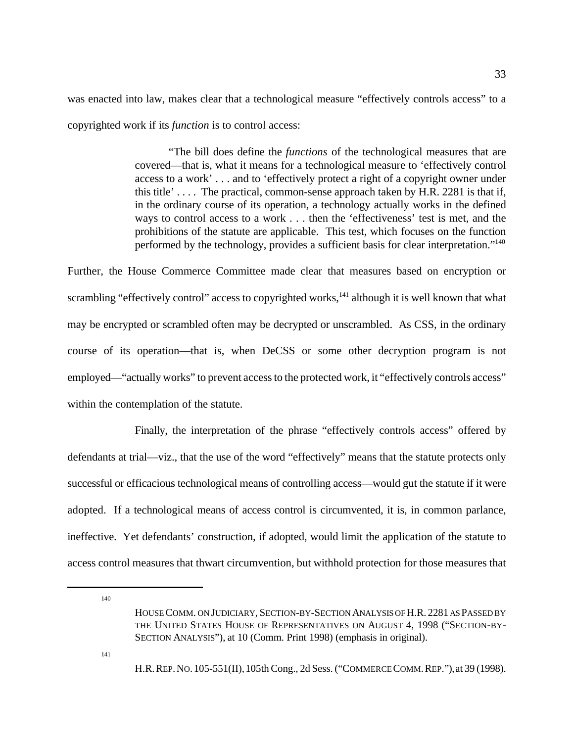was enacted into law, makes clear that a technological measure "effectively controls access" to a copyrighted work if its *function* is to control access:

> "The bill does define the *functions* of the technological measures that are covered—that is, what it means for a technological measure to 'effectively control access to a work' . . . and to 'effectively protect a right of a copyright owner under this title'  $\dots$ . The practical, common-sense approach taken by H.R. 2281 is that if, in the ordinary course of its operation, a technology actually works in the defined ways to control access to a work . . . then the 'effectiveness' test is met, and the prohibitions of the statute are applicable. This test, which focuses on the function performed by the technology, provides a sufficient basis for clear interpretation."<sup>140</sup>

Further, the House Commerce Committee made clear that measures based on encryption or scrambling "effectively control" access to copyrighted works,<sup>141</sup> although it is well known that what may be encrypted or scrambled often may be decrypted or unscrambled. As CSS, in the ordinary course of its operation—that is, when DeCSS or some other decryption program is not employed—"actually works" to prevent access to the protected work, it "effectively controls access" within the contemplation of the statute.

Finally, the interpretation of the phrase "effectively controls access" offered by defendants at trial—viz., that the use of the word "effectively" means that the statute protects only successful or efficacious technological means of controlling access—would gut the statute if it were adopted. If a technological means of access control is circumvented, it is, in common parlance, ineffective. Yet defendants' construction, if adopted, would limit the application of the statute to access control measures that thwart circumvention, but withhold protection for those measures that

140

HOUSECOMM. ON JUDICIARY, SECTION-BY-SECTION ANALYSIS OF H.R. 2281 AS PASSED BY THE UNITED STATES HOUSE OF REPRESENTATIVES ON AUGUST 4, 1998 ("SECTION-BY-SECTION ANALYSIS"), at 10 (Comm. Print 1998) (emphasis in original).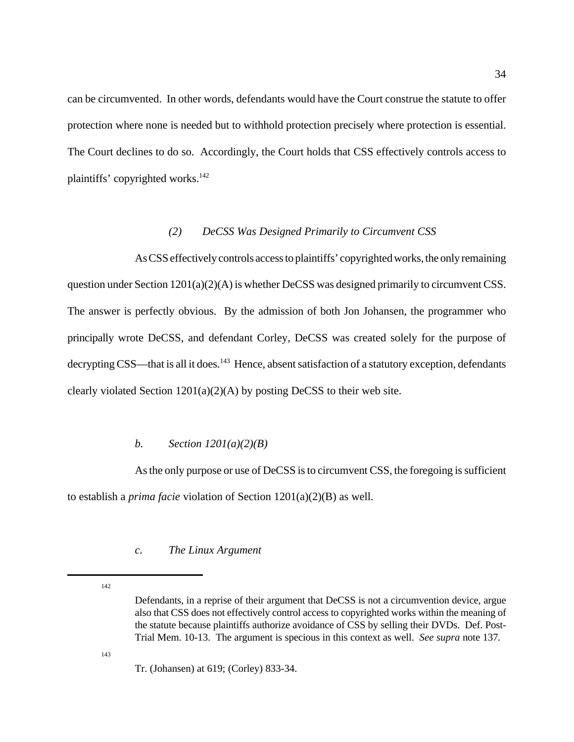can be circumvented. In other words, defendants would have the Court construe the statute to offer protection where none is needed but to withhold protection precisely where protection is essential. The Court declines to do so. Accordingly, the Court holds that CSS effectively controls access to plaintiffs' copyrighted works.<sup>142</sup>

### *(2) DeCSS Was Designed Primarily to Circumvent CSS*

As CSS effectively controls access to plaintiffs' copyrighted works, the only remaining question under Section 1201(a)(2)(A) is whether DeCSS was designed primarily to circumvent CSS. The answer is perfectly obvious. By the admission of both Jon Johansen, the programmer who principally wrote DeCSS, and defendant Corley, DeCSS was created solely for the purpose of decrypting CSS—that is all it does.<sup>143</sup> Hence, absent satisfaction of a statutory exception, defendants clearly violated Section  $1201(a)(2)(A)$  by posting DeCSS to their web site.

### *b. Section 1201(a)(2)(B)*

As the only purpose or use of DeCSS is to circumvent CSS, the foregoing is sufficient to establish a *prima facie* violation of Section 1201(a)(2)(B) as well.

#### *c. The Linux Argument*

142

143

Tr. (Johansen) at 619; (Corley) 833-34.

Defendants, in a reprise of their argument that DeCSS is not a circumvention device, argue also that CSS does not effectively control access to copyrighted works within the meaning of the statute because plaintiffs authorize avoidance of CSS by selling their DVDs. Def. Post-Trial Mem. 10-13. The argument is specious in this context as well. *See supra* note 137*.*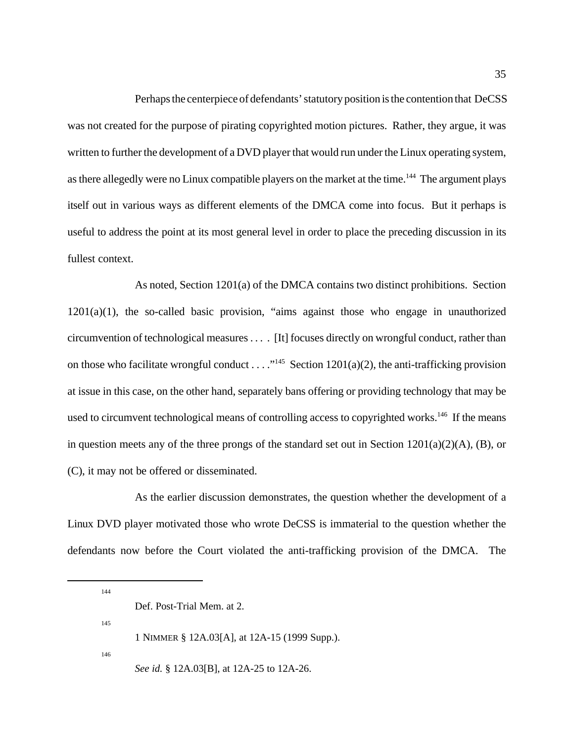Perhaps the centerpiece of defendants' statutory position is the contention that DeCSS was not created for the purpose of pirating copyrighted motion pictures. Rather, they argue, it was written to further the development of a DVD player that would run under the Linux operating system, as there allegedly were no Linux compatible players on the market at the time.<sup>144</sup> The argument plays itself out in various ways as different elements of the DMCA come into focus. But it perhaps is useful to address the point at its most general level in order to place the preceding discussion in its fullest context.

As noted, Section 1201(a) of the DMCA contains two distinct prohibitions. Section  $1201(a)(1)$ , the so-called basic provision, "aims against those who engage in unauthorized circumvention of technological measures . . . . [It] focuses directly on wrongful conduct, rather than on those who facilitate wrongful conduct . . . . "<sup>145</sup> Section 1201(a)(2), the anti-trafficking provision at issue in this case, on the other hand, separately bans offering or providing technology that may be used to circumvent technological means of controlling access to copyrighted works.<sup>146</sup> If the means in question meets any of the three prongs of the standard set out in Section  $1201(a)(2)(A)$ , (B), or (C), it may not be offered or disseminated.

As the earlier discussion demonstrates, the question whether the development of a Linux DVD player motivated those who wrote DeCSS is immaterial to the question whether the defendants now before the Court violated the anti-trafficking provision of the DMCA. The

144 Def. Post-Trial Mem. at 2. 145 1 NIMMER § 12A.03[A], at 12A-15 (1999 Supp.).

*See id.* § 12A.03[B], at 12A-25 to 12A-26.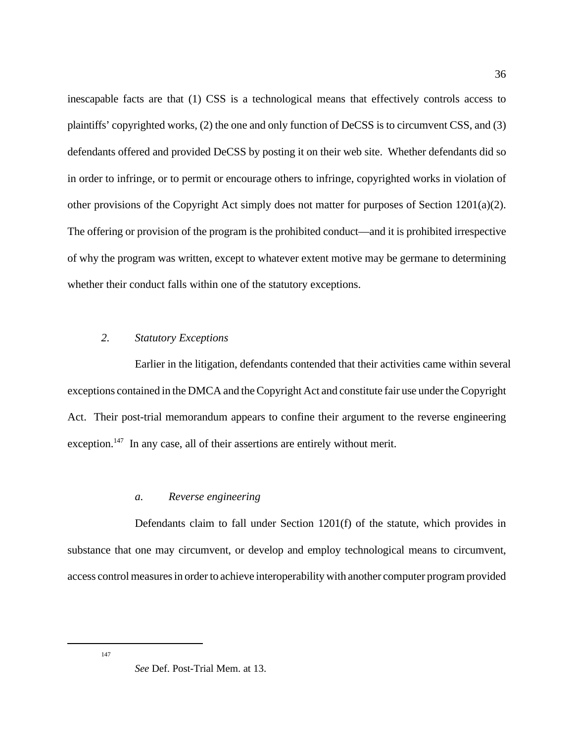inescapable facts are that (1) CSS is a technological means that effectively controls access to plaintiffs' copyrighted works, (2) the one and only function of DeCSS is to circumvent CSS, and (3) defendants offered and provided DeCSS by posting it on their web site. Whether defendants did so in order to infringe, or to permit or encourage others to infringe, copyrighted works in violation of other provisions of the Copyright Act simply does not matter for purposes of Section 1201(a)(2). The offering or provision of the program is the prohibited conduct—and it is prohibited irrespective of why the program was written, except to whatever extent motive may be germane to determining whether their conduct falls within one of the statutory exceptions.

### *2. Statutory Exceptions*

 Earlier in the litigation, defendants contended that their activities came within several exceptions contained in the DMCA and the Copyright Act and constitute fair use under the Copyright Act. Their post-trial memorandum appears to confine their argument to the reverse engineering exception.<sup>147</sup> In any case, all of their assertions are entirely without merit.

#### *a. Reverse engineering*

Defendants claim to fall under Section 1201(f) of the statute, which provides in substance that one may circumvent, or develop and employ technological means to circumvent, access control measures in order to achieve interoperability with another computer program provided

*See* Def. Post-Trial Mem. at 13.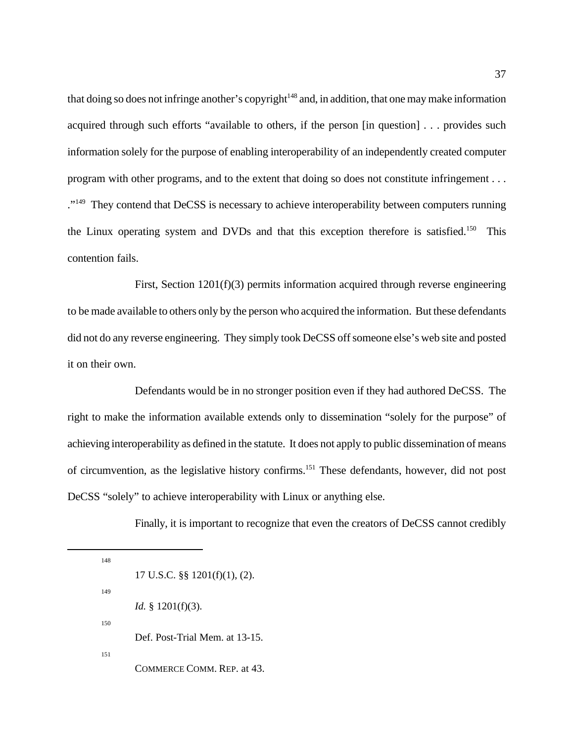that doing so does not infringe another's copyright<sup>148</sup> and, in addition, that one may make information acquired through such efforts "available to others, if the person [in question] . . . provides such information solely for the purpose of enabling interoperability of an independently created computer program with other programs, and to the extent that doing so does not constitute infringement . . . ."<sup>149</sup> They contend that DeCSS is necessary to achieve interoperability between computers running the Linux operating system and DVDs and that this exception therefore is satisfied.<sup>150</sup> This contention fails.

First, Section 1201(f)(3) permits information acquired through reverse engineering to be made available to others only by the person who acquired the information. But these defendants did not do any reverse engineering. They simply took DeCSS off someone else's web site and posted it on their own.

Defendants would be in no stronger position even if they had authored DeCSS. The right to make the information available extends only to dissemination "solely for the purpose" of achieving interoperability as defined in the statute. It does not apply to public dissemination of means of circumvention, as the legislative history confirms.<sup>151</sup> These defendants, however, did not post DeCSS "solely" to achieve interoperability with Linux or anything else.

Finally, it is important to recognize that even the creators of DeCSS cannot credibly

| 148 |                                 |
|-----|---------------------------------|
|     | 17 U.S.C. $\S$ 1201(f)(1), (2). |
| 149 |                                 |
|     | <i>Id.</i> § 1201(f)(3).        |
| 150 |                                 |
|     | Def Post-Trial Mem at 13-15     |
| 151 |                                 |
|     | COMMERCE COMM. REP. at 43.      |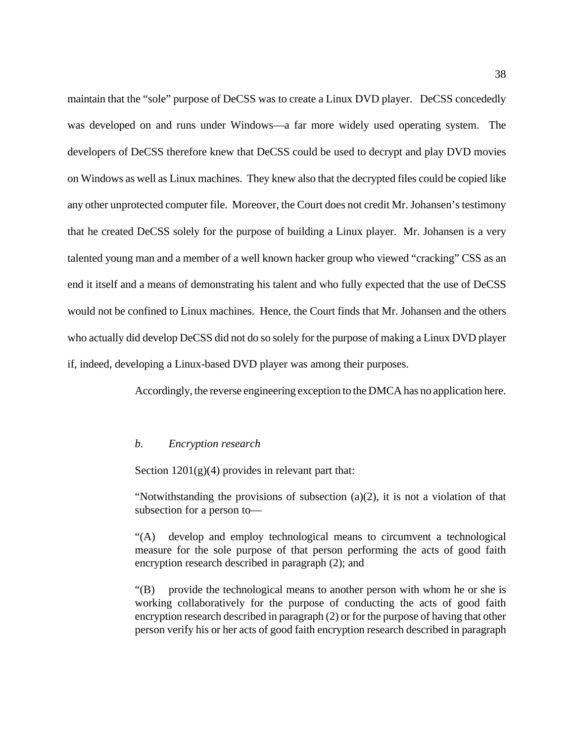maintain that the "sole" purpose of DeCSS was to create a Linux DVD player. DeCSS concededly was developed on and runs under Windows—a far more widely used operating system. The developers of DeCSS therefore knew that DeCSS could be used to decrypt and play DVD movies on Windows as well as Linux machines. They knew also that the decrypted files could be copied like any other unprotected computer file. Moreover, the Court does not credit Mr. Johansen's testimony that he created DeCSS solely for the purpose of building a Linux player. Mr. Johansen is a very talented young man and a member of a well known hacker group who viewed "cracking" CSS as an end it itself and a means of demonstrating his talent and who fully expected that the use of DeCSS would not be confined to Linux machines. Hence, the Court finds that Mr. Johansen and the others who actually did develop DeCSS did not do so solely for the purpose of making a Linux DVD player if, indeed, developing a Linux-based DVD player was among their purposes.

Accordingly, the reverse engineering exception to the DMCA has no application here.

#### *b. Encryption research*

Section  $1201(g)(4)$  provides in relevant part that:

"Notwithstanding the provisions of subsection  $(a)(2)$ , it is not a violation of that subsection for a person to—

"(A) develop and employ technological means to circumvent a technological measure for the sole purpose of that person performing the acts of good faith encryption research described in paragraph (2); and

"(B) provide the technological means to another person with whom he or she is working collaboratively for the purpose of conducting the acts of good faith encryption research described in paragraph (2) or for the purpose of having that other person verify his or her acts of good faith encryption research described in paragraph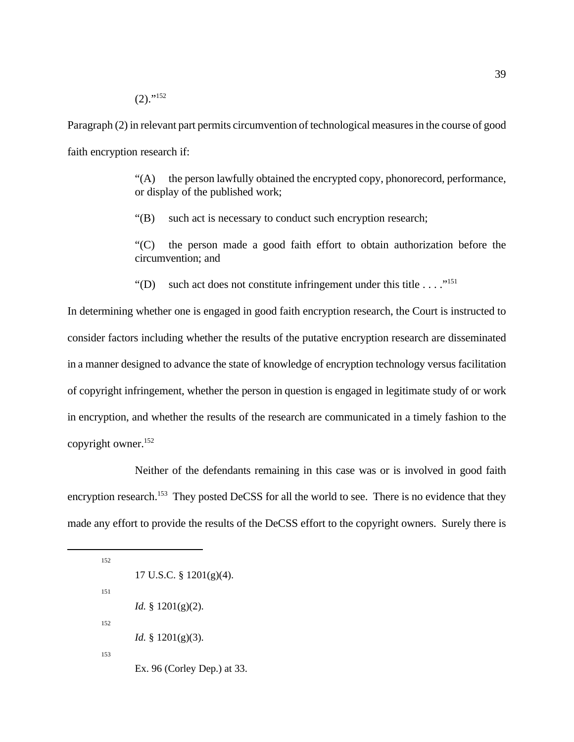Paragraph (2) in relevant part permits circumvention of technological measures in the course of good faith encryption research if:

> "(A) the person lawfully obtained the encrypted copy, phonorecord, performance, or display of the published work;

"(B) such act is necessary to conduct such encryption research;

"(C) the person made a good faith effort to obtain authorization before the circumvention; and

"(D) such act does not constitute infringement under this title  $\dots$ "<sup>151</sup>

In determining whether one is engaged in good faith encryption research, the Court is instructed to consider factors including whether the results of the putative encryption research are disseminated in a manner designed to advance the state of knowledge of encryption technology versus facilitation of copyright infringement, whether the person in question is engaged in legitimate study of or work in encryption, and whether the results of the research are communicated in a timely fashion to the copyright owner.<sup>152</sup>

Neither of the defendants remaining in this case was or is involved in good faith encryption research.<sup>153</sup> They posted DeCSS for all the world to see. There is no evidence that they made any effort to provide the results of the DeCSS effort to the copyright owners. Surely there is

152 17 U.S.C. § 1201(g)(4). 151 *Id.* § 1201(g)(2). 152 *Id.* § 1201(g)(3). 153 Ex. 96 (Corley Dep.) at 33.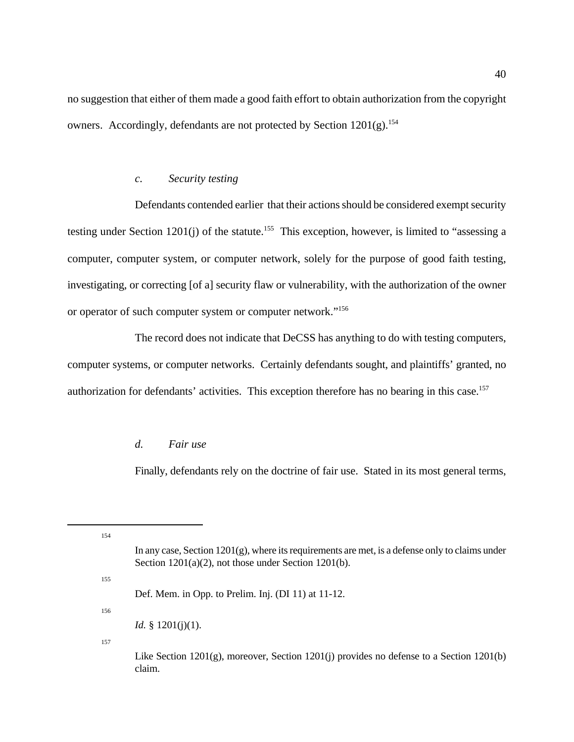no suggestion that either of them made a good faith effort to obtain authorization from the copyright owners. Accordingly, defendants are not protected by Section 1201(g).<sup>154</sup>

# *c. Security testing*

Defendants contended earlier that their actions should be considered exempt security testing under Section 1201(j) of the statute.<sup>155</sup> This exception, however, is limited to "assessing a computer, computer system, or computer network, solely for the purpose of good faith testing, investigating, or correcting [of a] security flaw or vulnerability, with the authorization of the owner or operator of such computer system or computer network."<sup>156</sup>

The record does not indicate that DeCSS has anything to do with testing computers, computer systems, or computer networks. Certainly defendants sought, and plaintiffs' granted, no authorization for defendants' activities. This exception therefore has no bearing in this case.<sup>157</sup>

# *d. Fair use*

Finally, defendants rely on the doctrine of fair use. Stated in its most general terms,

154

155

In any case, Section 1201(g), where its requirements are met, is a defense only to claims under Section 1201(a)(2), not those under Section 1201(b).

Def. Mem. in Opp. to Prelim. Inj. (DI 11) at 11-12.

*Id.* § 1201(j)(1).

<sup>157</sup>

Like Section 1201(g), moreover, Section 1201(j) provides no defense to a Section 1201(b) claim.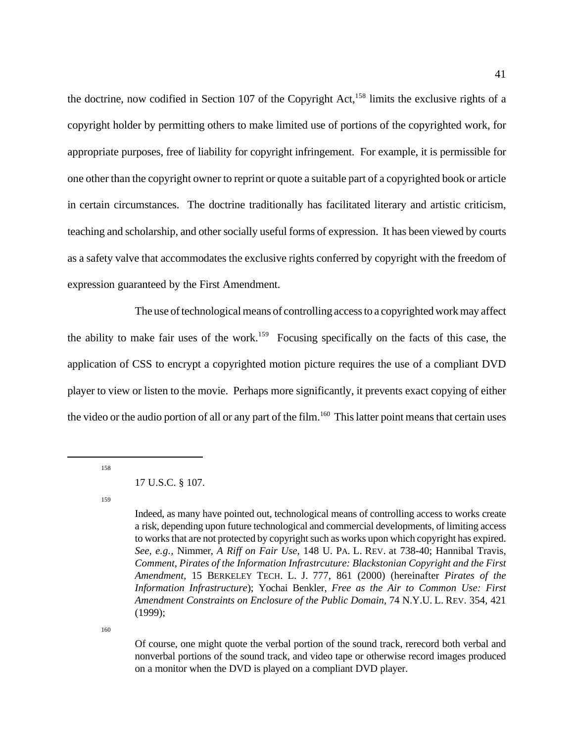the doctrine, now codified in Section 107 of the Copyright Act,<sup>158</sup> limits the exclusive rights of a copyright holder by permitting others to make limited use of portions of the copyrighted work, for appropriate purposes, free of liability for copyright infringement. For example, it is permissible for one other than the copyright owner to reprint or quote a suitable part of a copyrighted book or article in certain circumstances. The doctrine traditionally has facilitated literary and artistic criticism, teaching and scholarship, and other socially useful forms of expression. It has been viewed by courts as a safety valve that accommodates the exclusive rights conferred by copyright with the freedom of expression guaranteed by the First Amendment.

The use of technological means of controlling access to a copyrighted work may affect the ability to make fair uses of the work.<sup>159</sup> Focusing specifically on the facts of this case, the application of CSS to encrypt a copyrighted motion picture requires the use of a compliant DVD player to view or listen to the movie. Perhaps more significantly, it prevents exact copying of either the video or the audio portion of all or any part of the film.<sup>160</sup> This latter point means that certain uses

158

159

160

Of course, one might quote the verbal portion of the sound track, rerecord both verbal and nonverbal portions of the sound track, and video tape or otherwise record images produced on a monitor when the DVD is played on a compliant DVD player.

<sup>17</sup> U.S.C. § 107.

Indeed, as many have pointed out, technological means of controlling access to works create a risk, depending upon future technological and commercial developments, of limiting access to works that are not protected by copyright such as works upon which copyright has expired. *See, e.g.,* Nimmer, *A Riff on Fair Use,* 148 U. PA. L. REV. at 738-40; Hannibal Travis, *Comment, Pirates of the Information Infrastrcuture: Blackstonian Copyright and the First Amendment,* 15 BERKELEY TECH. L. J. 777, 861 (2000) (hereinafter *Pirates of the Information Infrastructure*); Yochai Benkler, *Free as the Air to Common Use: First Amendment Constraints on Enclosure of the Public Domain,* 74 N.Y.U. L. REV. 354, 421 (1999);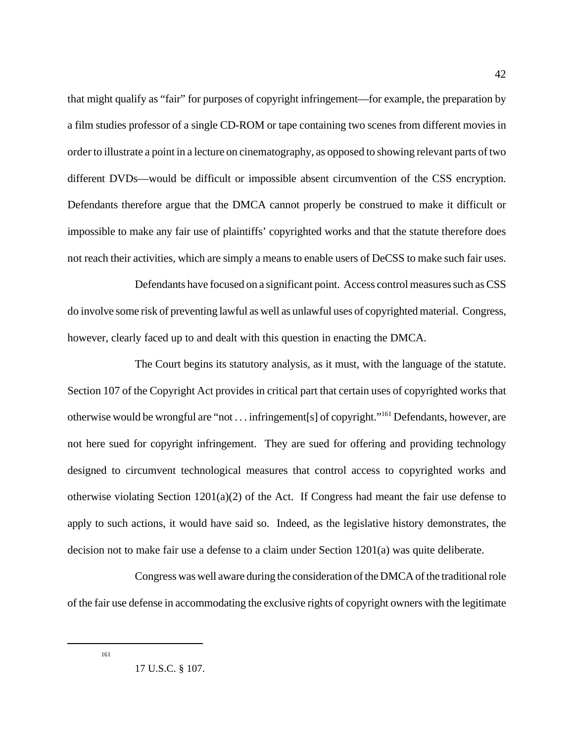that might qualify as "fair" for purposes of copyright infringement—for example, the preparation by a film studies professor of a single CD-ROM or tape containing two scenes from different movies in order to illustrate a point in a lecture on cinematography, as opposed to showing relevant parts of two different DVDs—would be difficult or impossible absent circumvention of the CSS encryption. Defendants therefore argue that the DMCA cannot properly be construed to make it difficult or impossible to make any fair use of plaintiffs' copyrighted works and that the statute therefore does not reach their activities, which are simply a means to enable users of DeCSS to make such fair uses.

Defendants have focused on a significant point. Access control measures such as CSS do involve some risk of preventing lawful as well as unlawful uses of copyrighted material. Congress, however, clearly faced up to and dealt with this question in enacting the DMCA.

The Court begins its statutory analysis, as it must, with the language of the statute. Section 107 of the Copyright Act provides in critical part that certain uses of copyrighted works that otherwise would be wrongful are "not . . . infringement[s] of copyright."<sup>161</sup> Defendants, however, are not here sued for copyright infringement. They are sued for offering and providing technology designed to circumvent technological measures that control access to copyrighted works and otherwise violating Section 1201(a)(2) of the Act. If Congress had meant the fair use defense to apply to such actions, it would have said so. Indeed, as the legislative history demonstrates, the decision not to make fair use a defense to a claim under Section 1201(a) was quite deliberate.

Congress was well aware during the consideration of the DMCA of the traditional role of the fair use defense in accommodating the exclusive rights of copyright owners with the legitimate

<sup>17</sup> U.S.C. § 107.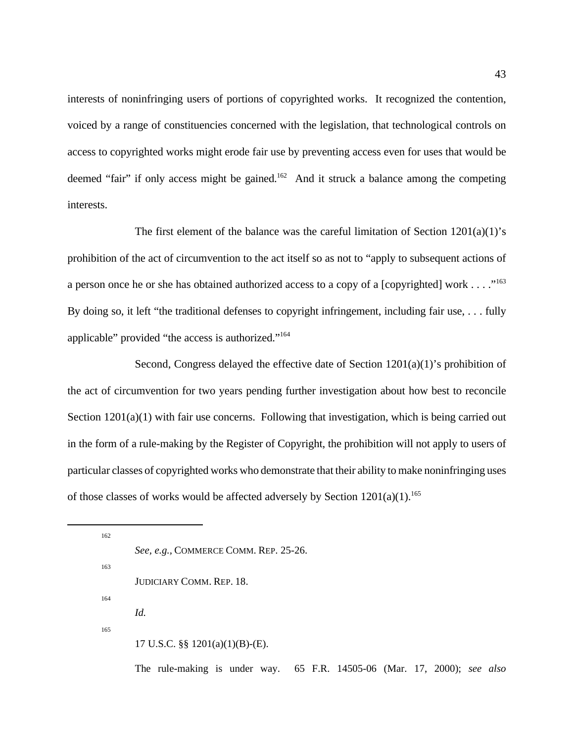interests of noninfringing users of portions of copyrighted works. It recognized the contention, voiced by a range of constituencies concerned with the legislation, that technological controls on access to copyrighted works might erode fair use by preventing access even for uses that would be deemed "fair" if only access might be gained.<sup>162</sup> And it struck a balance among the competing interests.

The first element of the balance was the careful limitation of Section  $1201(a)(1)$ 's prohibition of the act of circumvention to the act itself so as not to "apply to subsequent actions of a person once he or she has obtained authorized access to a copy of a [copyrighted] work  $\dots$ ."<sup>163</sup> By doing so, it left "the traditional defenses to copyright infringement, including fair use, . . . fully applicable" provided "the access is authorized."<sup>164</sup>

Second, Congress delayed the effective date of Section 1201(a)(1)'s prohibition of the act of circumvention for two years pending further investigation about how best to reconcile Section 1201(a)(1) with fair use concerns. Following that investigation, which is being carried out in the form of a rule-making by the Register of Copyright, the prohibition will not apply to users of particular classes of copyrighted works who demonstrate that their ability to make noninfringing uses of those classes of works would be affected adversely by Section  $1201(a)(1)$ .<sup>165</sup>

162 *See, e.g.,* COMMERCE COMM. REP. 25-26. 163 JUDICIARY COMM. REP. 18. 164 *Id.* 165 17 U.S.C. §§ 1201(a)(1)(B)-(E). The rule-making is under way. 65 F.R. 14505-06 (Mar. 17, 2000); *see also*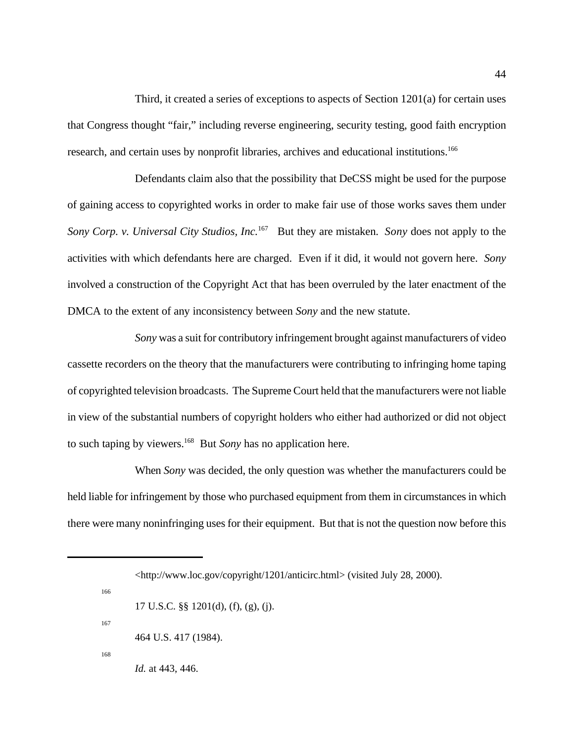Third, it created a series of exceptions to aspects of Section 1201(a) for certain uses that Congress thought "fair," including reverse engineering, security testing, good faith encryption research, and certain uses by nonprofit libraries, archives and educational institutions.<sup>166</sup>

Defendants claim also that the possibility that DeCSS might be used for the purpose of gaining access to copyrighted works in order to make fair use of those works saves them under Sony Corp. v. Universal City Studios, Inc.<sup>167</sup> But they are mistaken. Sony does not apply to the activities with which defendants here are charged. Even if it did, it would not govern here. *Sony* involved a construction of the Copyright Act that has been overruled by the later enactment of the DMCA to the extent of any inconsistency between *Sony* and the new statute.

*Sony* was a suit for contributory infringement brought against manufacturers of video cassette recorders on the theory that the manufacturers were contributing to infringing home taping of copyrighted television broadcasts. The Supreme Court held that the manufacturers were not liable in view of the substantial numbers of copyright holders who either had authorized or did not object to such taping by viewers.<sup>168</sup> But *Sony* has no application here.

When *Sony* was decided, the only question was whether the manufacturers could be held liable for infringement by those who purchased equipment from them in circumstances in which there were many noninfringing uses for their equipment. But that is not the question now before this

166

167

<sup>&</sup>lt;http://www.loc.gov/copyright/1201/anticirc.html> (visited July 28, 2000).

<sup>17</sup> U.S.C. §§ 1201(d), (f), (g), (j).

<sup>464</sup> U.S. 417 (1984).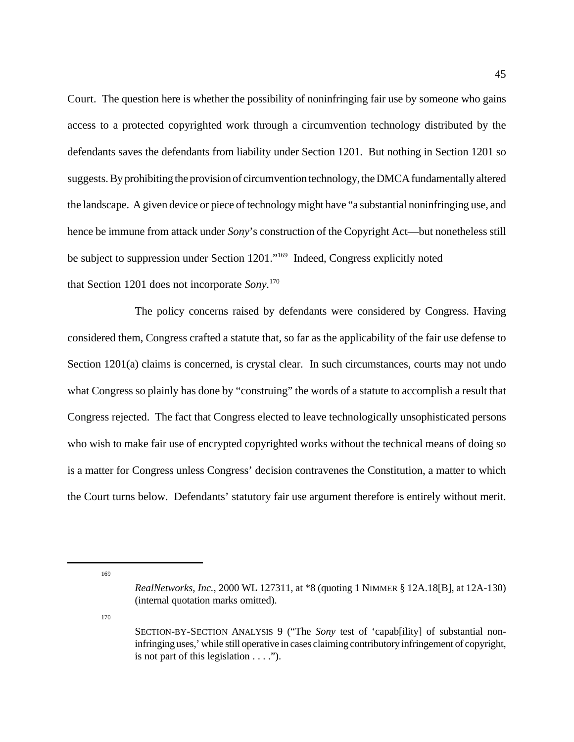Court. The question here is whether the possibility of noninfringing fair use by someone who gains access to a protected copyrighted work through a circumvention technology distributed by the defendants saves the defendants from liability under Section 1201. But nothing in Section 1201 so suggests. By prohibiting the provision of circumvention technology, the DMCA fundamentally altered the landscape. A given device or piece of technology might have "a substantial noninfringing use, and hence be immune from attack under *Sony*'s construction of the Copyright Act—but nonetheless still be subject to suppression under Section 1201."<sup>169</sup> Indeed, Congress explicitly noted that Section 1201 does not incorporate *Sony.*<sup>170</sup>

The policy concerns raised by defendants were considered by Congress. Having considered them, Congress crafted a statute that, so far as the applicability of the fair use defense to Section 1201(a) claims is concerned, is crystal clear. In such circumstances, courts may not undo what Congress so plainly has done by "construing" the words of a statute to accomplish a result that Congress rejected. The fact that Congress elected to leave technologically unsophisticated persons who wish to make fair use of encrypted copyrighted works without the technical means of doing so is a matter for Congress unless Congress' decision contravenes the Constitution, a matter to which the Court turns below. Defendants' statutory fair use argument therefore is entirely without merit.

169

*RealNetworks, Inc.,* 2000 WL 127311, at \*8 (quoting 1 NIMMER § 12A.18[B], at 12A-130) (internal quotation marks omitted).

SECTION-BY-SECTION ANALYSIS 9 ("The *Sony* test of 'capab[ility] of substantial noninfringing uses,' while still operative in cases claiming contributory infringement of copyright, is not part of this legislation  $\dots$ .").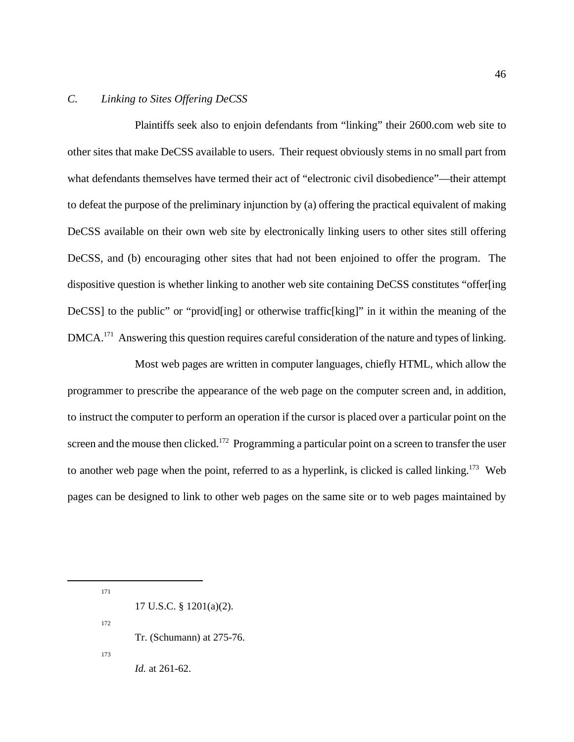# *C. Linking to Sites Offering DeCSS*

Plaintiffs seek also to enjoin defendants from "linking" their 2600.com web site to other sites that make DeCSS available to users. Their request obviously stems in no small part from what defendants themselves have termed their act of "electronic civil disobedience"—their attempt to defeat the purpose of the preliminary injunction by (a) offering the practical equivalent of making DeCSS available on their own web site by electronically linking users to other sites still offering DeCSS, and (b) encouraging other sites that had not been enjoined to offer the program. The dispositive question is whether linking to another web site containing DeCSS constitutes "offer[ing DeCSS] to the public" or "provides or otherwise traffices in it within the meaning of the DMCA.<sup>171</sup> Answering this question requires careful consideration of the nature and types of linking.

Most web pages are written in computer languages, chiefly HTML, which allow the programmer to prescribe the appearance of the web page on the computer screen and, in addition, to instruct the computer to perform an operation if the cursor is placed over a particular point on the screen and the mouse then clicked.<sup>172</sup> Programming a particular point on a screen to transfer the user to another web page when the point, referred to as a hyperlink, is clicked is called linking.<sup>173</sup> Web pages can be designed to link to other web pages on the same site or to web pages maintained by

171

172 Tr. (Schumann) at 275-76. 173 *Id.* at 261-62.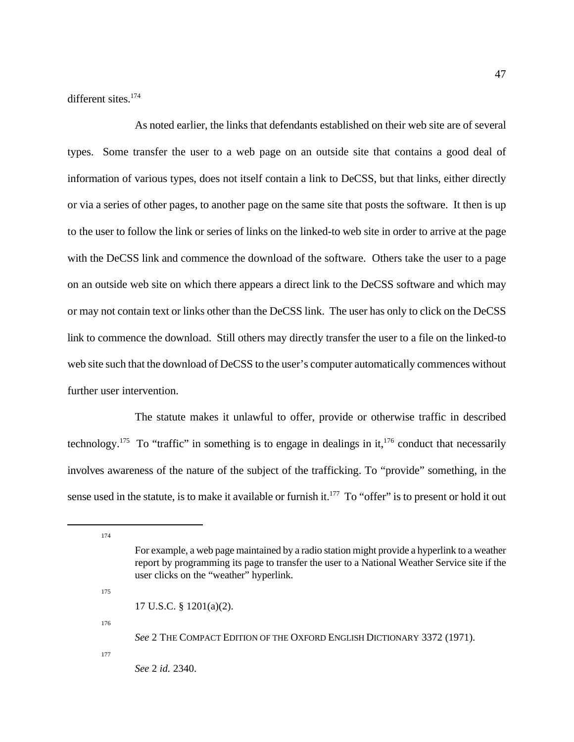different sites.<sup>174</sup>

As noted earlier, the links that defendants established on their web site are of several types. Some transfer the user to a web page on an outside site that contains a good deal of information of various types, does not itself contain a link to DeCSS, but that links, either directly or via a series of other pages, to another page on the same site that posts the software. It then is up to the user to follow the link or series of links on the linked-to web site in order to arrive at the page with the DeCSS link and commence the download of the software. Others take the user to a page on an outside web site on which there appears a direct link to the DeCSS software and which may or may not contain text or links other than the DeCSS link. The user has only to click on the DeCSS link to commence the download. Still others may directly transfer the user to a file on the linked-to web site such that the download of DeCSS to the user's computer automatically commences without further user intervention.

The statute makes it unlawful to offer, provide or otherwise traffic in described technology.<sup>175</sup> To "traffic" in something is to engage in dealings in it,<sup>176</sup> conduct that necessarily involves awareness of the nature of the subject of the trafficking. To "provide" something, in the sense used in the statute, is to make it available or furnish it.<sup>177</sup> To "offer" is to present or hold it out

174

175

176

*See* 2 THE COMPACT EDITION OF THE OXFORD ENGLISH DICTIONARY 3372 (1971).

177

*See* 2 *id.* 2340.

For example, a web page maintained by a radio station might provide a hyperlink to a weather report by programming its page to transfer the user to a National Weather Service site if the user clicks on the "weather" hyperlink.

<sup>17</sup> U.S.C. § 1201(a)(2).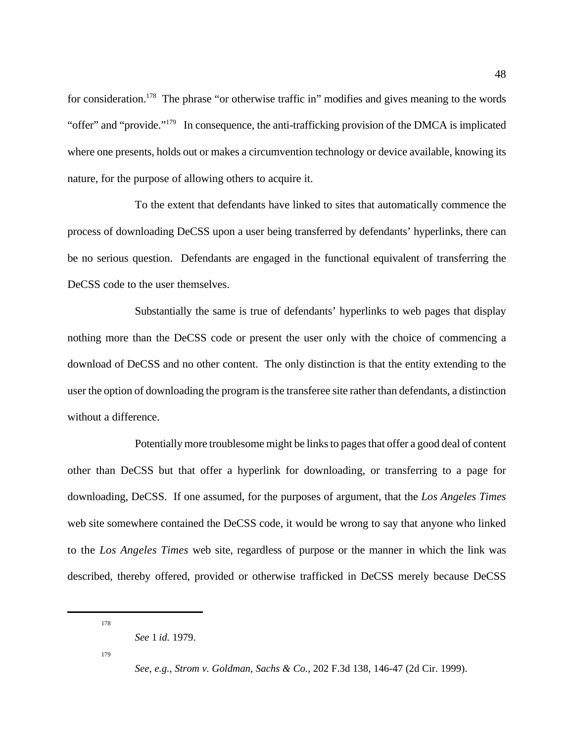for consideration.<sup>178</sup> The phrase "or otherwise traffic in" modifies and gives meaning to the words "offer" and "provide."<sup>179</sup> In consequence, the anti-trafficking provision of the DMCA is implicated where one presents, holds out or makes a circumvention technology or device available, knowing its nature, for the purpose of allowing others to acquire it.

To the extent that defendants have linked to sites that automatically commence the process of downloading DeCSS upon a user being transferred by defendants' hyperlinks, there can be no serious question. Defendants are engaged in the functional equivalent of transferring the DeCSS code to the user themselves.

Substantially the same is true of defendants' hyperlinks to web pages that display nothing more than the DeCSS code or present the user only with the choice of commencing a download of DeCSS and no other content. The only distinction is that the entity extending to the user the option of downloading the program is the transferee site rather than defendants, a distinction without a difference.

Potentially more troublesome might be links to pages that offer a good deal of content other than DeCSS but that offer a hyperlink for downloading, or transferring to a page for downloading, DeCSS. If one assumed, for the purposes of argument, that the *Los Angeles Times* web site somewhere contained the DeCSS code, it would be wrong to say that anyone who linked to the *Los Angeles Times* web site, regardless of purpose or the manner in which the link was described, thereby offered, provided or otherwise trafficked in DeCSS merely because DeCSS

178

*See* 1 *id.* 1979.

*See, e.g., Strom v. Goldman, Sachs & Co.*, 202 F.3d 138, 146-47 (2d Cir. 1999).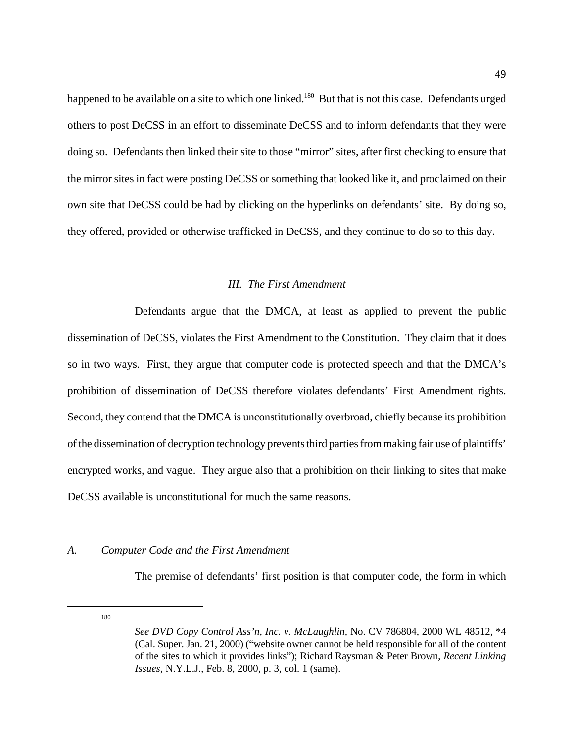happened to be available on a site to which one linked.<sup>180</sup> But that is not this case. Defendants urged others to post DeCSS in an effort to disseminate DeCSS and to inform defendants that they were doing so. Defendants then linked their site to those "mirror" sites, after first checking to ensure that the mirror sites in fact were posting DeCSS or something that looked like it, and proclaimed on their own site that DeCSS could be had by clicking on the hyperlinks on defendants' site. By doing so, they offered, provided or otherwise trafficked in DeCSS, and they continue to do so to this day.

### *III. The First Amendment*

Defendants argue that the DMCA, at least as applied to prevent the public dissemination of DeCSS, violates the First Amendment to the Constitution. They claim that it does so in two ways. First, they argue that computer code is protected speech and that the DMCA's prohibition of dissemination of DeCSS therefore violates defendants' First Amendment rights. Second, they contend that the DMCA is unconstitutionally overbroad, chiefly because its prohibition of the dissemination of decryption technology prevents third parties from making fair use of plaintiffs' encrypted works, and vague. They argue also that a prohibition on their linking to sites that make DeCSS available is unconstitutional for much the same reasons.

# *A. Computer Code and the First Amendment*

The premise of defendants' first position is that computer code, the form in which

*See DVD Copy Control Ass'n, Inc. v. McLaughlin,* No. CV 786804, 2000 WL 48512, \*4 (Cal. Super. Jan. 21, 2000) ("website owner cannot be held responsible for all of the content of the sites to which it provides links"); Richard Raysman & Peter Brown, *Recent Linking Issues,* N.Y.L.J., Feb. 8, 2000, p. 3, col. 1 (same).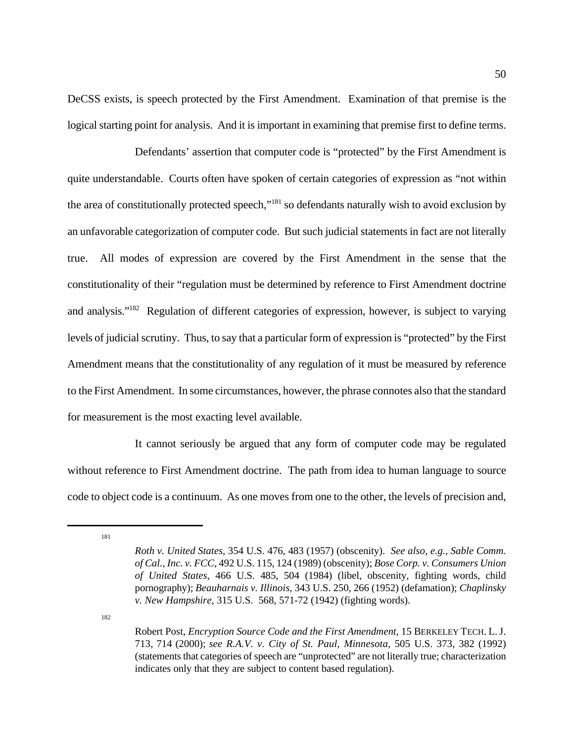DeCSS exists, is speech protected by the First Amendment. Examination of that premise is the logical starting point for analysis. And it is important in examining that premise first to define terms.

Defendants' assertion that computer code is "protected" by the First Amendment is quite understandable. Courts often have spoken of certain categories of expression as "not within the area of constitutionally protected speech,"<sup>181</sup> so defendants naturally wish to avoid exclusion by an unfavorable categorization of computer code. But such judicial statements in fact are not literally true. All modes of expression are covered by the First Amendment in the sense that the constitutionality of their "regulation must be determined by reference to First Amendment doctrine and analysis."<sup>182</sup> Regulation of different categories of expression, however, is subject to varying levels of judicial scrutiny. Thus, to say that a particular form of expression is "protected" by the First Amendment means that the constitutionality of any regulation of it must be measured by reference to the First Amendment. In some circumstances, however, the phrase connotes also that the standard for measurement is the most exacting level available.

It cannot seriously be argued that any form of computer code may be regulated without reference to First Amendment doctrine. The path from idea to human language to source code to object code is a continuum. As one moves from one to the other, the levels of precision and,

<sup>181</sup>

*Roth v. United States,* 354 U.S. 476, 483 (1957) (obscenity). *See also, e.g., Sable Comm. of Cal., Inc. v. FCC,* 492 U.S. 115, 124 (1989) (obscenity); *Bose Corp. v. Consumers Union of United States,* 466 U.S. 485, 504 (1984) (libel, obscenity, fighting words, child pornography); *Beauharnais v. Illinois,* 343 U.S. 250, 266 (1952) (defamation); *Chaplinsky v. New Hampshire,* 315 U.S. 568, 571-72 (1942) (fighting words).

Robert Post, *Encryption Source Code and the First Amendment,* 15 BERKELEY TECH. L.J. 713, 714 (2000); *see R.A.V. v. City of St. Paul, Minnesota,* 505 U.S. 373, 382 (1992) (statements that categories of speech are "unprotected" are not literally true; characterization indicates only that they are subject to content based regulation).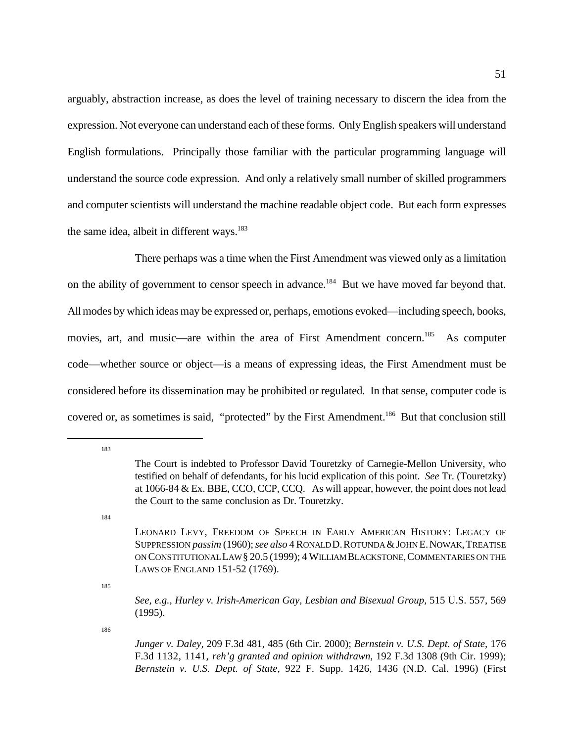arguably, abstraction increase, as does the level of training necessary to discern the idea from the expression. Not everyone can understand each of these forms. Only English speakers will understand English formulations. Principally those familiar with the particular programming language will understand the source code expression. And only a relatively small number of skilled programmers and computer scientists will understand the machine readable object code. But each form expresses the same idea, albeit in different ways.<sup>183</sup>

There perhaps was a time when the First Amendment was viewed only as a limitation on the ability of government to censor speech in advance.<sup>184</sup> But we have moved far beyond that. All modes by which ideas may be expressed or, perhaps, emotions evoked—including speech, books, movies, art, and music—are within the area of First Amendment concern.<sup>185</sup> As computer code—whether source or object—is a means of expressing ideas, the First Amendment must be considered before its dissemination may be prohibited or regulated. In that sense, computer code is covered or, as sometimes is said, "protected" by the First Amendment.<sup>186</sup> But that conclusion still

183

184

185

*See, e.g., Hurley v. Irish-American Gay, Lesbian and Bisexual Group,* 515 U.S. 557, 569 (1995).

The Court is indebted to Professor David Touretzky of Carnegie-Mellon University, who testified on behalf of defendants, for his lucid explication of this point. *See* Tr. (Touretzky) at 1066-84 & Ex. BBE, CCO, CCP, CCQ. As will appear, however, the point does not lead the Court to the same conclusion as Dr. Touretzky.

LEONARD LEVY, FREEDOM OF SPEECH IN EARLY AMERICAN HISTORY: LEGACY OF SUPPRESSION *passim* (1960); *see also* 4 RONALD D.ROTUNDA&JOHNE.NOWAK,TREATISE ONCONSTITUTIONALLAW§ 20.5 (1999); 4 WILLIAMBLACKSTONE,COMMENTARIES ON THE LAWS OF ENGLAND 151-52 (1769).

*Junger v. Daley,* 209 F.3d 481, 485 (6th Cir. 2000); *Bernstein v. U.S. Dept. of State,* 176 F.3d 1132, 1141, *reh'g granted and opinion withdrawn,* 192 F.3d 1308 (9th Cir. 1999); *Bernstein v. U.S. Dept. of State,* 922 F. Supp. 1426, 1436 (N.D. Cal. 1996) (First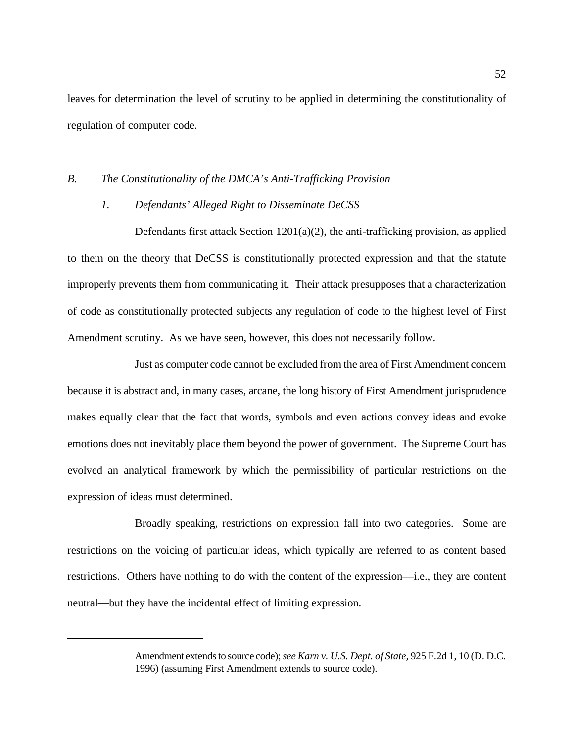leaves for determination the level of scrutiny to be applied in determining the constitutionality of regulation of computer code.

# *B. The Constitutionality of the DMCA's Anti-Trafficking Provision*

# *1. Defendants' Alleged Right to Disseminate DeCSS*

Defendants first attack Section 1201(a)(2), the anti-trafficking provision, as applied to them on the theory that DeCSS is constitutionally protected expression and that the statute improperly prevents them from communicating it. Their attack presupposes that a characterization of code as constitutionally protected subjects any regulation of code to the highest level of First Amendment scrutiny. As we have seen, however, this does not necessarily follow.

Just as computer code cannot be excluded from the area of First Amendment concern because it is abstract and, in many cases, arcane, the long history of First Amendment jurisprudence makes equally clear that the fact that words, symbols and even actions convey ideas and evoke emotions does not inevitably place them beyond the power of government. The Supreme Court has evolved an analytical framework by which the permissibility of particular restrictions on the expression of ideas must determined.

Broadly speaking, restrictions on expression fall into two categories. Some are restrictions on the voicing of particular ideas, which typically are referred to as content based restrictions. Others have nothing to do with the content of the expression—i.e., they are content neutral—but they have the incidental effect of limiting expression.

Amendment extends to source code); *see Karn v. U.S. Dept. of State,* 925 F.2d 1, 10 (D. D.C. 1996) (assuming First Amendment extends to source code).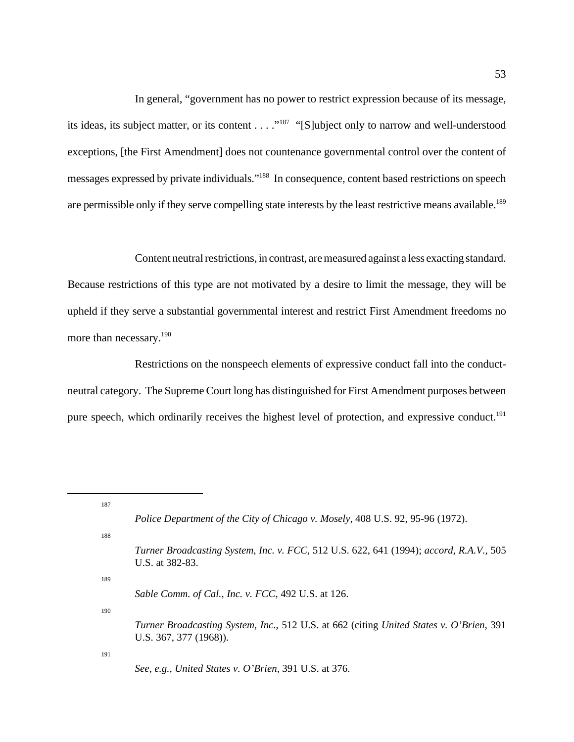In general, "government has no power to restrict expression because of its message, its ideas, its subject matter, or its content . . . . "<sup>187</sup> "[S]ubject only to narrow and well-understood exceptions, [the First Amendment] does not countenance governmental control over the content of messages expressed by private individuals."<sup>188</sup> In consequence, content based restrictions on speech are permissible only if they serve compelling state interests by the least restrictive means available.<sup>189</sup>

Content neutral restrictions, in contrast, are measured against a less exacting standard. Because restrictions of this type are not motivated by a desire to limit the message, they will be upheld if they serve a substantial governmental interest and restrict First Amendment freedoms no more than necessary.<sup>190</sup>

Restrictions on the nonspeech elements of expressive conduct fall into the conductneutral category. The Supreme Court long has distinguished for First Amendment purposes between pure speech, which ordinarily receives the highest level of protection, and expressive conduct.<sup>191</sup>

| 187 |                                                                                                           |
|-----|-----------------------------------------------------------------------------------------------------------|
|     | Police Department of the City of Chicago v. Mosely, 408 U.S. 92, 95-96 (1972).                            |
| 188 |                                                                                                           |
|     | Turner Broadcasting System, Inc. v. FCC, 512 U.S. 622, 641 (1994); accord, R.A.V., 505<br>U.S. at 382-83. |
| 189 |                                                                                                           |
|     | Sable Comm. of Cal., Inc. v. FCC, 492 U.S. at 126.                                                        |
| 190 |                                                                                                           |
|     | Turner Broadcasting System, Inc., 512 U.S. at 662 (citing United States v. O'Brien, 391                   |
|     | U.S. 367, 377 (1968)).                                                                                    |
| 191 |                                                                                                           |
|     | See, e.g., United States v. O'Brien, 391 U.S. at 376.                                                     |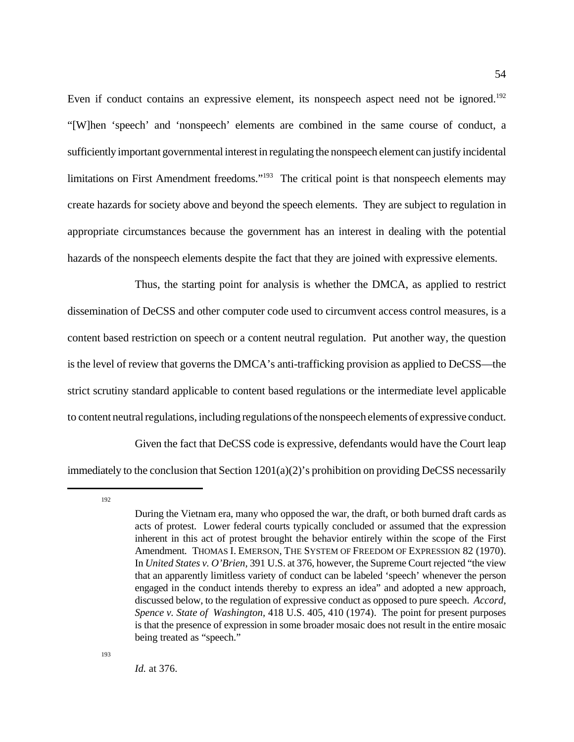Even if conduct contains an expressive element, its nonspeech aspect need not be ignored.<sup>192</sup> "[W]hen 'speech' and 'nonspeech' elements are combined in the same course of conduct, a sufficiently important governmental interest in regulating the nonspeech element can justify incidental limitations on First Amendment freedoms."<sup>193</sup> The critical point is that nonspeech elements may create hazards for society above and beyond the speech elements. They are subject to regulation in appropriate circumstances because the government has an interest in dealing with the potential hazards of the nonspeech elements despite the fact that they are joined with expressive elements.

Thus, the starting point for analysis is whether the DMCA, as applied to restrict dissemination of DeCSS and other computer code used to circumvent access control measures, is a content based restriction on speech or a content neutral regulation. Put another way, the question is the level of review that governs the DMCA's anti-trafficking provision as applied to DeCSS—the strict scrutiny standard applicable to content based regulations or the intermediate level applicable to content neutral regulations, including regulations of the nonspeech elements of expressive conduct.

Given the fact that DeCSS code is expressive, defendants would have the Court leap immediately to the conclusion that Section 1201(a)(2)'s prohibition on providing DeCSS necessarily

<sup>192</sup>

During the Vietnam era, many who opposed the war, the draft, or both burned draft cards as acts of protest. Lower federal courts typically concluded or assumed that the expression inherent in this act of protest brought the behavior entirely within the scope of the First Amendment. THOMAS I. EMERSON, THE SYSTEM OF FREEDOM OF EXPRESSION 82 (1970). In *United States v. O'Brien,* 391 U.S. at 376, however, the Supreme Court rejected "the view that an apparently limitless variety of conduct can be labeled 'speech' whenever the person engaged in the conduct intends thereby to express an idea" and adopted a new approach, discussed below, to the regulation of expressive conduct as opposed to pure speech. *Accord, Spence v. State of Washington,* 418 U.S. 405, 410 (1974). The point for present purposes is that the presence of expression in some broader mosaic does not result in the entire mosaic being treated as "speech."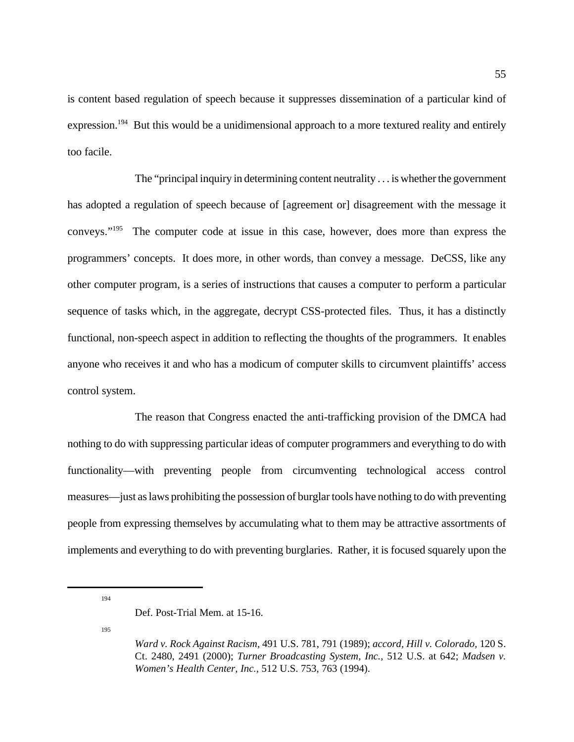is content based regulation of speech because it suppresses dissemination of a particular kind of expression.<sup>194</sup> But this would be a unidimensional approach to a more textured reality and entirely too facile.

The "principal inquiry in determining content neutrality . . . is whether the government has adopted a regulation of speech because of [agreement or] disagreement with the message it conveys."<sup>195</sup> The computer code at issue in this case, however, does more than express the programmers' concepts. It does more, in other words, than convey a message. DeCSS, like any other computer program, is a series of instructions that causes a computer to perform a particular sequence of tasks which, in the aggregate, decrypt CSS-protected files. Thus, it has a distinctly functional, non-speech aspect in addition to reflecting the thoughts of the programmers. It enables anyone who receives it and who has a modicum of computer skills to circumvent plaintiffs' access control system.

The reason that Congress enacted the anti-trafficking provision of the DMCA had nothing to do with suppressing particular ideas of computer programmers and everything to do with functionality—with preventing people from circumventing technological access control measures—just as laws prohibiting the possession of burglar tools have nothing to do with preventing people from expressing themselves by accumulating what to them may be attractive assortments of implements and everything to do with preventing burglaries. Rather, it is focused squarely upon the

194

Def. Post-Trial Mem. at 15-16.

*Ward v. Rock Against Racism,* 491 U.S. 781, 791 (1989); *accord, Hill v. Colorado,* 120 S. Ct. 2480, 2491 (2000); *Turner Broadcasting System, Inc.,* 512 U.S. at 642; *Madsen v. Women's Health Center, Inc.,* 512 U.S. 753, 763 (1994).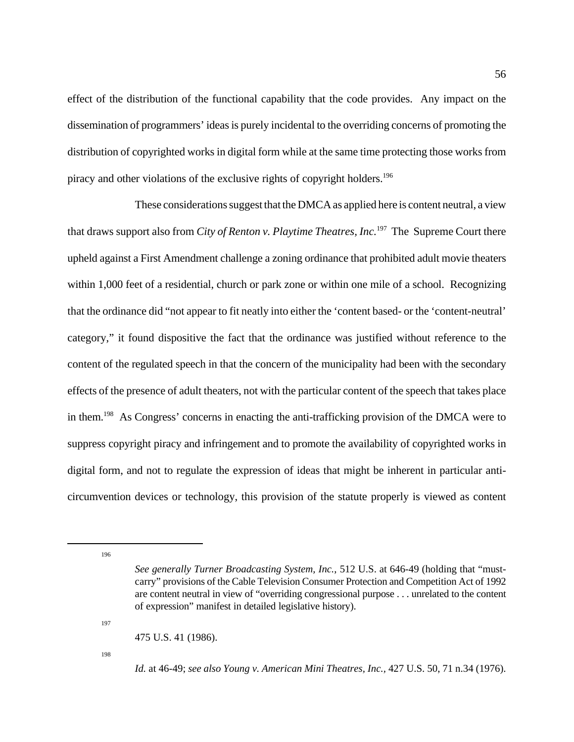effect of the distribution of the functional capability that the code provides. Any impact on the dissemination of programmers' ideas is purely incidental to the overriding concerns of promoting the distribution of copyrighted works in digital form while at the same time protecting those works from piracy and other violations of the exclusive rights of copyright holders.<sup>196</sup>

These considerations suggest that the DMCA as applied here is content neutral, a view that draws support also from *City of Renton v. Playtime Theatres, Inc.*<sup>197</sup> The Supreme Court there upheld against a First Amendment challenge a zoning ordinance that prohibited adult movie theaters within 1,000 feet of a residential, church or park zone or within one mile of a school. Recognizing that the ordinance did "not appear to fit neatly into either the 'content based- or the 'content-neutral' category," it found dispositive the fact that the ordinance was justified without reference to the content of the regulated speech in that the concern of the municipality had been with the secondary effects of the presence of adult theaters, not with the particular content of the speech that takes place in them.<sup>198</sup> As Congress' concerns in enacting the anti-trafficking provision of the DMCA were to suppress copyright piracy and infringement and to promote the availability of copyrighted works in digital form, and not to regulate the expression of ideas that might be inherent in particular anticircumvention devices or technology, this provision of the statute properly is viewed as content

196

197

*See generally Turner Broadcasting System, Inc.*, 512 U.S. at 646-49 (holding that "mustcarry" provisions of the Cable Television Consumer Protection and Competition Act of 1992 are content neutral in view of "overriding congressional purpose . . . unrelated to the content of expression" manifest in detailed legislative history).

<sup>475</sup> U.S. 41 (1986).

*Id.* at 46-49; *see also Young v. American Mini Theatres, Inc.,* 427 U.S. 50, 71 n.34 (1976).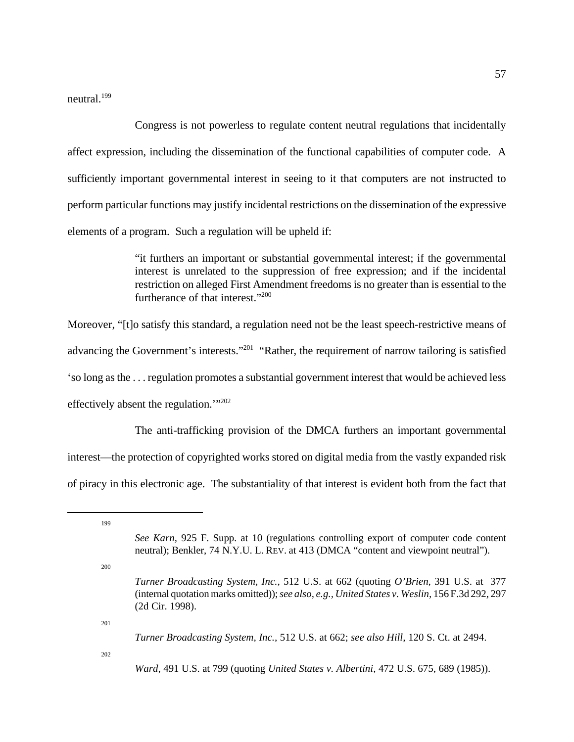neutral.<sup>199</sup>

Congress is not powerless to regulate content neutral regulations that incidentally affect expression, including the dissemination of the functional capabilities of computer code. A sufficiently important governmental interest in seeing to it that computers are not instructed to perform particular functions may justify incidental restrictions on the dissemination of the expressive elements of a program. Such a regulation will be upheld if:

> "it furthers an important or substantial governmental interest; if the governmental interest is unrelated to the suppression of free expression; and if the incidental restriction on alleged First Amendment freedoms is no greater than is essential to the furtherance of that interest."<sup>200</sup>

Moreover, "[t]o satisfy this standard, a regulation need not be the least speech-restrictive means of advancing the Government's interests."<sup>201</sup> "Rather, the requirement of narrow tailoring is satisfied 'so long as the . . . regulation promotes a substantial government interest that would be achieved less effectively absent the regulation.'"<sup>202</sup>

The anti-trafficking provision of the DMCA furthers an important governmental interest—the protection of copyrighted works stored on digital media from the vastly expanded risk of piracy in this electronic age. The substantiality of that interest is evident both from the fact that

200

201

202

*Ward,* 491 U.S. at 799 (quoting *United States v. Albertini,* 472 U.S. 675, 689 (1985)).

<sup>199</sup>

*See Karn,* 925 F. Supp. at 10 (regulations controlling export of computer code content neutral); Benkler, 74 N.Y.U. L. REV. at 413 (DMCA "content and viewpoint neutral").

*Turner Broadcasting System, Inc.,* 512 U.S. at 662 (quoting *O'Brien,* 391 U.S. at 377 (internal quotation marks omitted)); *see also, e.g., United States v. Weslin,* 156 F.3d 292, 297 (2d Cir. 1998).

*Turner Broadcasting System, Inc.,* 512 U.S. at 662; *see also Hill,* 120 S. Ct. at 2494.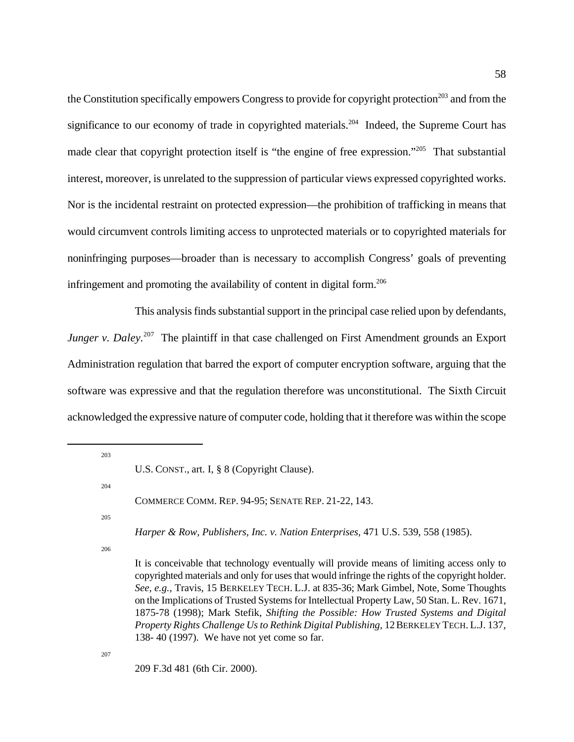the Constitution specifically empowers Congress to provide for copyright protection<sup>203</sup> and from the significance to our economy of trade in copyrighted materials.<sup>204</sup> Indeed, the Supreme Court has made clear that copyright protection itself is "the engine of free expression."<sup>205</sup> That substantial interest, moreover, is unrelated to the suppression of particular views expressed copyrighted works. Nor is the incidental restraint on protected expression—the prohibition of trafficking in means that would circumvent controls limiting access to unprotected materials or to copyrighted materials for noninfringing purposes—broader than is necessary to accomplish Congress' goals of preventing infringement and promoting the availability of content in digital form.<sup>206</sup>

This analysis finds substantial support in the principal case relied upon by defendants, *Junger v. Daley.*<sup>207</sup> The plaintiff in that case challenged on First Amendment grounds an Export Administration regulation that barred the export of computer encryption software, arguing that the software was expressive and that the regulation therefore was unconstitutional. The Sixth Circuit acknowledged the expressive nature of computer code, holding that it therefore was within the scope

203

204

205

*Harper & Row, Publishers, Inc. v. Nation Enterprises,* 471 U.S. 539, 558 (1985).

206

207

209 F.3d 481 (6th Cir. 2000).

U.S. CONST., art. I, § 8 (Copyright Clause).

COMMERCE COMM. REP. 94-95; SENATE REP. 21-22, 143.

It is conceivable that technology eventually will provide means of limiting access only to copyrighted materials and only for uses that would infringe the rights of the copyright holder. *See, e.g.,* Travis, 15 BERKELEY TECH. L.J. at 835-36; Mark Gimbel, Note, Some Thoughts on the Implications of Trusted Systems for Intellectual Property Law, 50 Stan. L. Rev. 1671, 1875-78 (1998); Mark Stefik, *Shifting the Possible: How Trusted Systems and Digital Property Rights Challenge Us to Rethink Digital Publishing,* 12BERKELEY TECH. L.J. 137, 138- 40 (1997). We have not yet come so far.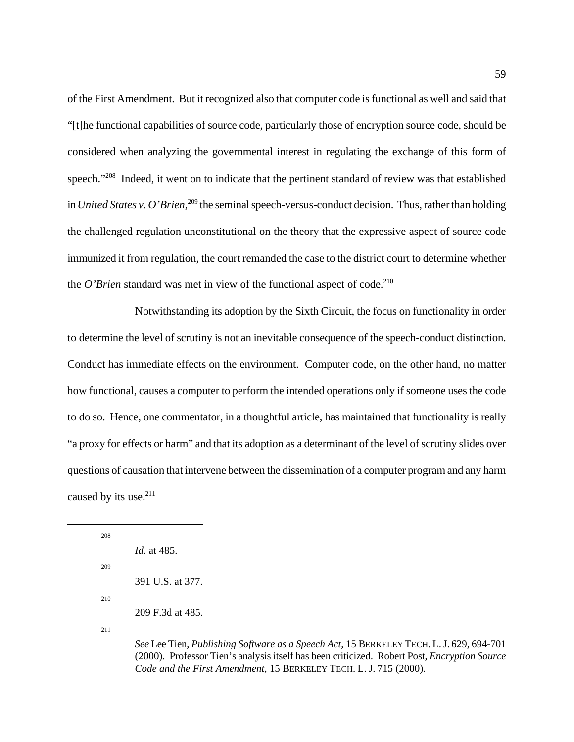of the First Amendment. But it recognized also that computer code is functional as well and said that "[t]he functional capabilities of source code, particularly those of encryption source code, should be considered when analyzing the governmental interest in regulating the exchange of this form of speech."<sup>208</sup> Indeed, it went on to indicate that the pertinent standard of review was that established in*United States v. O'Brien,*<sup>209</sup> the seminal speech-versus-conduct decision. Thus, rather than holding the challenged regulation unconstitutional on the theory that the expressive aspect of source code immunized it from regulation, the court remanded the case to the district court to determine whether the  $O'Brien$  standard was met in view of the functional aspect of code.<sup>210</sup>

Notwithstanding its adoption by the Sixth Circuit, the focus on functionality in order to determine the level of scrutiny is not an inevitable consequence of the speech-conduct distinction. Conduct has immediate effects on the environment. Computer code, on the other hand, no matter how functional, causes a computer to perform the intended operations only if someone uses the code to do so. Hence, one commentator, in a thoughtful article, has maintained that functionality is really "a proxy for effects or harm" and that its adoption as a determinant of the level of scrutiny slides over questions of causation that intervene between the dissemination of a computer program and any harm caused by its use.<sup>211</sup>

208 *Id.* at 485. 209 391 U.S. at 377. 210 209 F.3d at 485. 211

> *See* Lee Tien, *Publishing Software as a Speech Act,* 15 BERKELEY TECH. L.J. 629, 694-701 (2000). Professor Tien's analysis itself has been criticized. Robert Post, *Encryption Source Code and the First Amendment,* 15 BERKELEY TECH. L. J. 715 (2000).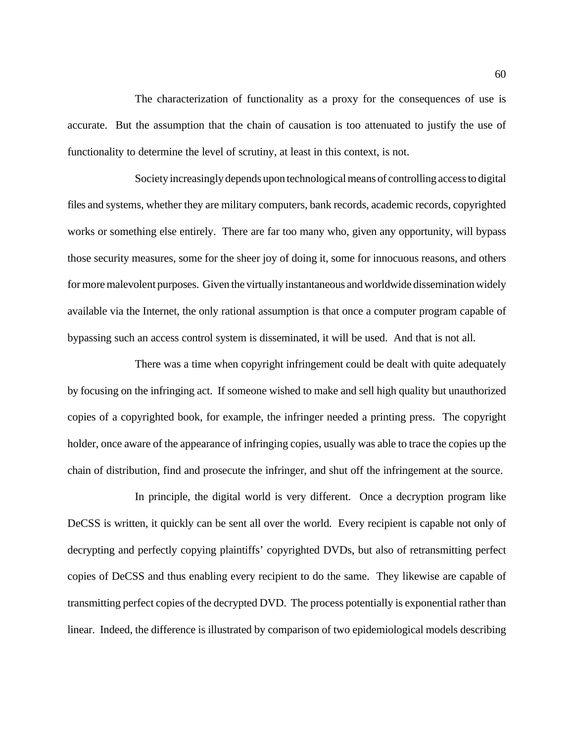The characterization of functionality as a proxy for the consequences of use is accurate. But the assumption that the chain of causation is too attenuated to justify the use of functionality to determine the level of scrutiny, at least in this context, is not.

Society increasingly depends upon technological means of controlling access to digital files and systems, whether they are military computers, bank records, academic records, copyrighted works or something else entirely. There are far too many who, given any opportunity, will bypass those security measures, some for the sheer joy of doing it, some for innocuous reasons, and others for more malevolent purposes. Given the virtually instantaneous and worldwide dissemination widely available via the Internet, the only rational assumption is that once a computer program capable of bypassing such an access control system is disseminated, it will be used. And that is not all.

There was a time when copyright infringement could be dealt with quite adequately by focusing on the infringing act. If someone wished to make and sell high quality but unauthorized copies of a copyrighted book, for example, the infringer needed a printing press. The copyright holder, once aware of the appearance of infringing copies, usually was able to trace the copies up the chain of distribution, find and prosecute the infringer, and shut off the infringement at the source.

In principle, the digital world is very different. Once a decryption program like DeCSS is written, it quickly can be sent all over the world. Every recipient is capable not only of decrypting and perfectly copying plaintiffs' copyrighted DVDs, but also of retransmitting perfect copies of DeCSS and thus enabling every recipient to do the same. They likewise are capable of transmitting perfect copies of the decrypted DVD. The process potentially is exponential rather than linear. Indeed, the difference is illustrated by comparison of two epidemiological models describing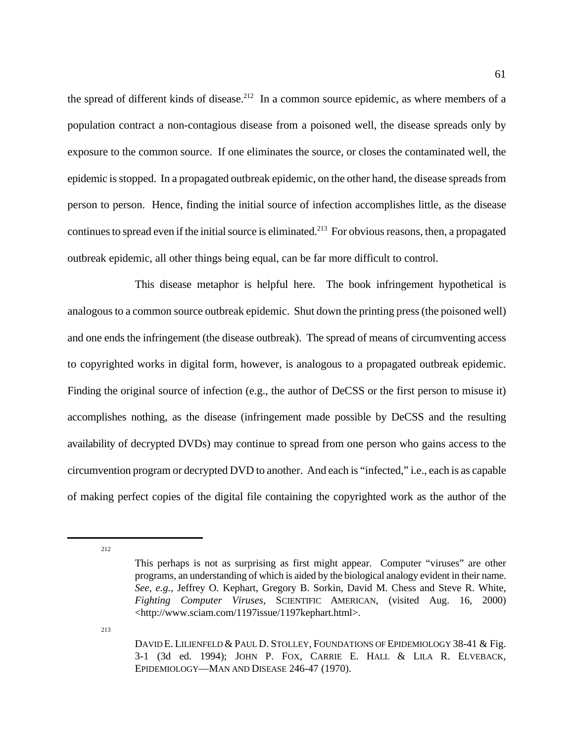the spread of different kinds of disease.<sup>212</sup> In a common source epidemic, as where members of a population contract a non-contagious disease from a poisoned well, the disease spreads only by exposure to the common source. If one eliminates the source, or closes the contaminated well, the epidemic is stopped. In a propagated outbreak epidemic, on the other hand, the disease spreads from person to person. Hence, finding the initial source of infection accomplishes little, as the disease continues to spread even if the initial source is eliminated.<sup>213</sup> For obvious reasons, then, a propagated outbreak epidemic, all other things being equal, can be far more difficult to control.

This disease metaphor is helpful here. The book infringement hypothetical is analogous to a common source outbreak epidemic. Shut down the printing press (the poisoned well) and one ends the infringement (the disease outbreak). The spread of means of circumventing access to copyrighted works in digital form, however, is analogous to a propagated outbreak epidemic. Finding the original source of infection (e.g., the author of DeCSS or the first person to misuse it) accomplishes nothing, as the disease (infringement made possible by DeCSS and the resulting availability of decrypted DVDs) may continue to spread from one person who gains access to the circumvention program or decrypted DVD to another. And each is "infected," i.e., each is as capable of making perfect copies of the digital file containing the copyrighted work as the author of the

212

This perhaps is not as surprising as first might appear. Computer "viruses" are other programs, an understanding of which is aided by the biological analogy evident in their name. *See, e.g.,* Jeffrey O. Kephart, Gregory B. Sorkin, David M. Chess and Steve R. White, *Fighting Computer Viruses,* SCIENTIFIC AMERICAN, (visited Aug. 16, 2000) <http://www.sciam.com/1197issue/1197kephart.html>.

DAVID E. LILIENFELD & PAUL D. STOLLEY, FOUNDATIONS OF EPIDEMIOLOGY 38-41 & Fig. 3-1 (3d ed. 1994); JOHN P. FOX, CARRIE E. HALL & LILA R. ELVEBACK, EPIDEMIOLOGY—MAN AND DISEASE 246-47 (1970).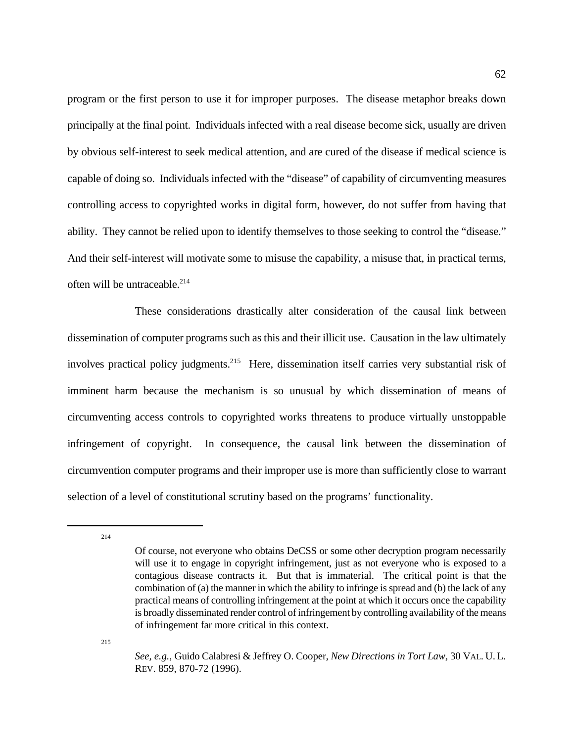program or the first person to use it for improper purposes. The disease metaphor breaks down principally at the final point. Individuals infected with a real disease become sick, usually are driven by obvious self-interest to seek medical attention, and are cured of the disease if medical science is capable of doing so. Individuals infected with the "disease" of capability of circumventing measures controlling access to copyrighted works in digital form, however, do not suffer from having that ability. They cannot be relied upon to identify themselves to those seeking to control the "disease." And their self-interest will motivate some to misuse the capability, a misuse that, in practical terms, often will be untraceable.<sup>214</sup>

These considerations drastically alter consideration of the causal link between dissemination of computer programs such as this and their illicit use. Causation in the law ultimately involves practical policy judgments.<sup>215</sup> Here, dissemination itself carries very substantial risk of imminent harm because the mechanism is so unusual by which dissemination of means of circumventing access controls to copyrighted works threatens to produce virtually unstoppable infringement of copyright. In consequence, the causal link between the dissemination of circumvention computer programs and their improper use is more than sufficiently close to warrant selection of a level of constitutional scrutiny based on the programs' functionality.

214

Of course, not everyone who obtains DeCSS or some other decryption program necessarily will use it to engage in copyright infringement, just as not everyone who is exposed to a contagious disease contracts it. But that is immaterial. The critical point is that the combination of (a) the manner in which the ability to infringe is spread and (b) the lack of any practical means of controlling infringement at the point at which it occurs once the capability is broadly disseminated render control of infringement by controlling availability of the means of infringement far more critical in this context.

*See, e.g.,* Guido Calabresi & Jeffrey O. Cooper, *New Directions in Tort Law,* 30 VAL. U. L. REV. 859, 870-72 (1996).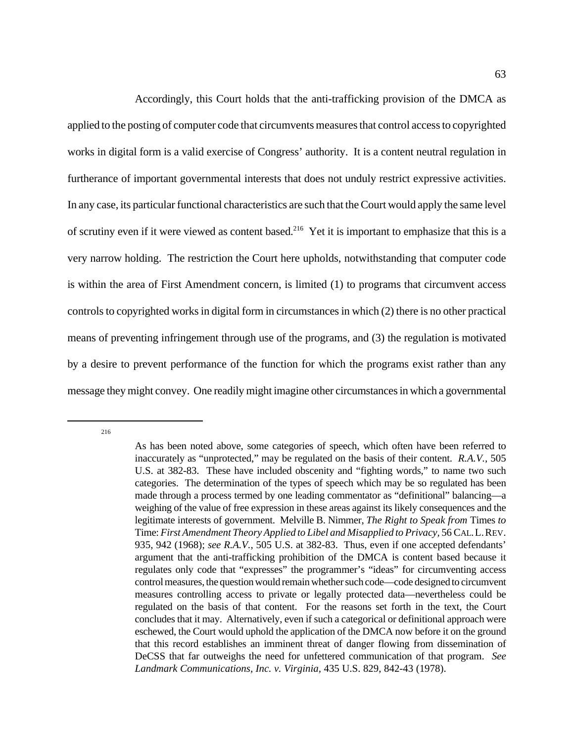Accordingly, this Court holds that the anti-trafficking provision of the DMCA as applied to the posting of computer code that circumvents measures that control access to copyrighted works in digital form is a valid exercise of Congress' authority. It is a content neutral regulation in furtherance of important governmental interests that does not unduly restrict expressive activities. In any case, its particular functional characteristics are such that the Court would apply the same level of scrutiny even if it were viewed as content based.<sup>216</sup> Yet it is important to emphasize that this is a very narrow holding. The restriction the Court here upholds, notwithstanding that computer code is within the area of First Amendment concern, is limited (1) to programs that circumvent access controls to copyrighted works in digital form in circumstances in which (2) there is no other practical means of preventing infringement through use of the programs, and (3) the regulation is motivated by a desire to prevent performance of the function for which the programs exist rather than any message they might convey. One readily might imagine other circumstances in which a governmental

As has been noted above, some categories of speech, which often have been referred to inaccurately as "unprotected," may be regulated on the basis of their content. *R.A.V.,* 505 U.S. at 382-83. These have included obscenity and "fighting words," to name two such categories. The determination of the types of speech which may be so regulated has been made through a process termed by one leading commentator as "definitional" balancing—a weighing of the value of free expression in these areas against its likely consequences and the legitimate interests of government. Melville B. Nimmer, *The Right to Speak from* Times *to* Time: *First Amendment Theory Applied to Libel and Misapplied to Privacy,* 56 CAL.L.REV. 935, 942 (1968); *see R.A.V.,* 505 U.S. at 382-83. Thus, even if one accepted defendants' argument that the anti-trafficking prohibition of the DMCA is content based because it regulates only code that "expresses" the programmer's "ideas" for circumventing access control measures, the question would remain whether such code—code designed to circumvent measures controlling access to private or legally protected data—nevertheless could be regulated on the basis of that content. For the reasons set forth in the text, the Court concludes that it may. Alternatively, even if such a categorical or definitional approach were eschewed, the Court would uphold the application of the DMCA now before it on the ground that this record establishes an imminent threat of danger flowing from dissemination of DeCSS that far outweighs the need for unfettered communication of that program. *See Landmark Communications, Inc. v. Virginia,* 435 U.S. 829, 842-43 (1978).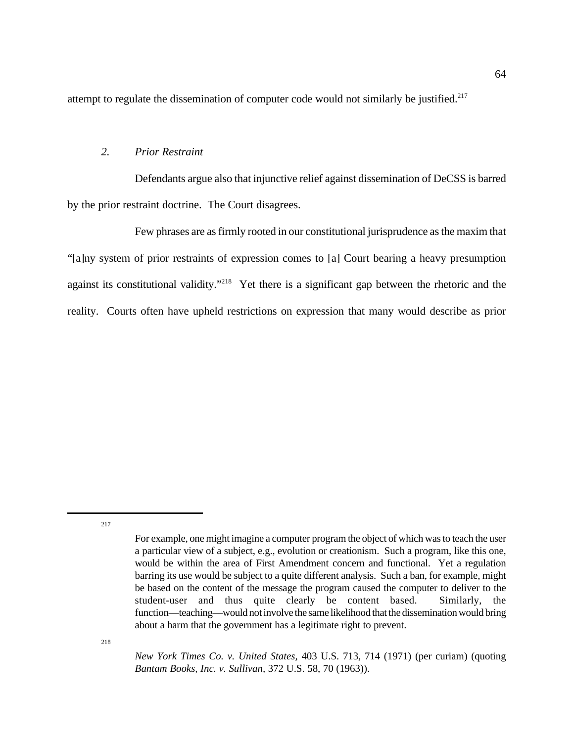attempt to regulate the dissemination of computer code would not similarly be justified.<sup>217</sup>

# *2. Prior Restraint*

Defendants argue also that injunctive relief against dissemination of DeCSS is barred by the prior restraint doctrine. The Court disagrees.

Few phrases are as firmly rooted in our constitutional jurisprudence as the maxim that "[a]ny system of prior restraints of expression comes to [a] Court bearing a heavy presumption against its constitutional validity."<sup>218</sup> Yet there is a significant gap between the rhetoric and the reality. Courts often have upheld restrictions on expression that many would describe as prior

217

For example, one might imagine a computer program the object of which was to teach the user a particular view of a subject, e.g., evolution or creationism. Such a program, like this one, would be within the area of First Amendment concern and functional. Yet a regulation barring its use would be subject to a quite different analysis. Such a ban, for example, might be based on the content of the message the program caused the computer to deliver to the student-user and thus quite clearly be content based. Similarly, the function—teaching—would not involve the same likelihood that the dissemination would bring about a harm that the government has a legitimate right to prevent.

*New York Times Co. v. United States,* 403 U.S. 713, 714 (1971) (per curiam) (quoting *Bantam Books, Inc. v. Sullivan,* 372 U.S. 58, 70 (1963)).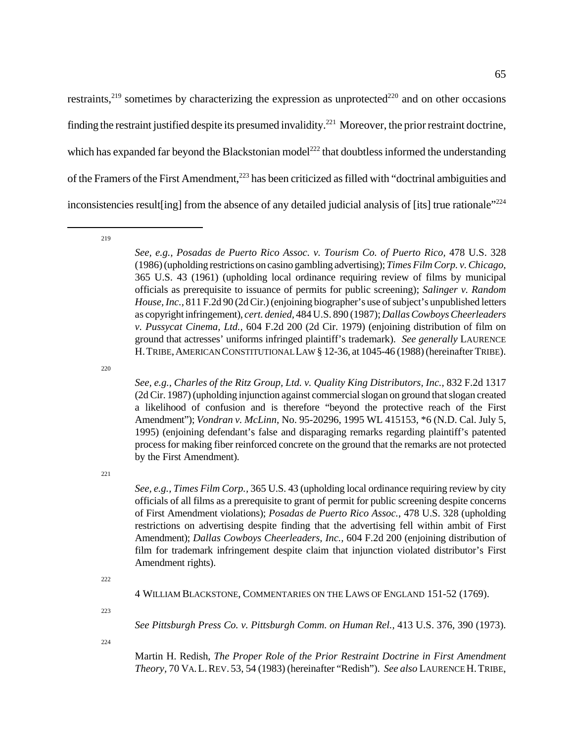restraints,<sup>219</sup> sometimes by characterizing the expression as unprotected<sup>220</sup> and on other occasions finding the restraint justified despite its presumed invalidity.<sup>221</sup> Moreover, the prior restraint doctrine, which has expanded far beyond the Blackstonian model<sup>222</sup> that doubtless informed the understanding of the Framers of the First Amendment,<sup>223</sup> has been criticized as filled with "doctrinal ambiguities and inconsistencies result [ing] from the absence of any detailed judicial analysis of [its] true rationale<sup>"224</sup>

219

*See, e.g., Posadas de Puerto Rico Assoc. v. Tourism Co. of Puerto Rico,* 478 U.S. 328 (1986) (upholding restrictions on casino gambling advertising); *Times Film Corp. v. Chicago,* 365 U.S. 43 (1961) (upholding local ordinance requiring review of films by municipal officials as prerequisite to issuance of permits for public screening); *Salinger v. Random House, Inc.,* 811 F.2d 90 (2d Cir.) (enjoining biographer's use of subject's unpublished letters as copyright infringement), *cert. denied,* 484 U.S. 890 (1987); *Dallas Cowboys Cheerleaders v. Pussycat Cinema, Ltd.,* 604 F.2d 200 (2d Cir. 1979) (enjoining distribution of film on ground that actresses' uniforms infringed plaintiff's trademark). *See generally* LAURENCE H.TRIBE,AMERICANCONSTITUTIONALLAW § 12-36, at 1045-46 (1988) (hereinafter TRIBE).

220

*See, e.g., Charles of the Ritz Group, Ltd. v. Quality King Distributors, Inc.*, 832 F.2d 1317 (2d Cir. 1987) (upholding injunction against commercial slogan on ground that slogan created a likelihood of confusion and is therefore "beyond the protective reach of the First Amendment"); *Vondran v. McLinn*, No. 95-20296, 1995 WL 415153, \*6 (N.D. Cal. July 5, 1995) (enjoining defendant's false and disparaging remarks regarding plaintiff's patented process for making fiber reinforced concrete on the ground that the remarks are not protected by the First Amendment).

221

*See, e.g., Times Film Corp.,* 365 U.S. 43 (upholding local ordinance requiring review by city officials of all films as a prerequisite to grant of permit for public screening despite concerns of First Amendment violations); *Posadas de Puerto Rico Assoc.*, 478 U.S. 328 (upholding restrictions on advertising despite finding that the advertising fell within ambit of First Amendment); *Dallas Cowboys Cheerleaders, Inc.,* 604 F.2d 200 (enjoining distribution of film for trademark infringement despite claim that injunction violated distributor's First Amendment rights).

222

4 WILLIAM BLACKSTONE, COMMENTARIES ON THE LAWS OF ENGLAND 151-52 (1769).

223

*See Pittsburgh Press Co. v. Pittsburgh Comm. on Human Rel.,* 413 U.S. 376, 390 (1973).

224

Martin H. Redish, *The Proper Role of the Prior Restraint Doctrine in First Amendment Theory,* 70 VA.L.REV. 53, 54 (1983) (hereinafter "Redish"). *See also* LAURENCEH.TRIBE,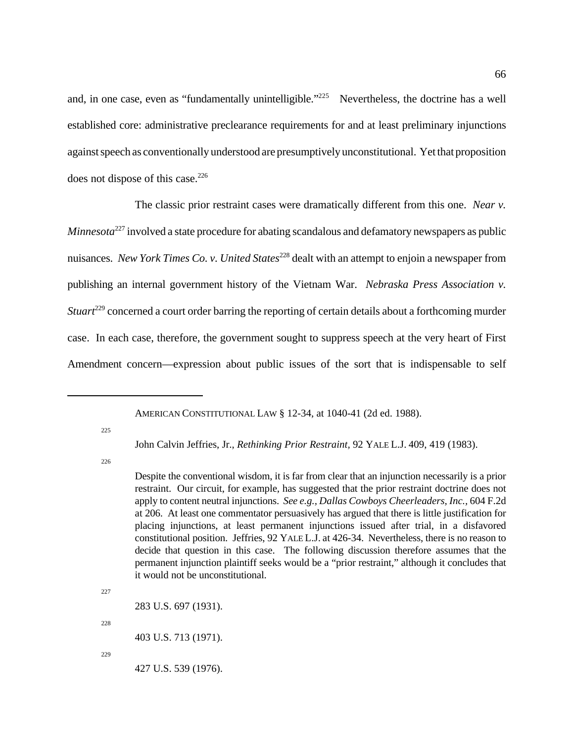and, in one case, even as "fundamentally unintelligible."<sup>225</sup> Nevertheless, the doctrine has a well established core: administrative preclearance requirements for and at least preliminary injunctions against speech as conventionally understood are presumptively unconstitutional. Yet that proposition does not dispose of this case.<sup>226</sup>

The classic prior restraint cases were dramatically different from this one. *Near v. Minnesota*<sup>227</sup> involved a state procedure for abating scandalous and defamatory newspapers as public nuisances. *New York Times Co. v. United States*<sup>228</sup> dealt with an attempt to enjoin a newspaper from publishing an internal government history of the Vietnam War. *Nebraska Press Association v. Stuart*<sup>229</sup> concerned a court order barring the reporting of certain details about a forthcoming murder case. In each case, therefore, the government sought to suppress speech at the very heart of First Amendment concern—expression about public issues of the sort that is indispensable to self

AMERICAN CONSTITUTIONAL LAW § 12-34, at 1040-41 (2d ed. 1988).

225

John Calvin Jeffries, Jr., *Rethinking Prior Restraint,* 92 YALE L.J. 409, 419 (1983).

226

283 U.S. 697 (1931).

228

403 U.S. 713 (1971).

 $229$ 

427 U.S. 539 (1976).

Despite the conventional wisdom, it is far from clear that an injunction necessarily is a prior restraint. Our circuit, for example, has suggested that the prior restraint doctrine does not apply to content neutral injunctions. *See e.g., Dallas Cowboys Cheerleaders, Inc.,* 604 F.2d at 206. At least one commentator persuasively has argued that there is little justification for placing injunctions, at least permanent injunctions issued after trial, in a disfavored constitutional position. Jeffries, 92 YALE L.J. at 426-34. Nevertheless, there is no reason to decide that question in this case. The following discussion therefore assumes that the permanent injunction plaintiff seeks would be a "prior restraint," although it concludes that it would not be unconstitutional.

 $227$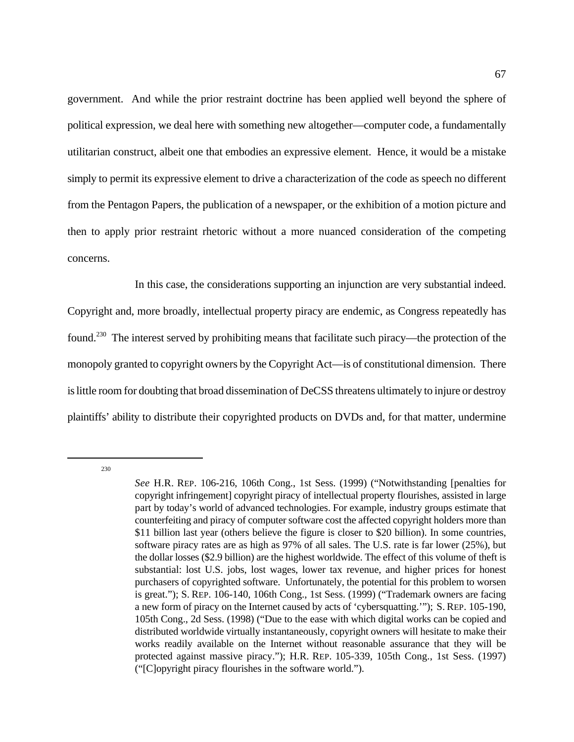government. And while the prior restraint doctrine has been applied well beyond the sphere of political expression, we deal here with something new altogether—computer code, a fundamentally utilitarian construct, albeit one that embodies an expressive element. Hence, it would be a mistake simply to permit its expressive element to drive a characterization of the code as speech no different from the Pentagon Papers, the publication of a newspaper, or the exhibition of a motion picture and then to apply prior restraint rhetoric without a more nuanced consideration of the competing concerns.

In this case, the considerations supporting an injunction are very substantial indeed.

Copyright and, more broadly, intellectual property piracy are endemic, as Congress repeatedly has found.<sup>230</sup> The interest served by prohibiting means that facilitate such piracy—the protection of the monopoly granted to copyright owners by the Copyright Act—is of constitutional dimension. There is little room for doubting that broad dissemination of DeCSS threatens ultimately to injure or destroy plaintiffs' ability to distribute their copyrighted products on DVDs and, for that matter, undermine

*See* H.R. REP. 106-216, 106th Cong., 1st Sess. (1999) ("Notwithstanding [penalties for copyright infringement] copyright piracy of intellectual property flourishes, assisted in large part by today's world of advanced technologies. For example, industry groups estimate that counterfeiting and piracy of computer software cost the affected copyright holders more than \$11 billion last year (others believe the figure is closer to \$20 billion). In some countries, software piracy rates are as high as 97% of all sales. The U.S. rate is far lower (25%), but the dollar losses (\$2.9 billion) are the highest worldwide. The effect of this volume of theft is substantial: lost U.S. jobs, lost wages, lower tax revenue, and higher prices for honest purchasers of copyrighted software. Unfortunately, the potential for this problem to worsen is great."); S. REP. 106-140, 106th Cong., 1st Sess. (1999) ("Trademark owners are facing a new form of piracy on the Internet caused by acts of 'cybersquatting.'"); S. REP. 105-190, 105th Cong., 2d Sess. (1998) ("Due to the ease with which digital works can be copied and distributed worldwide virtually instantaneously, copyright owners will hesitate to make their works readily available on the Internet without reasonable assurance that they will be protected against massive piracy."); H.R. REP. 105-339, 105th Cong., 1st Sess. (1997) ("[C]opyright piracy flourishes in the software world.").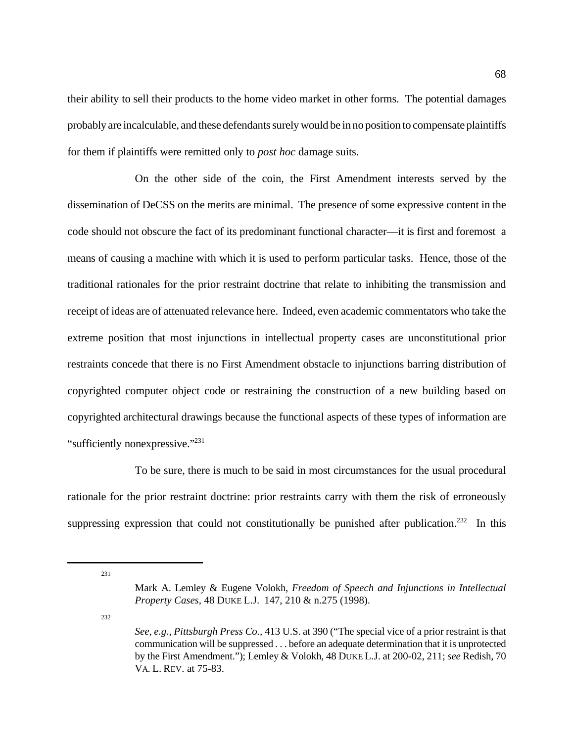their ability to sell their products to the home video market in other forms. The potential damages probably are incalculable, and these defendants surely would be in no position to compensate plaintiffs for them if plaintiffs were remitted only to *post hoc* damage suits.

On the other side of the coin, the First Amendment interests served by the dissemination of DeCSS on the merits are minimal. The presence of some expressive content in the code should not obscure the fact of its predominant functional character—it is first and foremost a means of causing a machine with which it is used to perform particular tasks. Hence, those of the traditional rationales for the prior restraint doctrine that relate to inhibiting the transmission and receipt of ideas are of attenuated relevance here. Indeed, even academic commentators who take the extreme position that most injunctions in intellectual property cases are unconstitutional prior restraints concede that there is no First Amendment obstacle to injunctions barring distribution of copyrighted computer object code or restraining the construction of a new building based on copyrighted architectural drawings because the functional aspects of these types of information are "sufficiently nonexpressive."<sup>231</sup>

To be sure, there is much to be said in most circumstances for the usual procedural rationale for the prior restraint doctrine: prior restraints carry with them the risk of erroneously suppressing expression that could not constitutionally be punished after publication.<sup>232</sup> In this

231

Mark A. Lemley & Eugene Volokh, *Freedom of Speech and Injunctions in Intellectual Property Cases*, 48 DUKE L.J. 147, 210 & n.275 (1998).

*See, e.g., Pittsburgh Press Co.,* 413 U.S. at 390 ("The special vice of a prior restraint is that communication will be suppressed . . . before an adequate determination that it is unprotected by the First Amendment."); Lemley & Volokh, 48 DUKE L.J. at 200-02, 211; *see* Redish, 70 VA. L. REV. at 75-83.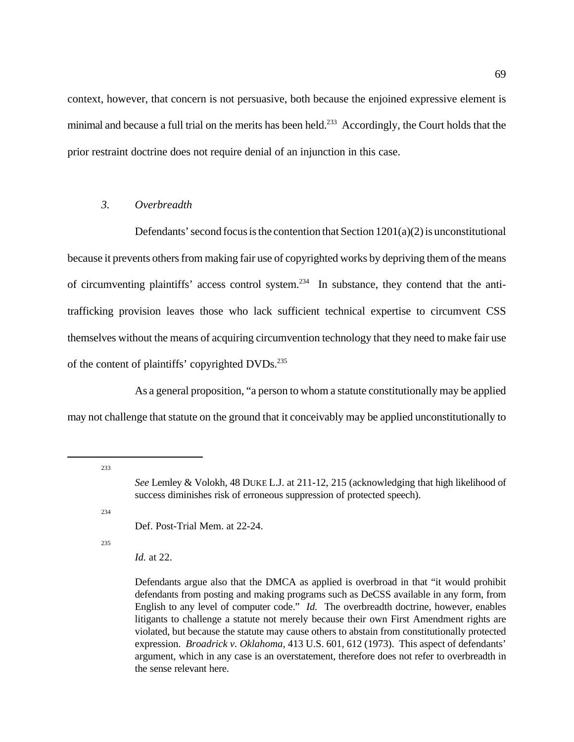context, however, that concern is not persuasive, both because the enjoined expressive element is minimal and because a full trial on the merits has been held.<sup>233</sup> Accordingly, the Court holds that the prior restraint doctrine does not require denial of an injunction in this case.

## *3. Overbreadth*

Defendants' second focus is the contention that Section  $1201(a)(2)$  is unconstitutional because it prevents others from making fair use of copyrighted works by depriving them of the means of circumventing plaintiffs' access control system.234 In substance, they contend that the antitrafficking provision leaves those who lack sufficient technical expertise to circumvent CSS themselves without the means of acquiring circumvention technology that they need to make fair use of the content of plaintiffs' copyrighted DVDs.<sup>235</sup>

As a general proposition, "a person to whom a statute constitutionally may be applied may not challenge that statute on the ground that it conceivably may be applied unconstitutionally to

233

234

Def. Post-Trial Mem. at 22-24.

235

*Id.* at 22.

*See* Lemley & Volokh, 48 DUKE L.J. at 211-12, 215 (acknowledging that high likelihood of success diminishes risk of erroneous suppression of protected speech).

Defendants argue also that the DMCA as applied is overbroad in that "it would prohibit defendants from posting and making programs such as DeCSS available in any form, from English to any level of computer code." *Id.* The overbreadth doctrine, however, enables litigants to challenge a statute not merely because their own First Amendment rights are violated, but because the statute may cause others to abstain from constitutionally protected expression. *Broadrick v. Oklahoma,* 413 U.S. 601, 612 (1973). This aspect of defendants' argument, which in any case is an overstatement, therefore does not refer to overbreadth in the sense relevant here.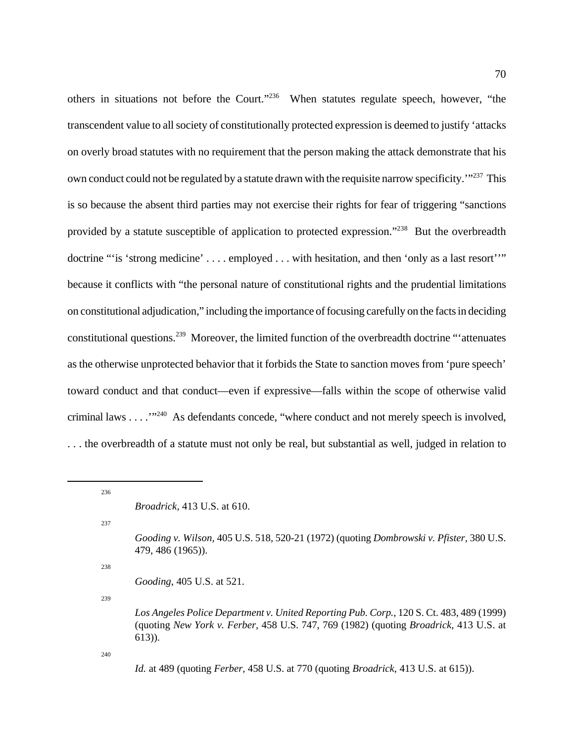others in situations not before the Court."<sup>236</sup> When statutes regulate speech, however, "the transcendent value to all society of constitutionally protected expression is deemed to justify 'attacks on overly broad statutes with no requirement that the person making the attack demonstrate that his own conduct could not be regulated by a statute drawn with the requisite narrow specificity.<sup>"237</sup> This is so because the absent third parties may not exercise their rights for fear of triggering "sanctions provided by a statute susceptible of application to protected expression."<sup>238</sup> But the overbreadth doctrine ""is 'strong medicine' .... employed ... with hesitation, and then 'only as a last resort'" because it conflicts with "the personal nature of constitutional rights and the prudential limitations on constitutional adjudication," including the importance of focusing carefully on the facts in deciding constitutional questions.<sup>239</sup> Moreover, the limited function of the overbreadth doctrine "'attenuates as the otherwise unprotected behavior that it forbids the State to sanction moves from 'pure speech' toward conduct and that conduct—even if expressive—falls within the scope of otherwise valid criminal laws . . . . .<sup>\*\*240</sup> As defendants concede, "where conduct and not merely speech is involved, . . . the overbreadth of a statute must not only be real, but substantial as well, judged in relation to

236

237

238

239

 $240$ 

*Id.* at 489 (quoting *Ferber,* 458 U.S. at 770 (quoting *Broadrick*, 413 U.S. at 615)).

*Broadrick,* 413 U.S. at 610.

*Gooding v. Wilson,* 405 U.S. 518, 520-21 (1972) (quoting *Dombrowski v. Pfister,* 380 U.S. 479, 486 (1965)).

*Gooding*, 405 U.S. at 521.

*Los Angeles Police Department v. United Reporting Pub. Corp.,* 120 S. Ct. 483, 489 (1999) (quoting *New York v. Ferber,* 458 U.S. 747, 769 (1982) (quoting *Broadrick*, 413 U.S. at 613)).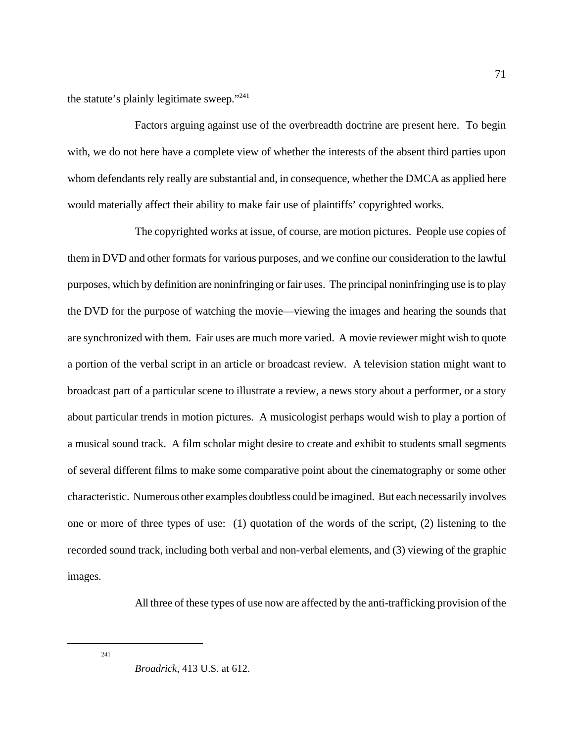the statute's plainly legitimate sweep."<sup>241</sup>

Factors arguing against use of the overbreadth doctrine are present here. To begin with, we do not here have a complete view of whether the interests of the absent third parties upon whom defendants rely really are substantial and, in consequence, whether the DMCA as applied here would materially affect their ability to make fair use of plaintiffs' copyrighted works.

The copyrighted works at issue, of course, are motion pictures. People use copies of them in DVD and other formats for various purposes, and we confine our consideration to the lawful purposes, which by definition are noninfringing or fair uses. The principal noninfringing use is to play the DVD for the purpose of watching the movie—viewing the images and hearing the sounds that are synchronized with them. Fair uses are much more varied. A movie reviewer might wish to quote a portion of the verbal script in an article or broadcast review. A television station might want to broadcast part of a particular scene to illustrate a review, a news story about a performer, or a story about particular trends in motion pictures. A musicologist perhaps would wish to play a portion of a musical sound track. A film scholar might desire to create and exhibit to students small segments of several different films to make some comparative point about the cinematography or some other characteristic. Numerous other examples doubtless could be imagined. But each necessarily involves one or more of three types of use: (1) quotation of the words of the script, (2) listening to the recorded sound track, including both verbal and non-verbal elements, and (3) viewing of the graphic images.

All three of these types of use now are affected by the anti-trafficking provision of the

*Broadrick,* 413 U.S. at 612.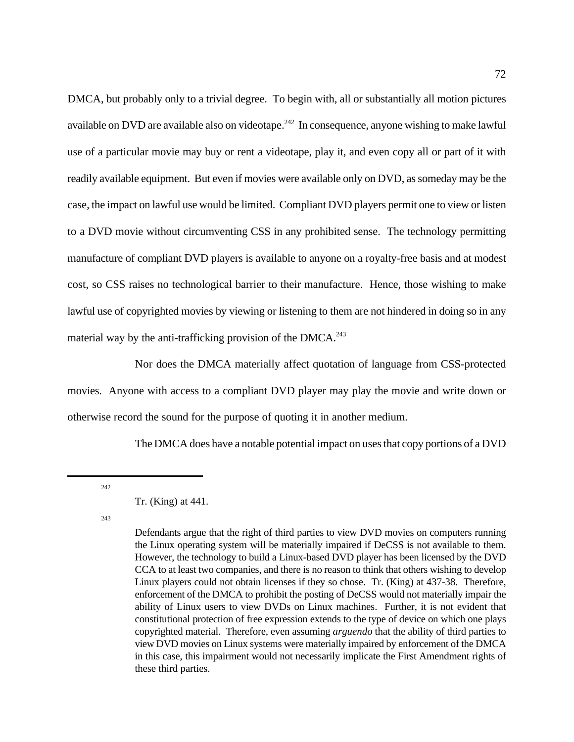DMCA, but probably only to a trivial degree. To begin with, all or substantially all motion pictures available on DVD are available also on videotape.<sup>242</sup> In consequence, anyone wishing to make lawful use of a particular movie may buy or rent a videotape, play it, and even copy all or part of it with readily available equipment. But even if movies were available only on DVD, as someday may be the case, the impact on lawful use would be limited. Compliant DVD players permit one to view or listen to a DVD movie without circumventing CSS in any prohibited sense. The technology permitting manufacture of compliant DVD players is available to anyone on a royalty-free basis and at modest cost, so CSS raises no technological barrier to their manufacture. Hence, those wishing to make lawful use of copyrighted movies by viewing or listening to them are not hindered in doing so in any material way by the anti-trafficking provision of the DMCA.<sup>243</sup>

Nor does the DMCA materially affect quotation of language from CSS-protected movies. Anyone with access to a compliant DVD player may play the movie and write down or otherwise record the sound for the purpose of quoting it in another medium.

The DMCA does have a notable potential impact on uses that copy portions of a DVD

242

Tr. (King) at 441.

Defendants argue that the right of third parties to view DVD movies on computers running the Linux operating system will be materially impaired if DeCSS is not available to them. However, the technology to build a Linux-based DVD player has been licensed by the DVD CCA to at least two companies, and there is no reason to think that others wishing to develop Linux players could not obtain licenses if they so chose. Tr. (King) at 437-38. Therefore, enforcement of the DMCA to prohibit the posting of DeCSS would not materially impair the ability of Linux users to view DVDs on Linux machines. Further, it is not evident that constitutional protection of free expression extends to the type of device on which one plays copyrighted material. Therefore, even assuming *arguendo* that the ability of third parties to view DVD movies on Linux systems were materially impaired by enforcement of the DMCA in this case, this impairment would not necessarily implicate the First Amendment rights of these third parties.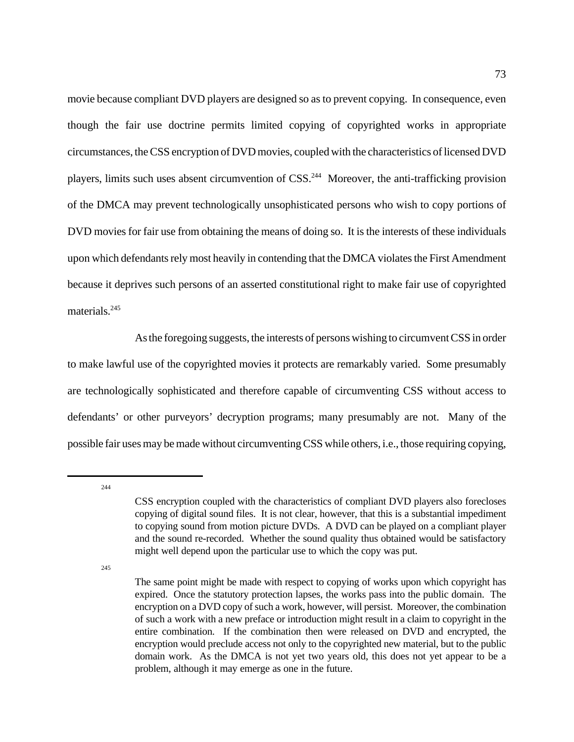movie because compliant DVD players are designed so as to prevent copying. In consequence, even though the fair use doctrine permits limited copying of copyrighted works in appropriate circumstances, the CSS encryption of DVD movies, coupled with the characteristics of licensed DVD players, limits such uses absent circumvention of CSS.<sup>244</sup> Moreover, the anti-trafficking provision of the DMCA may prevent technologically unsophisticated persons who wish to copy portions of DVD movies for fair use from obtaining the means of doing so. It is the interests of these individuals upon which defendants rely most heavily in contending that the DMCA violates the First Amendment because it deprives such persons of an asserted constitutional right to make fair use of copyrighted materials.<sup>245</sup>

As the foregoing suggests, the interests of persons wishing to circumvent CSS in order to make lawful use of the copyrighted movies it protects are remarkably varied. Some presumably are technologically sophisticated and therefore capable of circumventing CSS without access to defendants' or other purveyors' decryption programs; many presumably are not. Many of the possible fair uses may be made without circumventing CSS while others, i.e., those requiring copying,

 $244$ 

CSS encryption coupled with the characteristics of compliant DVD players also forecloses copying of digital sound files. It is not clear, however, that this is a substantial impediment to copying sound from motion picture DVDs. A DVD can be played on a compliant player and the sound re-recorded. Whether the sound quality thus obtained would be satisfactory might well depend upon the particular use to which the copy was put.

The same point might be made with respect to copying of works upon which copyright has expired. Once the statutory protection lapses, the works pass into the public domain. The encryption on a DVD copy of such a work, however, will persist. Moreover, the combination of such a work with a new preface or introduction might result in a claim to copyright in the entire combination. If the combination then were released on DVD and encrypted, the encryption would preclude access not only to the copyrighted new material, but to the public domain work. As the DMCA is not yet two years old, this does not yet appear to be a problem, although it may emerge as one in the future.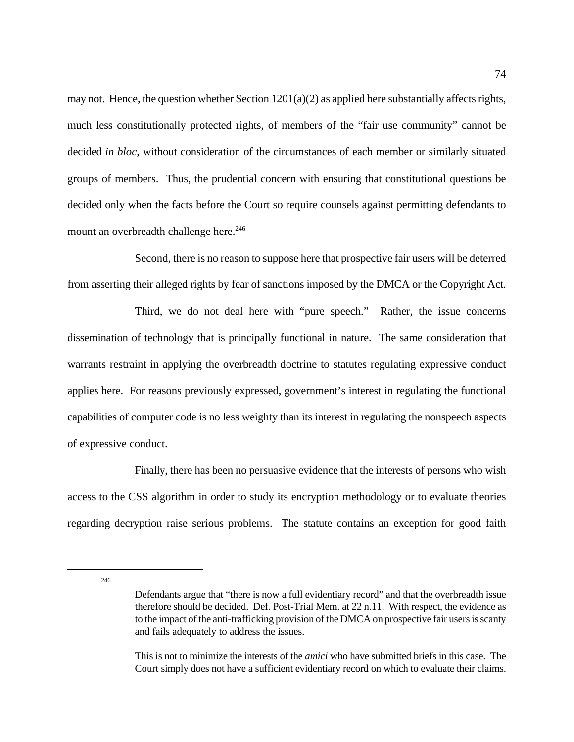may not. Hence, the question whether Section 1201(a)(2) as applied here substantially affects rights, much less constitutionally protected rights, of members of the "fair use community" cannot be decided *in bloc*, without consideration of the circumstances of each member or similarly situated groups of members. Thus, the prudential concern with ensuring that constitutional questions be decided only when the facts before the Court so require counsels against permitting defendants to mount an overbreadth challenge here.<sup>246</sup>

Second, there is no reason to suppose here that prospective fair users will be deterred from asserting their alleged rights by fear of sanctions imposed by the DMCA or the Copyright Act.

Third, we do not deal here with "pure speech." Rather, the issue concerns dissemination of technology that is principally functional in nature. The same consideration that warrants restraint in applying the overbreadth doctrine to statutes regulating expressive conduct applies here. For reasons previously expressed, government's interest in regulating the functional capabilities of computer code is no less weighty than its interest in regulating the nonspeech aspects of expressive conduct.

Finally, there has been no persuasive evidence that the interests of persons who wish access to the CSS algorithm in order to study its encryption methodology or to evaluate theories regarding decryption raise serious problems. The statute contains an exception for good faith

Defendants argue that "there is now a full evidentiary record" and that the overbreadth issue therefore should be decided. Def. Post-Trial Mem. at 22 n.11. With respect, the evidence as to the impact of the anti-trafficking provision of the DMCA on prospective fair users is scanty and fails adequately to address the issues.

This is not to minimize the interests of the *amici* who have submitted briefs in this case. The Court simply does not have a sufficient evidentiary record on which to evaluate their claims.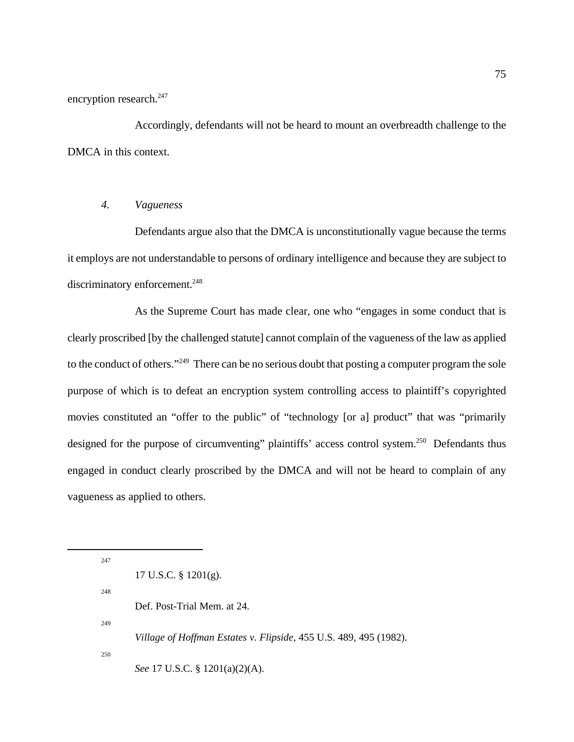encryption research.<sup>247</sup>

Accordingly, defendants will not be heard to mount an overbreadth challenge to the DMCA in this context.

## *4. Vagueness*

Defendants argue also that the DMCA is unconstitutionally vague because the terms it employs are not understandable to persons of ordinary intelligence and because they are subject to discriminatory enforcement.<sup>248</sup>

As the Supreme Court has made clear, one who "engages in some conduct that is clearly proscribed [by the challenged statute] cannot complain of the vagueness of the law as applied to the conduct of others."<sup>249</sup> There can be no serious doubt that posting a computer program the sole purpose of which is to defeat an encryption system controlling access to plaintiff's copyrighted movies constituted an "offer to the public" of "technology [or a] product" that was "primarily designed for the purpose of circumventing" plaintiffs' access control system.<sup>250</sup> Defendants thus engaged in conduct clearly proscribed by the DMCA and will not be heard to complain of any vagueness as applied to others.

247 17 U.S.C. § 1201(g). 248 Def. Post-Trial Mem. at 24. 249 *Village of Hoffman Estates v. Flipside,* 455 U.S. 489, 495 (1982). 250 *See* 17 U.S.C. § 1201(a)(2)(A).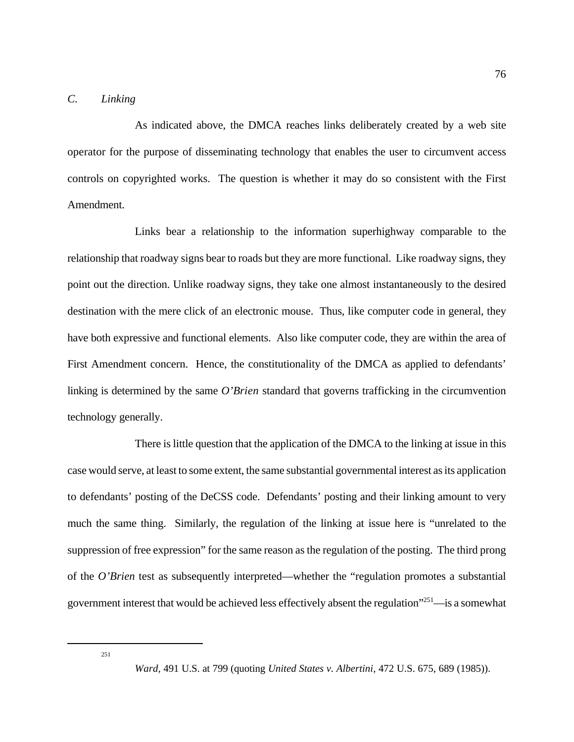# *C. Linking*

As indicated above, the DMCA reaches links deliberately created by a web site operator for the purpose of disseminating technology that enables the user to circumvent access controls on copyrighted works. The question is whether it may do so consistent with the First Amendment.

Links bear a relationship to the information superhighway comparable to the relationship that roadway signs bear to roads but they are more functional. Like roadway signs, they point out the direction. Unlike roadway signs, they take one almost instantaneously to the desired destination with the mere click of an electronic mouse. Thus, like computer code in general, they have both expressive and functional elements. Also like computer code, they are within the area of First Amendment concern. Hence, the constitutionality of the DMCA as applied to defendants' linking is determined by the same *O'Brien* standard that governs trafficking in the circumvention technology generally.

There is little question that the application of the DMCA to the linking at issue in this case would serve, at least to some extent, the same substantial governmental interest as its application to defendants' posting of the DeCSS code. Defendants' posting and their linking amount to very much the same thing. Similarly, the regulation of the linking at issue here is "unrelated to the suppression of free expression" for the same reason as the regulation of the posting. The third prong of the *O'Brien* test as subsequently interpreted—whether the "regulation promotes a substantial government interest that would be achieved less effectively absent the regulation"251—is a somewhat

*Ward,* 491 U.S. at 799 (quoting *United States v. Albertini,* 472 U.S. 675, 689 (1985)).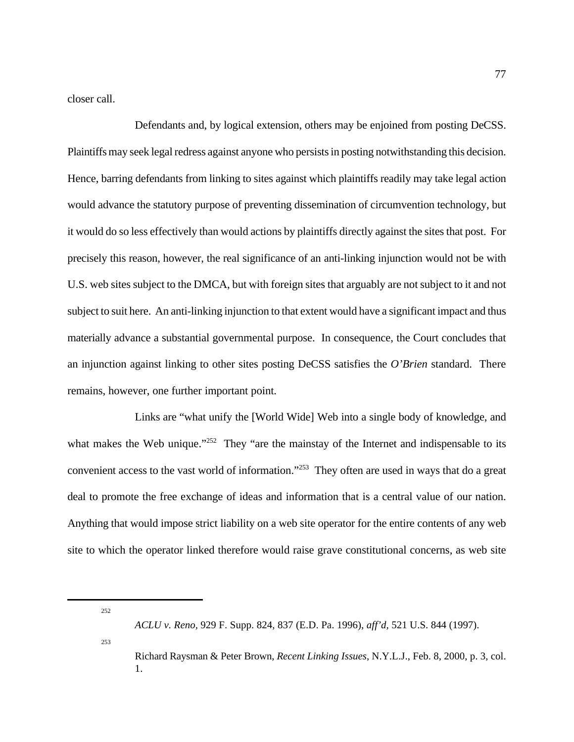closer call.

Defendants and, by logical extension, others may be enjoined from posting DeCSS. Plaintiffs may seek legal redress against anyone who persists in posting notwithstanding this decision. Hence, barring defendants from linking to sites against which plaintiffs readily may take legal action would advance the statutory purpose of preventing dissemination of circumvention technology, but it would do so less effectively than would actions by plaintiffs directly against the sites that post. For precisely this reason, however, the real significance of an anti-linking injunction would not be with U.S. web sites subject to the DMCA, but with foreign sites that arguably are not subject to it and not subject to suit here. An anti-linking injunction to that extent would have a significant impact and thus materially advance a substantial governmental purpose. In consequence, the Court concludes that an injunction against linking to other sites posting DeCSS satisfies the *O'Brien* standard. There remains, however, one further important point.

Links are "what unify the [World Wide] Web into a single body of knowledge, and what makes the Web unique."<sup>252</sup> They "are the mainstay of the Internet and indispensable to its convenient access to the vast world of information."<sup>253</sup> They often are used in ways that do a great deal to promote the free exchange of ideas and information that is a central value of our nation. Anything that would impose strict liability on a web site operator for the entire contents of any web site to which the operator linked therefore would raise grave constitutional concerns, as web site

252

*ACLU v. Reno,* 929 F. Supp. 824, 837 (E.D. Pa. 1996), *aff'd,* 521 U.S. 844 (1997).

253

Richard Raysman & Peter Brown, *Recent Linking Issues,* N.Y.L.J., Feb. 8, 2000, p. 3, col. 1.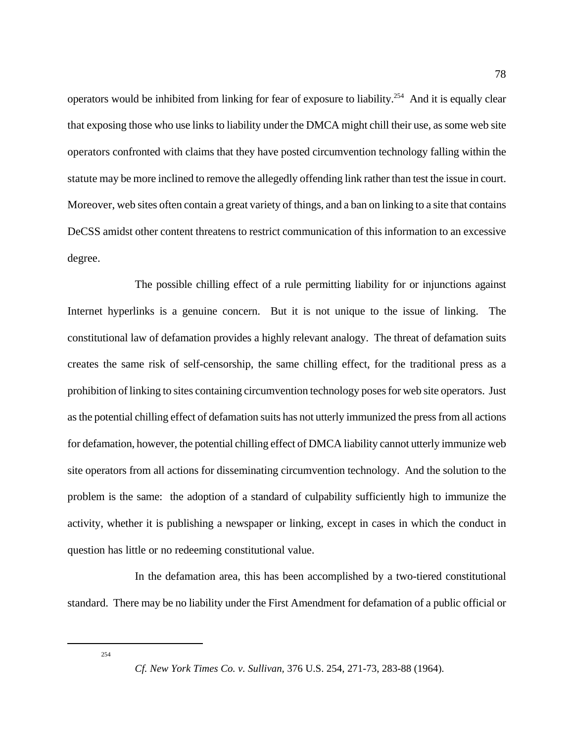operators would be inhibited from linking for fear of exposure to liability.<sup>254</sup> And it is equally clear that exposing those who use links to liability under the DMCA might chill their use, as some web site operators confronted with claims that they have posted circumvention technology falling within the statute may be more inclined to remove the allegedly offending link rather than test the issue in court. Moreover, web sites often contain a great variety of things, and a ban on linking to a site that contains DeCSS amidst other content threatens to restrict communication of this information to an excessive degree.

The possible chilling effect of a rule permitting liability for or injunctions against Internet hyperlinks is a genuine concern. But it is not unique to the issue of linking. The constitutional law of defamation provides a highly relevant analogy. The threat of defamation suits creates the same risk of self-censorship, the same chilling effect, for the traditional press as a prohibition of linking to sites containing circumvention technology poses for web site operators. Just as the potential chilling effect of defamation suits has not utterly immunized the press from all actions for defamation, however, the potential chilling effect of DMCA liability cannot utterly immunize web site operators from all actions for disseminating circumvention technology. And the solution to the problem is the same: the adoption of a standard of culpability sufficiently high to immunize the activity, whether it is publishing a newspaper or linking, except in cases in which the conduct in question has little or no redeeming constitutional value.

In the defamation area, this has been accomplished by a two-tiered constitutional standard. There may be no liability under the First Amendment for defamation of a public official or

*Cf. New York Times Co. v. Sullivan,* 376 U.S. 254, 271-73, 283-88 (1964).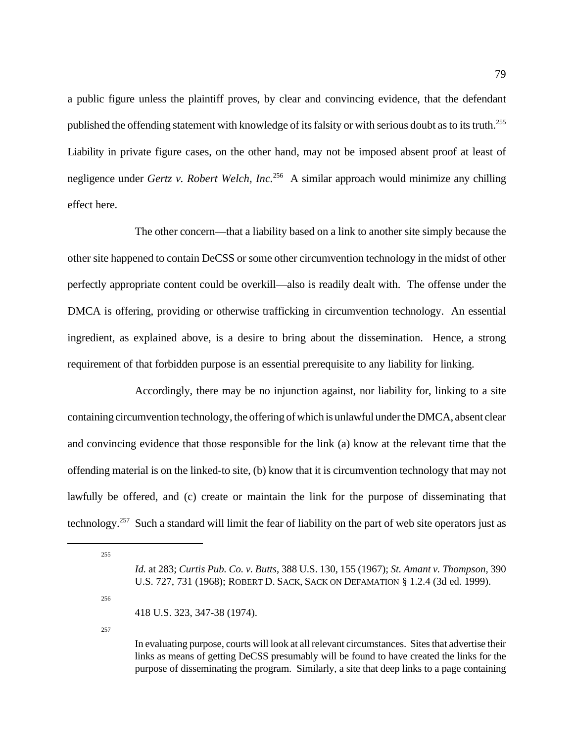a public figure unless the plaintiff proves, by clear and convincing evidence, that the defendant published the offending statement with knowledge of its falsity or with serious doubt as to its truth.<sup>255</sup> Liability in private figure cases, on the other hand, may not be imposed absent proof at least of negligence under *Gertz v. Robert Welch, Inc.*<sup>256</sup> A similar approach would minimize any chilling effect here.

The other concern—that a liability based on a link to another site simply because the other site happened to contain DeCSS or some other circumvention technology in the midst of other perfectly appropriate content could be overkill—also is readily dealt with. The offense under the DMCA is offering, providing or otherwise trafficking in circumvention technology. An essential ingredient, as explained above, is a desire to bring about the dissemination. Hence, a strong requirement of that forbidden purpose is an essential prerequisite to any liability for linking.

Accordingly, there may be no injunction against, nor liability for, linking to a site containing circumvention technology, the offering of which is unlawful under the DMCA, absent clear and convincing evidence that those responsible for the link (a) know at the relevant time that the offending material is on the linked-to site, (b) know that it is circumvention technology that may not lawfully be offered, and (c) create or maintain the link for the purpose of disseminating that technology.257 Such a standard will limit the fear of liability on the part of web site operators just as

255

256

*Id.* at 283; *Curtis Pub. Co. v. Butts*, 388 U.S. 130, 155 (1967); *St. Amant v. Thompson,* 390 U.S. 727, 731 (1968); ROBERT D. SACK, SACK ON DEFAMATION § 1.2.4 (3d ed. 1999).

<sup>418</sup> U.S. 323, 347-38 (1974).

In evaluating purpose, courts will look at all relevant circumstances. Sites that advertise their links as means of getting DeCSS presumably will be found to have created the links for the purpose of disseminating the program. Similarly, a site that deep links to a page containing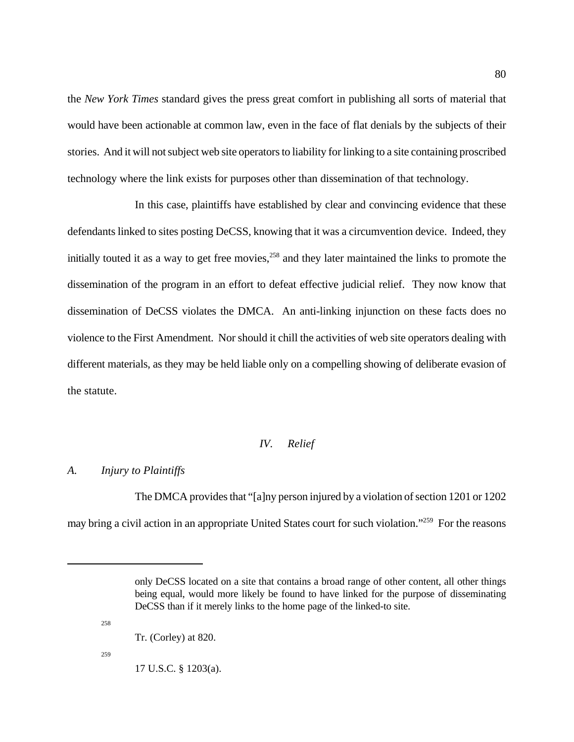the *New York Times* standard gives the press great comfort in publishing all sorts of material that would have been actionable at common law, even in the face of flat denials by the subjects of their stories. And it will not subject web site operators to liability for linking to a site containing proscribed technology where the link exists for purposes other than dissemination of that technology.

In this case, plaintiffs have established by clear and convincing evidence that these defendants linked to sites posting DeCSS, knowing that it was a circumvention device. Indeed, they initially touted it as a way to get free movies,<sup>258</sup> and they later maintained the links to promote the dissemination of the program in an effort to defeat effective judicial relief. They now know that dissemination of DeCSS violates the DMCA. An anti-linking injunction on these facts does no violence to the First Amendment. Nor should it chill the activities of web site operators dealing with different materials, as they may be held liable only on a compelling showing of deliberate evasion of the statute.

## *IV. Relief*

# *A. Injury to Plaintiffs*

The DMCA provides that "[a]ny person injured by a violation of section 1201 or 1202 may bring a civil action in an appropriate United States court for such violation."259 For the reasons

258

259

17 U.S.C. § 1203(a).

only DeCSS located on a site that contains a broad range of other content, all other things being equal, would more likely be found to have linked for the purpose of disseminating DeCSS than if it merely links to the home page of the linked-to site.

Tr. (Corley) at 820.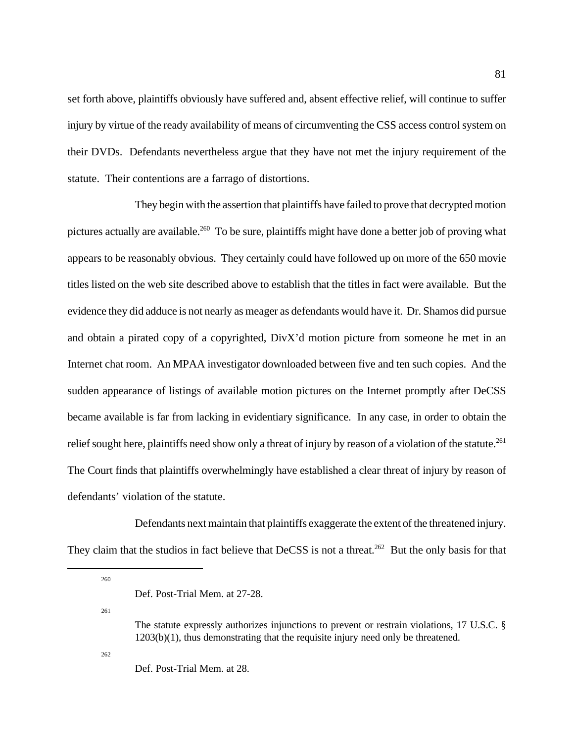set forth above, plaintiffs obviously have suffered and, absent effective relief, will continue to suffer injury by virtue of the ready availability of means of circumventing the CSS access control system on their DVDs. Defendants nevertheless argue that they have not met the injury requirement of the statute. Their contentions are a farrago of distortions.

They begin with the assertion that plaintiffs have failed to prove that decrypted motion pictures actually are available.<sup>260</sup> To be sure, plaintiffs might have done a better job of proving what appears to be reasonably obvious. They certainly could have followed up on more of the 650 movie titles listed on the web site described above to establish that the titles in fact were available. But the evidence they did adduce is not nearly as meager as defendants would have it. Dr. Shamos did pursue and obtain a pirated copy of a copyrighted, DivX'd motion picture from someone he met in an Internet chat room. An MPAA investigator downloaded between five and ten such copies. And the sudden appearance of listings of available motion pictures on the Internet promptly after DeCSS became available is far from lacking in evidentiary significance. In any case, in order to obtain the relief sought here, plaintiffs need show only a threat of injury by reason of a violation of the statute.<sup>261</sup> The Court finds that plaintiffs overwhelmingly have established a clear threat of injury by reason of defendants' violation of the statute.

Defendants next maintain that plaintiffs exaggerate the extent of the threatened injury. They claim that the studios in fact believe that DeCSS is not a threat.<sup>262</sup> But the only basis for that

260

261

262

Def. Post-Trial Mem. at 28.

Def. Post-Trial Mem. at 27-28.

The statute expressly authorizes injunctions to prevent or restrain violations, 17 U.S.C. § 1203(b)(1), thus demonstrating that the requisite injury need only be threatened.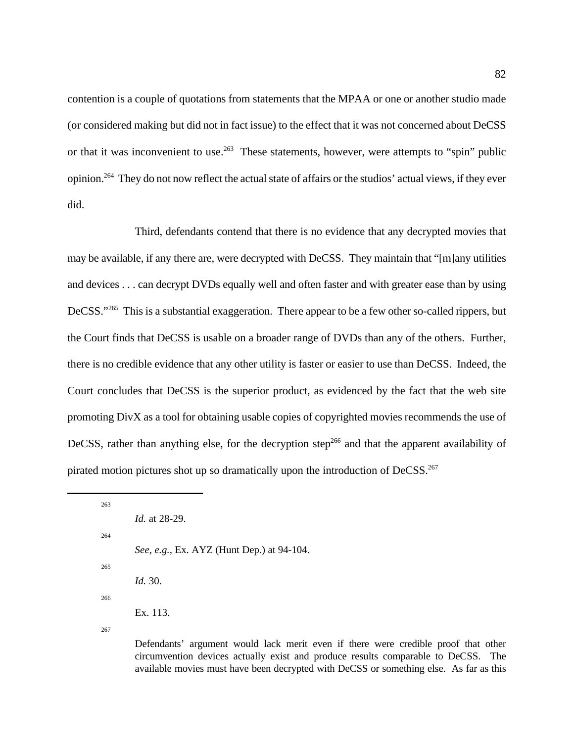contention is a couple of quotations from statements that the MPAA or one or another studio made (or considered making but did not in fact issue) to the effect that it was not concerned about DeCSS or that it was inconvenient to use.<sup>263</sup> These statements, however, were attempts to "spin" public opinion.<sup>264</sup> They do not now reflect the actual state of affairs or the studios' actual views, if they ever did.

Third, defendants contend that there is no evidence that any decrypted movies that may be available, if any there are, were decrypted with DeCSS. They maintain that "[m]any utilities and devices . . . can decrypt DVDs equally well and often faster and with greater ease than by using DeCSS."<sup>265</sup> This is a substantial exaggeration. There appear to be a few other so-called rippers, but the Court finds that DeCSS is usable on a broader range of DVDs than any of the others. Further, there is no credible evidence that any other utility is faster or easier to use than DeCSS. Indeed, the Court concludes that DeCSS is the superior product, as evidenced by the fact that the web site promoting DivX as a tool for obtaining usable copies of copyrighted movies recommends the use of DeCSS, rather than anything else, for the decryption step<sup>266</sup> and that the apparent availability of pirated motion pictures shot up so dramatically upon the introduction of DeCSS.<sup>267</sup>

| 263 |                                           |
|-----|-------------------------------------------|
|     | <i>Id.</i> at 28-29.                      |
| 264 |                                           |
|     | See, e.g., Ex. AYZ (Hunt Dep.) at 94-104. |
| 265 |                                           |
|     | <i>Id.</i> 30.                            |
| 266 |                                           |
|     | Ex. 113.                                  |

267

Defendants' argument would lack merit even if there were credible proof that other circumvention devices actually exist and produce results comparable to DeCSS. The available movies must have been decrypted with DeCSS or something else. As far as this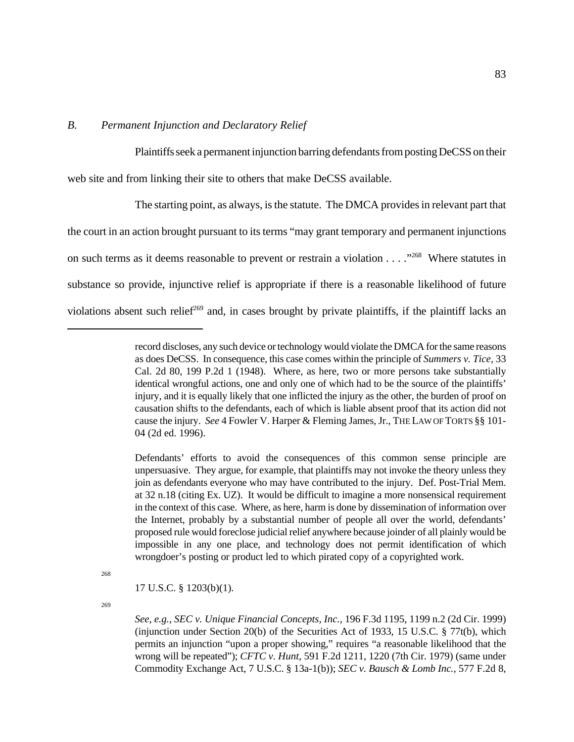# *B. Permanent Injunction and Declaratory Relief*

Plaintiffs seek a permanent injunction barring defendants from posting DeCSS on their

web site and from linking their site to others that make DeCSS available.

The starting point, as always, is the statute. The DMCA provides in relevant part that the court in an action brought pursuant to its terms "may grant temporary and permanent injunctions on such terms as it deems reasonable to prevent or restrain a violation . . . .<sup>"268</sup> Where statutes in substance so provide, injunctive relief is appropriate if there is a reasonable likelihood of future violations absent such relief<sup>269</sup> and, in cases brought by private plaintiffs, if the plaintiff lacks an

Defendants' efforts to avoid the consequences of this common sense principle are unpersuasive. They argue, for example, that plaintiffs may not invoke the theory unless they join as defendants everyone who may have contributed to the injury. Def. Post-Trial Mem. at 32 n.18 (citing Ex. UZ). It would be difficult to imagine a more nonsensical requirement in the context of this case. Where, as here, harm is done by dissemination of information over the Internet, probably by a substantial number of people all over the world, defendants' proposed rule would foreclose judicial relief anywhere because joinder of all plainly would be impossible in any one place, and technology does not permit identification of which wrongdoer's posting or product led to which pirated copy of a copyrighted work.

268

17 U.S.C. § 1203(b)(1).

269

*See, e.g., SEC v. Unique Financial Concepts, Inc.*, 196 F.3d 1195, 1199 n.2 (2d Cir. 1999) (injunction under Section 20(b) of the Securities Act of 1933, 15 U.S.C. § 77t(b), which permits an injunction "upon a proper showing," requires "a reasonable likelihood that the wrong will be repeated"); *CFTC v. Hunt*, 591 F.2d 1211, 1220 (7th Cir. 1979) (same under Commodity Exchange Act, 7 U.S.C. § 13a-1(b)); *SEC v. Bausch & Lomb Inc.,* 577 F.2d 8,

record discloses, any such device or technology would violate the DMCA for the same reasons as does DeCSS. In consequence, this case comes within the principle of *Summers v. Tice,* 33 Cal. 2d 80, 199 P.2d 1 (1948). Where, as here, two or more persons take substantially identical wrongful actions, one and only one of which had to be the source of the plaintiffs' injury, and it is equally likely that one inflicted the injury as the other, the burden of proof on causation shifts to the defendants, each of which is liable absent proof that its action did not cause the injury. *See* 4 Fowler V. Harper & Fleming James, Jr., THE LAW OF TORTS §§ 101- 04 (2d ed. 1996).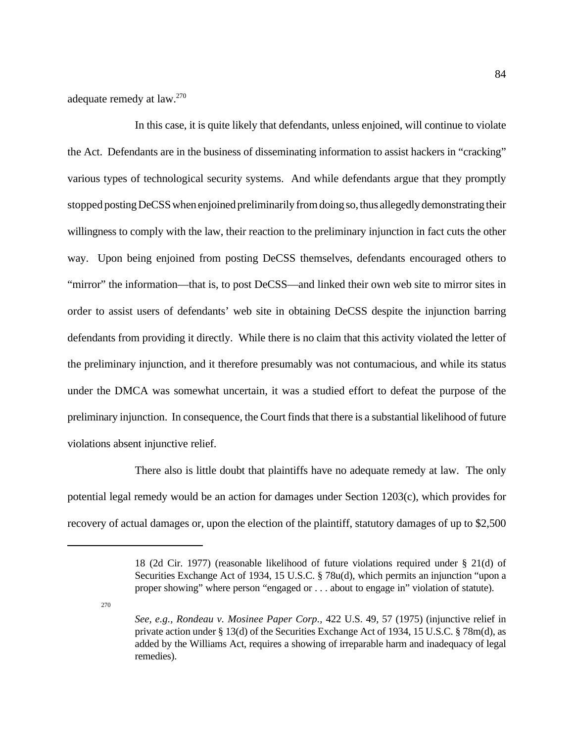adequate remedy at law.<sup>270</sup>

In this case, it is quite likely that defendants, unless enjoined, will continue to violate the Act. Defendants are in the business of disseminating information to assist hackers in "cracking" various types of technological security systems. And while defendants argue that they promptly stopped posting DeCSS when enjoined preliminarily from doing so, thus allegedly demonstrating their willingness to comply with the law, their reaction to the preliminary injunction in fact cuts the other way. Upon being enjoined from posting DeCSS themselves, defendants encouraged others to "mirror" the information—that is, to post DeCSS—and linked their own web site to mirror sites in order to assist users of defendants' web site in obtaining DeCSS despite the injunction barring defendants from providing it directly. While there is no claim that this activity violated the letter of the preliminary injunction, and it therefore presumably was not contumacious, and while its status under the DMCA was somewhat uncertain, it was a studied effort to defeat the purpose of the preliminary injunction. In consequence, the Court finds that there is a substantial likelihood of future violations absent injunctive relief.

There also is little doubt that plaintiffs have no adequate remedy at law. The only potential legal remedy would be an action for damages under Section 1203(c), which provides for recovery of actual damages or, upon the election of the plaintiff, statutory damages of up to \$2,500

<sup>18 (2</sup>d Cir. 1977) (reasonable likelihood of future violations required under § 21(d) of Securities Exchange Act of 1934, 15 U.S.C. § 78u(d), which permits an injunction "upon a proper showing" where person "engaged or . . . about to engage in" violation of statute).

*See, e.g., Rondeau v. Mosinee Paper Corp.*, 422 U.S. 49, 57 (1975) (injunctive relief in private action under § 13(d) of the Securities Exchange Act of 1934, 15 U.S.C. § 78m(d), as added by the Williams Act, requires a showing of irreparable harm and inadequacy of legal remedies).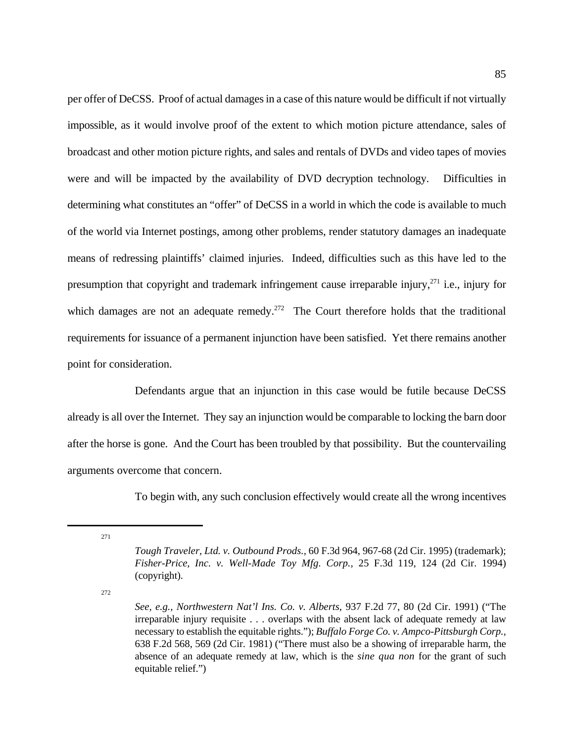per offer of DeCSS. Proof of actual damages in a case of this nature would be difficult if not virtually impossible, as it would involve proof of the extent to which motion picture attendance, sales of broadcast and other motion picture rights, and sales and rentals of DVDs and video tapes of movies were and will be impacted by the availability of DVD decryption technology. Difficulties in determining what constitutes an "offer" of DeCSS in a world in which the code is available to much of the world via Internet postings, among other problems, render statutory damages an inadequate means of redressing plaintiffs' claimed injuries. Indeed, difficulties such as this have led to the presumption that copyright and trademark infringement cause irreparable injury,  $271$  i.e., injury for which damages are not an adequate remedy.<sup>272</sup> The Court therefore holds that the traditional requirements for issuance of a permanent injunction have been satisfied. Yet there remains another point for consideration.

Defendants argue that an injunction in this case would be futile because DeCSS already is all over the Internet. They say an injunction would be comparable to locking the barn door after the horse is gone. And the Court has been troubled by that possibility. But the countervailing arguments overcome that concern.

To begin with, any such conclusion effectively would create all the wrong incentives

271

*Tough Traveler, Ltd. v. Outbound Prods.,* 60 F.3d 964, 967-68 (2d Cir. 1995) (trademark); *Fisher-Price, Inc. v. Well-Made Toy Mfg. Corp.,* 25 F.3d 119, 124 (2d Cir. 1994) (copyright).

*See, e.g., Northwestern Nat'l Ins. Co. v. Alberts*, 937 F.2d 77, 80 (2d Cir. 1991) ("The irreparable injury requisite . . . overlaps with the absent lack of adequate remedy at law necessary to establish the equitable rights."); *Buffalo Forge Co. v. Ampco-Pittsburgh Corp.,* 638 F.2d 568, 569 (2d Cir. 1981) ("There must also be a showing of irreparable harm, the absence of an adequate remedy at law, which is the *sine qua non* for the grant of such equitable relief.")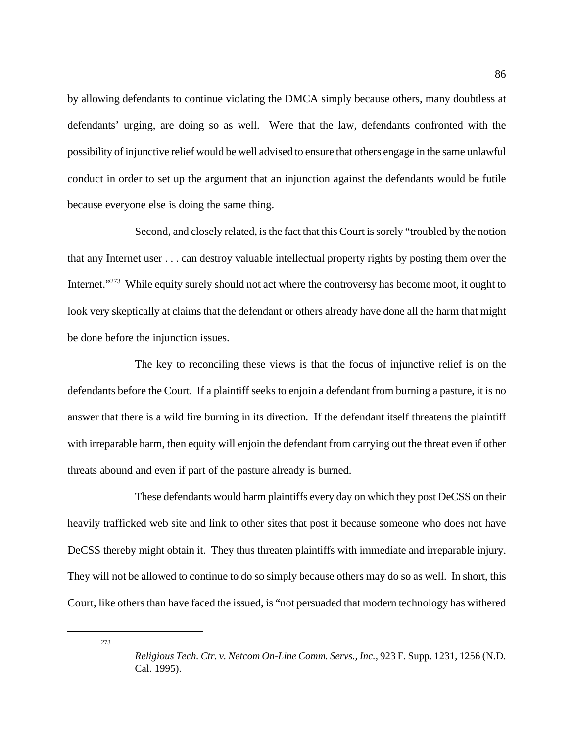by allowing defendants to continue violating the DMCA simply because others, many doubtless at defendants' urging, are doing so as well. Were that the law, defendants confronted with the possibility of injunctive relief would be well advised to ensure that others engage in the same unlawful conduct in order to set up the argument that an injunction against the defendants would be futile because everyone else is doing the same thing.

Second, and closely related, is the fact that this Court is sorely "troubled by the notion that any Internet user . . . can destroy valuable intellectual property rights by posting them over the Internet."<sup>273</sup> While equity surely should not act where the controversy has become moot, it ought to look very skeptically at claims that the defendant or others already have done all the harm that might be done before the injunction issues.

The key to reconciling these views is that the focus of injunctive relief is on the defendants before the Court. If a plaintiff seeks to enjoin a defendant from burning a pasture, it is no answer that there is a wild fire burning in its direction. If the defendant itself threatens the plaintiff with irreparable harm, then equity will enjoin the defendant from carrying out the threat even if other threats abound and even if part of the pasture already is burned.

These defendants would harm plaintiffs every day on which they post DeCSS on their heavily trafficked web site and link to other sites that post it because someone who does not have DeCSS thereby might obtain it. They thus threaten plaintiffs with immediate and irreparable injury. They will not be allowed to continue to do so simply because others may do so as well. In short, this Court, like others than have faced the issued, is "not persuaded that modern technology has withered

*Religious Tech. Ctr. v. Netcom On-Line Comm. Servs., Inc.,* 923 F. Supp. 1231, 1256 (N.D. Cal. 1995).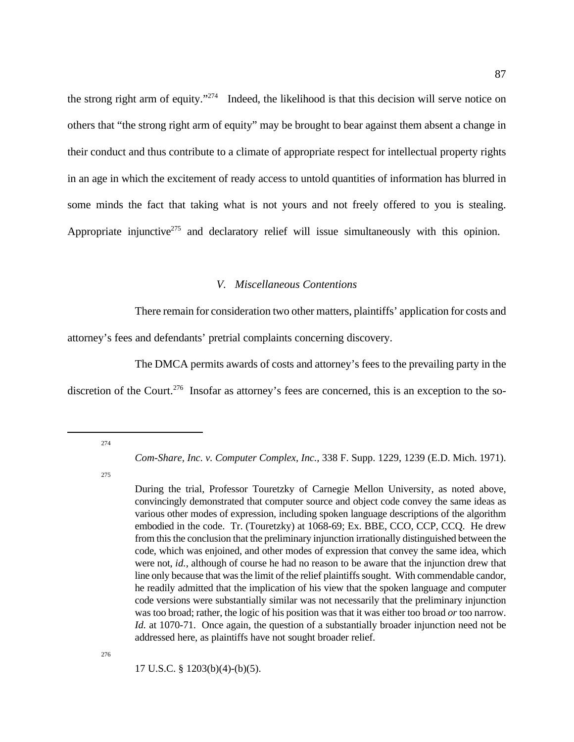the strong right arm of equity."<sup>274</sup> Indeed, the likelihood is that this decision will serve notice on others that "the strong right arm of equity" may be brought to bear against them absent a change in their conduct and thus contribute to a climate of appropriate respect for intellectual property rights in an age in which the excitement of ready access to untold quantities of information has blurred in some minds the fact that taking what is not yours and not freely offered to you is stealing. Appropriate injunctive<sup>275</sup> and declaratory relief will issue simultaneously with this opinion.

### *V. Miscellaneous Contentions*

There remain for consideration two other matters, plaintiffs' application for costs and

attorney's fees and defendants' pretrial complaints concerning discovery.

The DMCA permits awards of costs and attorney's fees to the prevailing party in the

discretion of the Court.<sup>276</sup> Insofar as attorney's fees are concerned, this is an exception to the so-

274

275

276

17 U.S.C. § 1203(b)(4)-(b)(5).

*Com-Share, Inc. v. Computer Complex, Inc.,* 338 F. Supp. 1229, 1239 (E.D. Mich. 1971).

During the trial, Professor Touretzky of Carnegie Mellon University, as noted above, convincingly demonstrated that computer source and object code convey the same ideas as various other modes of expression, including spoken language descriptions of the algorithm embodied in the code. Tr. (Touretzky) at 1068-69; Ex. BBE, CCO, CCP, CCQ. He drew from this the conclusion that the preliminary injunction irrationally distinguished between the code, which was enjoined, and other modes of expression that convey the same idea, which were not, *id.*, although of course he had no reason to be aware that the injunction drew that line only because that was the limit of the relief plaintiffs sought. With commendable candor, he readily admitted that the implication of his view that the spoken language and computer code versions were substantially similar was not necessarily that the preliminary injunction was too broad; rather, the logic of his position was that it was either too broad *or* too narrow. *Id.* at 1070-71. Once again, the question of a substantially broader injunction need not be addressed here, as plaintiffs have not sought broader relief.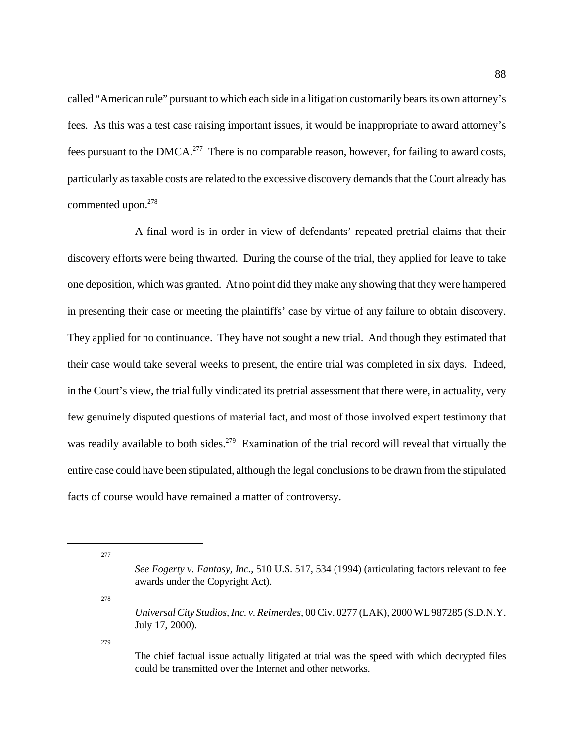called "American rule" pursuant to which each side in a litigation customarily bears its own attorney's fees. As this was a test case raising important issues, it would be inappropriate to award attorney's fees pursuant to the DMCA.<sup>277</sup> There is no comparable reason, however, for failing to award costs, particularly as taxable costs are related to the excessive discovery demands that the Court already has commented upon.<sup>278</sup>

A final word is in order in view of defendants' repeated pretrial claims that their discovery efforts were being thwarted. During the course of the trial, they applied for leave to take one deposition, which was granted. At no point did they make any showing that they were hampered in presenting their case or meeting the plaintiffs' case by virtue of any failure to obtain discovery. They applied for no continuance. They have not sought a new trial. And though they estimated that their case would take several weeks to present, the entire trial was completed in six days. Indeed, in the Court's view, the trial fully vindicated its pretrial assessment that there were, in actuality, very few genuinely disputed questions of material fact, and most of those involved expert testimony that was readily available to both sides.<sup>279</sup> Examination of the trial record will reveal that virtually the entire case could have been stipulated, although the legal conclusions to be drawn from the stipulated facts of course would have remained a matter of controversy.

277

*See Fogerty v. Fantasy, Inc.*, 510 U.S. 517, 534 (1994) (articulating factors relevant to fee awards under the Copyright Act).

*Universal City Studios, Inc. v. Reimerdes*, 00 Civ. 0277 (LAK), 2000 WL 987285 (S.D.N.Y. July 17, 2000).

The chief factual issue actually litigated at trial was the speed with which decrypted files could be transmitted over the Internet and other networks.